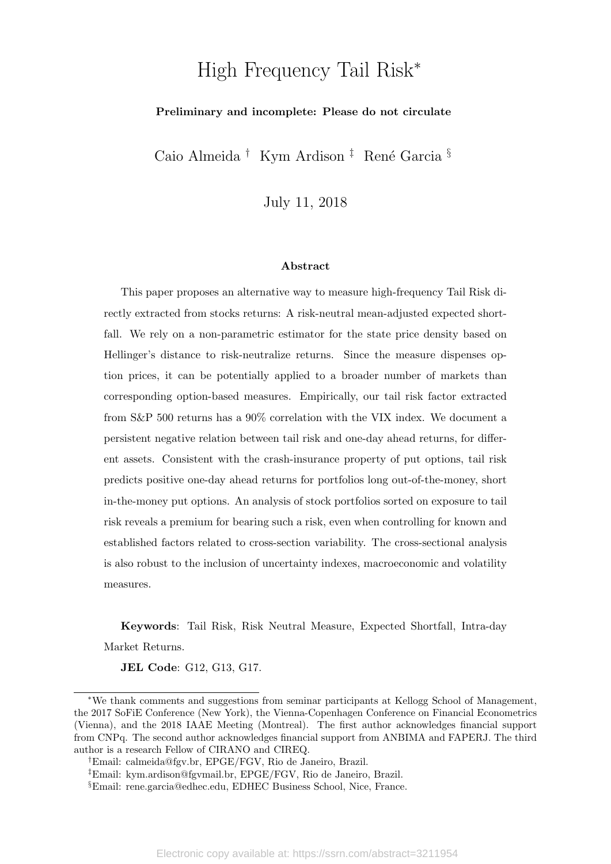# High Frequency Tail Risk<sup>∗</sup>

#### Preliminary and incomplete: Please do not circulate

Caio Almeida † Kym Ardison ‡ René Garcia §

July 11, 2018

#### Abstract

This paper proposes an alternative way to measure high-frequency Tail Risk directly extracted from stocks returns: A risk-neutral mean-adjusted expected shortfall. We rely on a non-parametric estimator for the state price density based on Hellinger's distance to risk-neutralize returns. Since the measure dispenses option prices, it can be potentially applied to a broader number of markets than corresponding option-based measures. Empirically, our tail risk factor extracted from S&P 500 returns has a 90% correlation with the VIX index. We document a persistent negative relation between tail risk and one-day ahead returns, for different assets. Consistent with the crash-insurance property of put options, tail risk predicts positive one-day ahead returns for portfolios long out-of-the-money, short in-the-money put options. An analysis of stock portfolios sorted on exposure to tail risk reveals a premium for bearing such a risk, even when controlling for known and established factors related to cross-section variability. The cross-sectional analysis is also robust to the inclusion of uncertainty indexes, macroeconomic and volatility measures.

Keywords: Tail Risk, Risk Neutral Measure, Expected Shortfall, Intra-day Market Returns.

JEL Code: G12, G13, G17.

<sup>∗</sup>We thank comments and suggestions from seminar participants at Kellogg School of Management, the 2017 SoFiE Conference (New York), the Vienna-Copenhagen Conference on Financial Econometrics (Vienna), and the 2018 IAAE Meeting (Montreal). The first author acknowledges financial support from CNPq. The second author acknowledges financial support from ANBIMA and FAPERJ. The third author is a research Fellow of CIRANO and CIREQ.

<sup>†</sup>Email: calmeida@fgv.br, EPGE/FGV, Rio de Janeiro, Brazil.

<sup>‡</sup>Email: kym.ardison@fgvmail.br, EPGE/FGV, Rio de Janeiro, Brazil.

<sup>§</sup>Email: rene.garcia@edhec.edu, EDHEC Business School, Nice, France.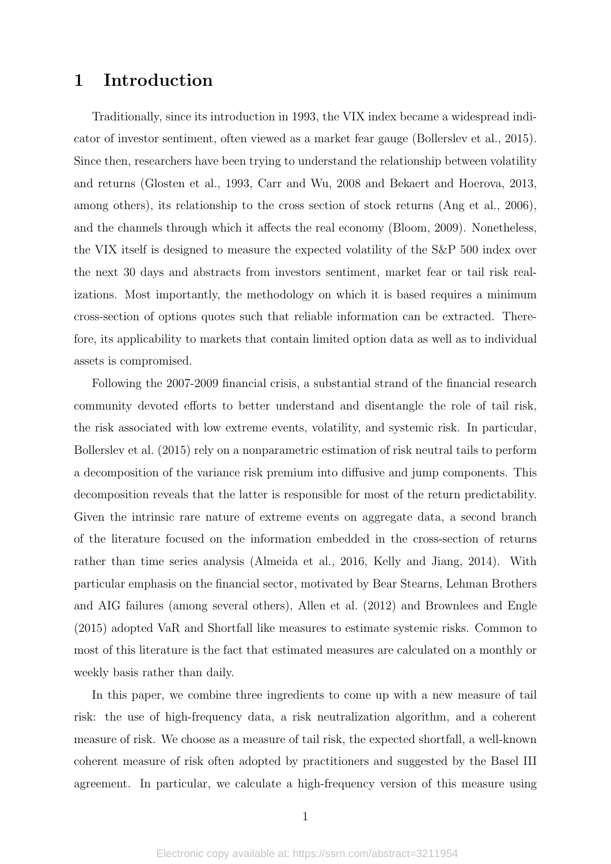# 1 Introduction

Traditionally, since its introduction in 1993, the VIX index became a widespread indicator of investor sentiment, often viewed as a market fear gauge (Bollerslev et al., 2015). Since then, researchers have been trying to understand the relationship between volatility and returns (Glosten et al., 1993, Carr and Wu, 2008 and Bekaert and Hoerova, 2013, among others), its relationship to the cross section of stock returns (Ang et al., 2006), and the channels through which it affects the real economy (Bloom, 2009). Nonetheless, the VIX itself is designed to measure the expected volatility of the S&P 500 index over the next 30 days and abstracts from investors sentiment, market fear or tail risk realizations. Most importantly, the methodology on which it is based requires a minimum cross-section of options quotes such that reliable information can be extracted. Therefore, its applicability to markets that contain limited option data as well as to individual assets is compromised.

Following the 2007-2009 financial crisis, a substantial strand of the financial research community devoted efforts to better understand and disentangle the role of tail risk, the risk associated with low extreme events, volatility, and systemic risk. In particular, Bollerslev et al. (2015) rely on a nonparametric estimation of risk neutral tails to perform a decomposition of the variance risk premium into diffusive and jump components. This decomposition reveals that the latter is responsible for most of the return predictability. Given the intrinsic rare nature of extreme events on aggregate data, a second branch of the literature focused on the information embedded in the cross-section of returns rather than time series analysis (Almeida et al., 2016, Kelly and Jiang, 2014). With particular emphasis on the financial sector, motivated by Bear Stearns, Lehman Brothers and AIG failures (among several others), Allen et al. (2012) and Brownlees and Engle (2015) adopted VaR and Shortfall like measures to estimate systemic risks. Common to most of this literature is the fact that estimated measures are calculated on a monthly or weekly basis rather than daily.

In this paper, we combine three ingredients to come up with a new measure of tail risk: the use of high-frequency data, a risk neutralization algorithm, and a coherent measure of risk. We choose as a measure of tail risk, the expected shortfall, a well-known coherent measure of risk often adopted by practitioners and suggested by the Basel III agreement. In particular, we calculate a high-frequency version of this measure using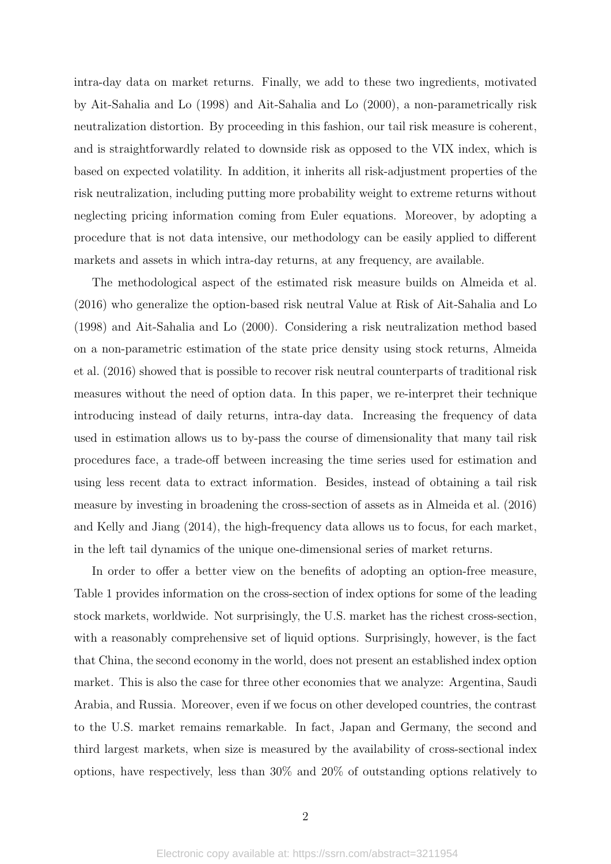intra-day data on market returns. Finally, we add to these two ingredients, motivated by Ait-Sahalia and Lo (1998) and Ait-Sahalia and Lo (2000), a non-parametrically risk neutralization distortion. By proceeding in this fashion, our tail risk measure is coherent, and is straightforwardly related to downside risk as opposed to the VIX index, which is based on expected volatility. In addition, it inherits all risk-adjustment properties of the risk neutralization, including putting more probability weight to extreme returns without neglecting pricing information coming from Euler equations. Moreover, by adopting a procedure that is not data intensive, our methodology can be easily applied to different markets and assets in which intra-day returns, at any frequency, are available.

The methodological aspect of the estimated risk measure builds on Almeida et al. (2016) who generalize the option-based risk neutral Value at Risk of Ait-Sahalia and Lo (1998) and Ait-Sahalia and Lo (2000). Considering a risk neutralization method based on a non-parametric estimation of the state price density using stock returns, Almeida et al. (2016) showed that is possible to recover risk neutral counterparts of traditional risk measures without the need of option data. In this paper, we re-interpret their technique introducing instead of daily returns, intra-day data. Increasing the frequency of data used in estimation allows us to by-pass the course of dimensionality that many tail risk procedures face, a trade-off between increasing the time series used for estimation and using less recent data to extract information. Besides, instead of obtaining a tail risk measure by investing in broadening the cross-section of assets as in Almeida et al. (2016) and Kelly and Jiang (2014), the high-frequency data allows us to focus, for each market, in the left tail dynamics of the unique one-dimensional series of market returns.

In order to offer a better view on the benefits of adopting an option-free measure, Table 1 provides information on the cross-section of index options for some of the leading stock markets, worldwide. Not surprisingly, the U.S. market has the richest cross-section, with a reasonably comprehensive set of liquid options. Surprisingly, however, is the fact that China, the second economy in the world, does not present an established index option market. This is also the case for three other economies that we analyze: Argentina, Saudi Arabia, and Russia. Moreover, even if we focus on other developed countries, the contrast to the U.S. market remains remarkable. In fact, Japan and Germany, the second and third largest markets, when size is measured by the availability of cross-sectional index options, have respectively, less than 30% and 20% of outstanding options relatively to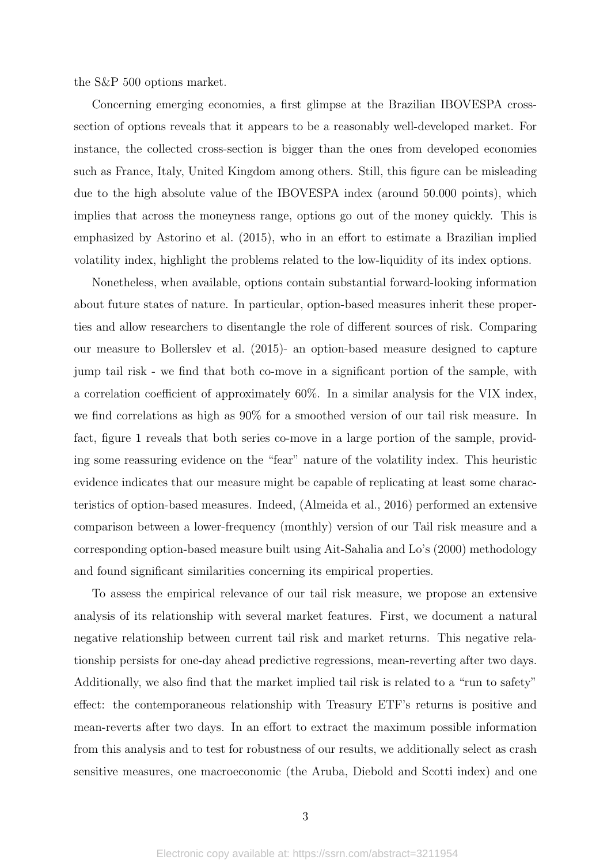the S&P 500 options market.

Concerning emerging economies, a first glimpse at the Brazilian IBOVESPA crosssection of options reveals that it appears to be a reasonably well-developed market. For instance, the collected cross-section is bigger than the ones from developed economies such as France, Italy, United Kingdom among others. Still, this figure can be misleading due to the high absolute value of the IBOVESPA index (around 50.000 points), which implies that across the moneyness range, options go out of the money quickly. This is emphasized by Astorino et al. (2015), who in an effort to estimate a Brazilian implied volatility index, highlight the problems related to the low-liquidity of its index options.

Nonetheless, when available, options contain substantial forward-looking information about future states of nature. In particular, option-based measures inherit these properties and allow researchers to disentangle the role of different sources of risk. Comparing our measure to Bollerslev et al. (2015)- an option-based measure designed to capture jump tail risk - we find that both co-move in a significant portion of the sample, with a correlation coefficient of approximately 60%. In a similar analysis for the VIX index, we find correlations as high as 90% for a smoothed version of our tail risk measure. In fact, figure 1 reveals that both series co-move in a large portion of the sample, providing some reassuring evidence on the "fear" nature of the volatility index. This heuristic evidence indicates that our measure might be capable of replicating at least some characteristics of option-based measures. Indeed, (Almeida et al., 2016) performed an extensive comparison between a lower-frequency (monthly) version of our Tail risk measure and a corresponding option-based measure built using Ait-Sahalia and Lo's (2000) methodology and found significant similarities concerning its empirical properties.

To assess the empirical relevance of our tail risk measure, we propose an extensive analysis of its relationship with several market features. First, we document a natural negative relationship between current tail risk and market returns. This negative relationship persists for one-day ahead predictive regressions, mean-reverting after two days. Additionally, we also find that the market implied tail risk is related to a "run to safety" effect: the contemporaneous relationship with Treasury ETF's returns is positive and mean-reverts after two days. In an effort to extract the maximum possible information from this analysis and to test for robustness of our results, we additionally select as crash sensitive measures, one macroeconomic (the Aruba, Diebold and Scotti index) and one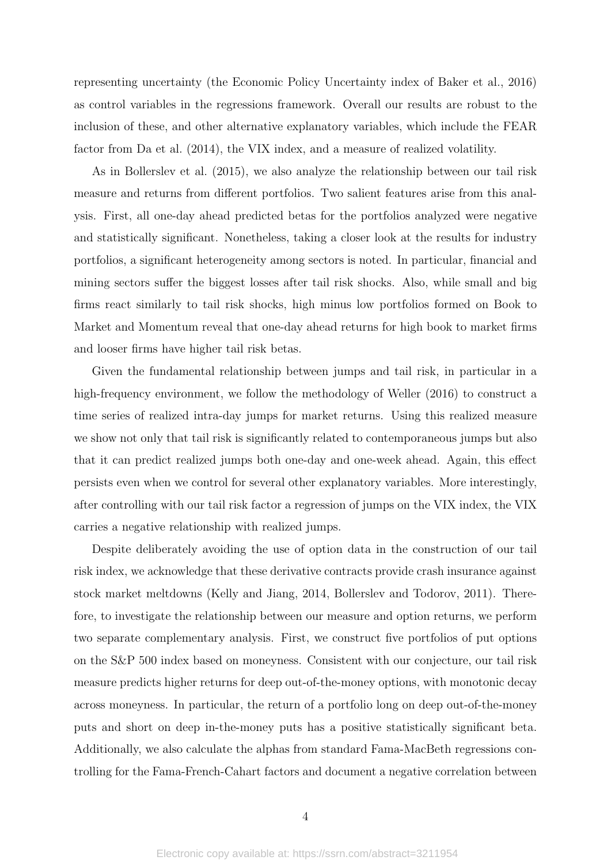representing uncertainty (the Economic Policy Uncertainty index of Baker et al., 2016) as control variables in the regressions framework. Overall our results are robust to the inclusion of these, and other alternative explanatory variables, which include the FEAR factor from Da et al. (2014), the VIX index, and a measure of realized volatility.

As in Bollerslev et al. (2015), we also analyze the relationship between our tail risk measure and returns from different portfolios. Two salient features arise from this analysis. First, all one-day ahead predicted betas for the portfolios analyzed were negative and statistically significant. Nonetheless, taking a closer look at the results for industry portfolios, a significant heterogeneity among sectors is noted. In particular, financial and mining sectors suffer the biggest losses after tail risk shocks. Also, while small and big firms react similarly to tail risk shocks, high minus low portfolios formed on Book to Market and Momentum reveal that one-day ahead returns for high book to market firms and looser firms have higher tail risk betas.

Given the fundamental relationship between jumps and tail risk, in particular in a high-frequency environment, we follow the methodology of Weller (2016) to construct a time series of realized intra-day jumps for market returns. Using this realized measure we show not only that tail risk is significantly related to contemporaneous jumps but also that it can predict realized jumps both one-day and one-week ahead. Again, this effect persists even when we control for several other explanatory variables. More interestingly, after controlling with our tail risk factor a regression of jumps on the VIX index, the VIX carries a negative relationship with realized jumps.

Despite deliberately avoiding the use of option data in the construction of our tail risk index, we acknowledge that these derivative contracts provide crash insurance against stock market meltdowns (Kelly and Jiang, 2014, Bollerslev and Todorov, 2011). Therefore, to investigate the relationship between our measure and option returns, we perform two separate complementary analysis. First, we construct five portfolios of put options on the S&P 500 index based on moneyness. Consistent with our conjecture, our tail risk measure predicts higher returns for deep out-of-the-money options, with monotonic decay across moneyness. In particular, the return of a portfolio long on deep out-of-the-money puts and short on deep in-the-money puts has a positive statistically significant beta. Additionally, we also calculate the alphas from standard Fama-MacBeth regressions controlling for the Fama-French-Cahart factors and document a negative correlation between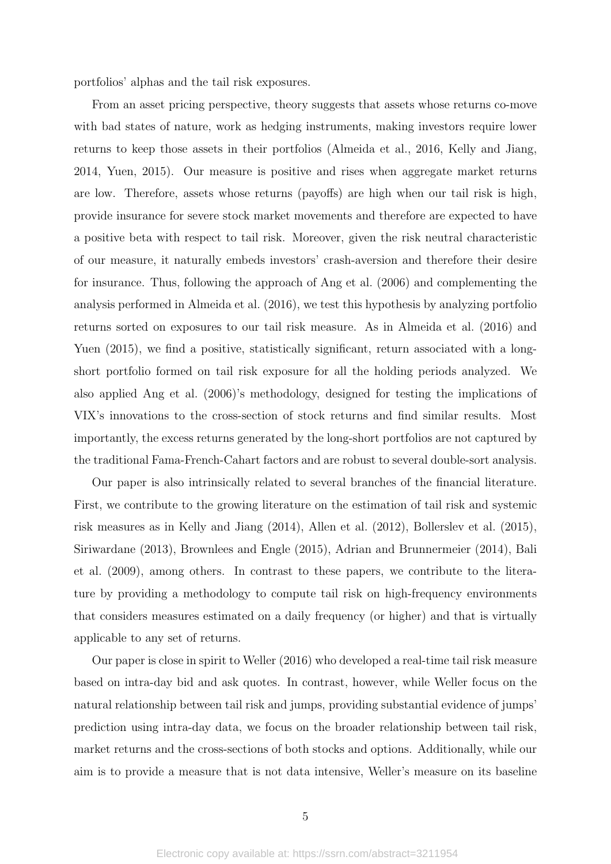portfolios' alphas and the tail risk exposures.

From an asset pricing perspective, theory suggests that assets whose returns co-move with bad states of nature, work as hedging instruments, making investors require lower returns to keep those assets in their portfolios (Almeida et al., 2016, Kelly and Jiang, 2014, Yuen, 2015). Our measure is positive and rises when aggregate market returns are low. Therefore, assets whose returns (payoffs) are high when our tail risk is high, provide insurance for severe stock market movements and therefore are expected to have a positive beta with respect to tail risk. Moreover, given the risk neutral characteristic of our measure, it naturally embeds investors' crash-aversion and therefore their desire for insurance. Thus, following the approach of Ang et al. (2006) and complementing the analysis performed in Almeida et al. (2016), we test this hypothesis by analyzing portfolio returns sorted on exposures to our tail risk measure. As in Almeida et al. (2016) and Yuen  $(2015)$ , we find a positive, statistically significant, return associated with a longshort portfolio formed on tail risk exposure for all the holding periods analyzed. We also applied Ang et al. (2006)'s methodology, designed for testing the implications of VIX's innovations to the cross-section of stock returns and find similar results. Most importantly, the excess returns generated by the long-short portfolios are not captured by the traditional Fama-French-Cahart factors and are robust to several double-sort analysis.

Our paper is also intrinsically related to several branches of the financial literature. First, we contribute to the growing literature on the estimation of tail risk and systemic risk measures as in Kelly and Jiang (2014), Allen et al. (2012), Bollerslev et al. (2015), Siriwardane (2013), Brownlees and Engle (2015), Adrian and Brunnermeier (2014), Bali et al. (2009), among others. In contrast to these papers, we contribute to the literature by providing a methodology to compute tail risk on high-frequency environments that considers measures estimated on a daily frequency (or higher) and that is virtually applicable to any set of returns.

Our paper is close in spirit to Weller (2016) who developed a real-time tail risk measure based on intra-day bid and ask quotes. In contrast, however, while Weller focus on the natural relationship between tail risk and jumps, providing substantial evidence of jumps' prediction using intra-day data, we focus on the broader relationship between tail risk, market returns and the cross-sections of both stocks and options. Additionally, while our aim is to provide a measure that is not data intensive, Weller's measure on its baseline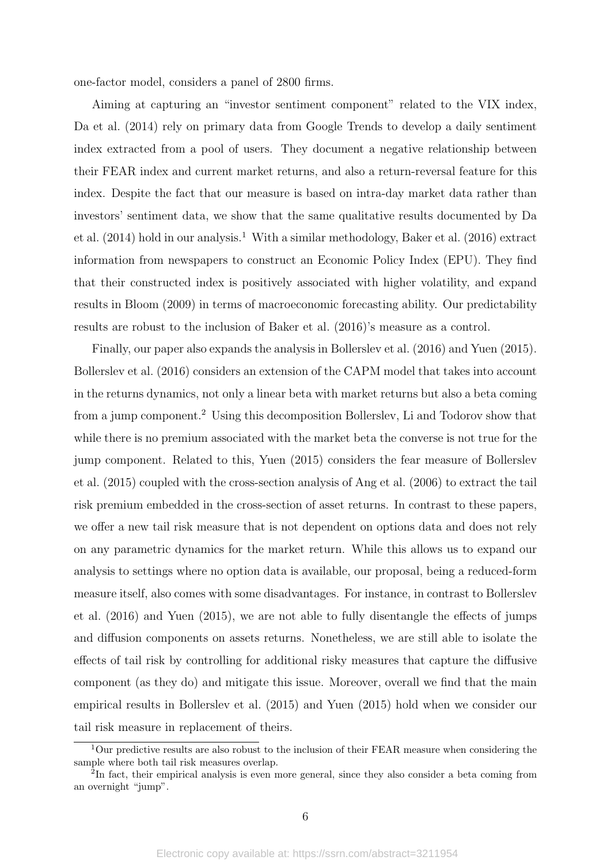one-factor model, considers a panel of 2800 firms.

Aiming at capturing an "investor sentiment component" related to the VIX index, Da et al. (2014) rely on primary data from Google Trends to develop a daily sentiment index extracted from a pool of users. They document a negative relationship between their FEAR index and current market returns, and also a return-reversal feature for this index. Despite the fact that our measure is based on intra-day market data rather than investors' sentiment data, we show that the same qualitative results documented by Da et al.  $(2014)$  hold in our analysis.<sup>1</sup> With a similar methodology, Baker et al.  $(2016)$  extract information from newspapers to construct an Economic Policy Index (EPU). They find that their constructed index is positively associated with higher volatility, and expand results in Bloom (2009) in terms of macroeconomic forecasting ability. Our predictability results are robust to the inclusion of Baker et al. (2016)'s measure as a control.

Finally, our paper also expands the analysis in Bollerslev et al. (2016) and Yuen (2015). Bollerslev et al. (2016) considers an extension of the CAPM model that takes into account in the returns dynamics, not only a linear beta with market returns but also a beta coming from a jump component.<sup>2</sup> Using this decomposition Bollerslev, Li and Todorov show that while there is no premium associated with the market beta the converse is not true for the jump component. Related to this, Yuen (2015) considers the fear measure of Bollerslev et al. (2015) coupled with the cross-section analysis of Ang et al. (2006) to extract the tail risk premium embedded in the cross-section of asset returns. In contrast to these papers, we offer a new tail risk measure that is not dependent on options data and does not rely on any parametric dynamics for the market return. While this allows us to expand our analysis to settings where no option data is available, our proposal, being a reduced-form measure itself, also comes with some disadvantages. For instance, in contrast to Bollerslev et al. (2016) and Yuen (2015), we are not able to fully disentangle the effects of jumps and diffusion components on assets returns. Nonetheless, we are still able to isolate the effects of tail risk by controlling for additional risky measures that capture the diffusive component (as they do) and mitigate this issue. Moreover, overall we find that the main empirical results in Bollerslev et al. (2015) and Yuen (2015) hold when we consider our tail risk measure in replacement of theirs.

<sup>1</sup>Our predictive results are also robust to the inclusion of their FEAR measure when considering the sample where both tail risk measures overlap.

<sup>&</sup>lt;sup>2</sup>In fact, their empirical analysis is even more general, since they also consider a beta coming from an overnight "jump".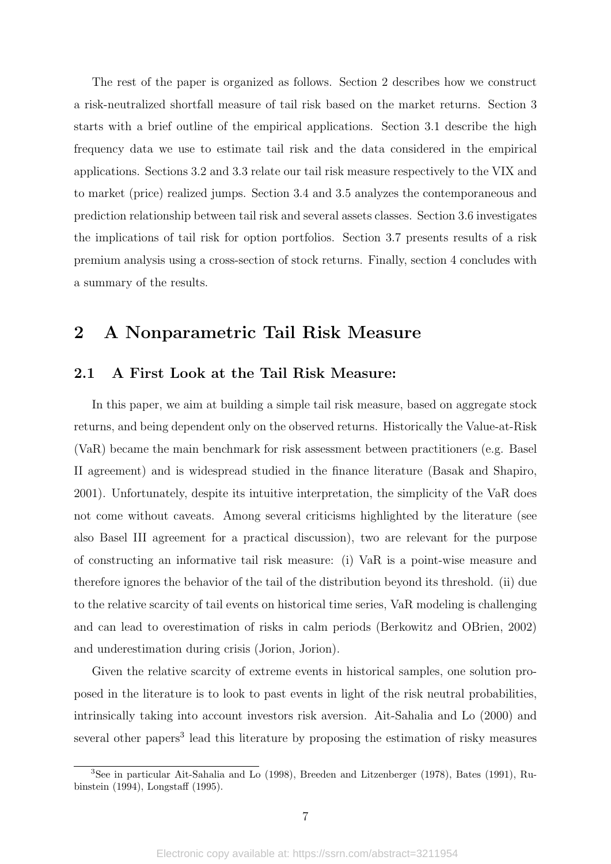The rest of the paper is organized as follows. Section 2 describes how we construct a risk-neutralized shortfall measure of tail risk based on the market returns. Section 3 starts with a brief outline of the empirical applications. Section 3.1 describe the high frequency data we use to estimate tail risk and the data considered in the empirical applications. Sections 3.2 and 3.3 relate our tail risk measure respectively to the VIX and to market (price) realized jumps. Section 3.4 and 3.5 analyzes the contemporaneous and prediction relationship between tail risk and several assets classes. Section 3.6 investigates the implications of tail risk for option portfolios. Section 3.7 presents results of a risk premium analysis using a cross-section of stock returns. Finally, section 4 concludes with a summary of the results.

# 2 A Nonparametric Tail Risk Measure

### 2.1 A First Look at the Tail Risk Measure:

In this paper, we aim at building a simple tail risk measure, based on aggregate stock returns, and being dependent only on the observed returns. Historically the Value-at-Risk (VaR) became the main benchmark for risk assessment between practitioners (e.g. Basel II agreement) and is widespread studied in the finance literature (Basak and Shapiro, 2001). Unfortunately, despite its intuitive interpretation, the simplicity of the VaR does not come without caveats. Among several criticisms highlighted by the literature (see also Basel III agreement for a practical discussion), two are relevant for the purpose of constructing an informative tail risk measure: (i) VaR is a point-wise measure and therefore ignores the behavior of the tail of the distribution beyond its threshold. (ii) due to the relative scarcity of tail events on historical time series, VaR modeling is challenging and can lead to overestimation of risks in calm periods (Berkowitz and OBrien, 2002) and underestimation during crisis (Jorion, Jorion).

Given the relative scarcity of extreme events in historical samples, one solution proposed in the literature is to look to past events in light of the risk neutral probabilities, intrinsically taking into account investors risk aversion. Ait-Sahalia and Lo (2000) and several other papers<sup>3</sup> lead this literature by proposing the estimation of risky measures

<sup>3</sup>See in particular Ait-Sahalia and Lo (1998), Breeden and Litzenberger (1978), Bates (1991), Rubinstein (1994), Longstaff (1995).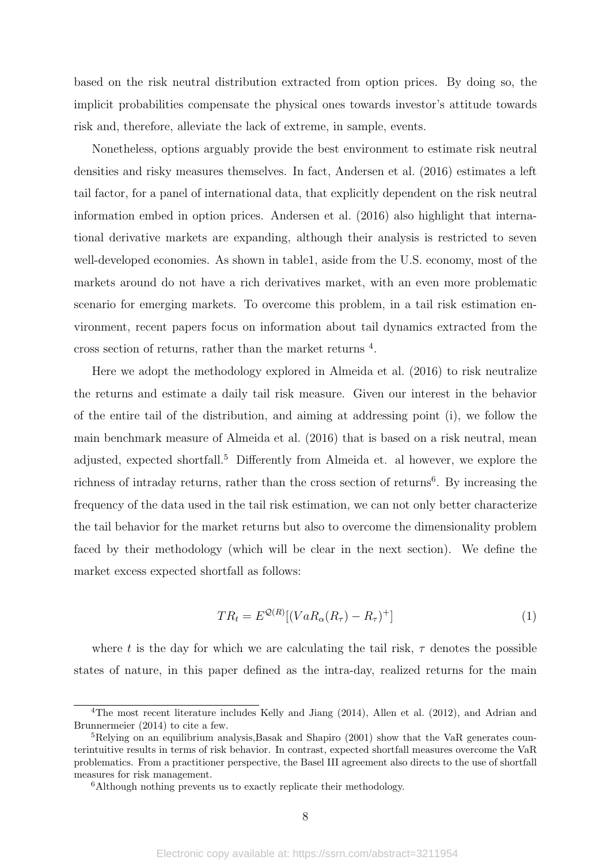based on the risk neutral distribution extracted from option prices. By doing so, the implicit probabilities compensate the physical ones towards investor's attitude towards risk and, therefore, alleviate the lack of extreme, in sample, events.

Nonetheless, options arguably provide the best environment to estimate risk neutral densities and risky measures themselves. In fact, Andersen et al. (2016) estimates a left tail factor, for a panel of international data, that explicitly dependent on the risk neutral information embed in option prices. Andersen et al. (2016) also highlight that international derivative markets are expanding, although their analysis is restricted to seven well-developed economies. As shown in table1, aside from the U.S. economy, most of the markets around do not have a rich derivatives market, with an even more problematic scenario for emerging markets. To overcome this problem, in a tail risk estimation environment, recent papers focus on information about tail dynamics extracted from the cross section of returns, rather than the market returns <sup>4</sup> .

Here we adopt the methodology explored in Almeida et al. (2016) to risk neutralize the returns and estimate a daily tail risk measure. Given our interest in the behavior of the entire tail of the distribution, and aiming at addressing point (i), we follow the main benchmark measure of Almeida et al. (2016) that is based on a risk neutral, mean adjusted, expected shortfall.<sup>5</sup> Differently from Almeida et. al however, we explore the richness of intraday returns, rather than the cross section of returns<sup>6</sup>. By increasing the frequency of the data used in the tail risk estimation, we can not only better characterize the tail behavior for the market returns but also to overcome the dimensionality problem faced by their methodology (which will be clear in the next section). We define the market excess expected shortfall as follows:

$$
TR_t = E^{\mathcal{Q}(R)}[(VaR_\alpha(R_\tau) - R_\tau)^+]
$$
\n<sup>(1)</sup>

where t is the day for which we are calculating the tail risk,  $\tau$  denotes the possible states of nature, in this paper defined as the intra-day, realized returns for the main

<sup>&</sup>lt;sup>4</sup>The most recent literature includes Kelly and Jiang (2014), Allen et al. (2012), and Adrian and Brunnermeier (2014) to cite a few.

 ${}^{5}$ Relying on an equilibrium analysis,Basak and Shapiro (2001) show that the VaR generates counterintuitive results in terms of risk behavior. In contrast, expected shortfall measures overcome the VaR problematics. From a practitioner perspective, the Basel III agreement also directs to the use of shortfall measures for risk management.

<sup>&</sup>lt;sup>6</sup>Although nothing prevents us to exactly replicate their methodology.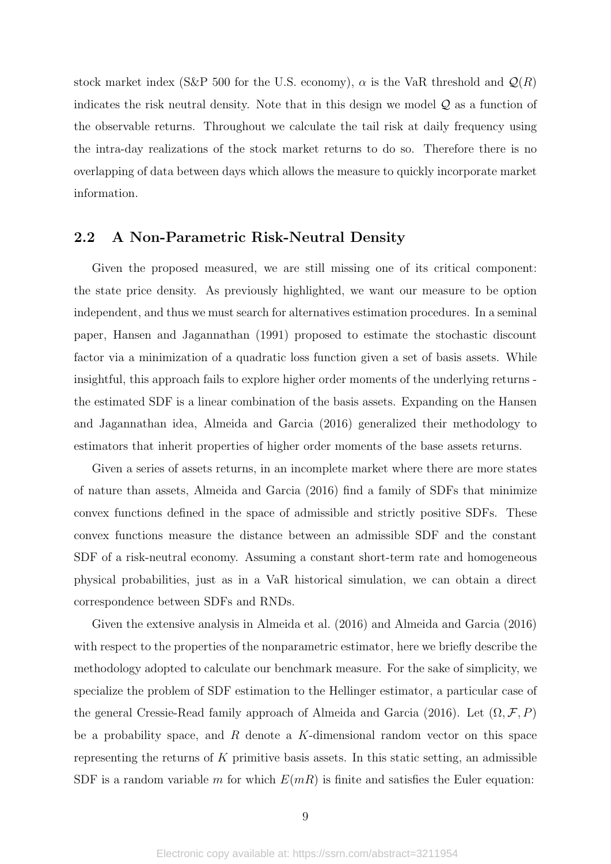stock market index (S&P 500 for the U.S. economy),  $\alpha$  is the VaR threshold and  $\mathcal{Q}(R)$ indicates the risk neutral density. Note that in this design we model  $\mathcal Q$  as a function of the observable returns. Throughout we calculate the tail risk at daily frequency using the intra-day realizations of the stock market returns to do so. Therefore there is no overlapping of data between days which allows the measure to quickly incorporate market information.

#### 2.2 A Non-Parametric Risk-Neutral Density

Given the proposed measured, we are still missing one of its critical component: the state price density. As previously highlighted, we want our measure to be option independent, and thus we must search for alternatives estimation procedures. In a seminal paper, Hansen and Jagannathan (1991) proposed to estimate the stochastic discount factor via a minimization of a quadratic loss function given a set of basis assets. While insightful, this approach fails to explore higher order moments of the underlying returns the estimated SDF is a linear combination of the basis assets. Expanding on the Hansen and Jagannathan idea, Almeida and Garcia (2016) generalized their methodology to estimators that inherit properties of higher order moments of the base assets returns.

Given a series of assets returns, in an incomplete market where there are more states of nature than assets, Almeida and Garcia (2016) find a family of SDFs that minimize convex functions defined in the space of admissible and strictly positive SDFs. These convex functions measure the distance between an admissible SDF and the constant SDF of a risk-neutral economy. Assuming a constant short-term rate and homogeneous physical probabilities, just as in a VaR historical simulation, we can obtain a direct correspondence between SDFs and RNDs.

Given the extensive analysis in Almeida et al. (2016) and Almeida and Garcia (2016) with respect to the properties of the nonparametric estimator, here we briefly describe the methodology adopted to calculate our benchmark measure. For the sake of simplicity, we specialize the problem of SDF estimation to the Hellinger estimator, a particular case of the general Cressie-Read family approach of Almeida and Garcia (2016). Let  $(\Omega, \mathcal{F}, P)$ be a probability space, and  $R$  denote a K-dimensional random vector on this space representing the returns of  $K$  primitive basis assets. In this static setting, an admissible SDF is a random variable m for which  $E(mR)$  is finite and satisfies the Euler equation: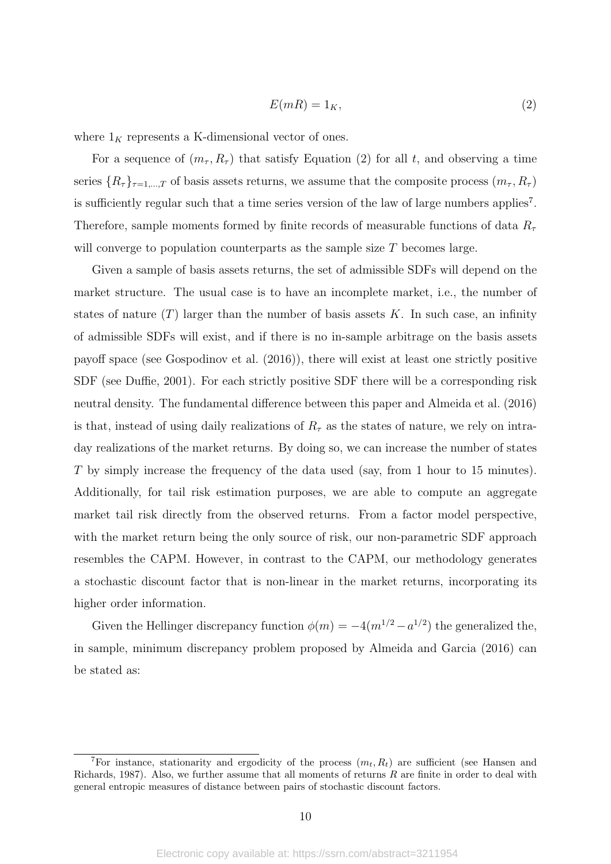$$
E(mR) = 1_K,\t\t(2)
$$

where  $1_K$  represents a K-dimensional vector of ones.

For a sequence of  $(m_{\tau}, R_{\tau})$  that satisfy Equation (2) for all t, and observing a time series  $\{R_\tau\}_{\tau=1,\dots,T}$  of basis assets returns, we assume that the composite process  $(m_\tau, R_\tau)$ is sufficiently regular such that a time series version of the law of large numbers applies<sup>7</sup>. Therefore, sample moments formed by finite records of measurable functions of data  $R_{\tau}$ will converge to population counterparts as the sample size  $T$  becomes large.

Given a sample of basis assets returns, the set of admissible SDFs will depend on the market structure. The usual case is to have an incomplete market, i.e., the number of states of nature  $(T)$  larger than the number of basis assets K. In such case, an infinity of admissible SDFs will exist, and if there is no in-sample arbitrage on the basis assets payoff space (see Gospodinov et al. (2016)), there will exist at least one strictly positive SDF (see Duffie, 2001). For each strictly positive SDF there will be a corresponding risk neutral density. The fundamental difference between this paper and Almeida et al. (2016) is that, instead of using daily realizations of  $R_{\tau}$  as the states of nature, we rely on intraday realizations of the market returns. By doing so, we can increase the number of states T by simply increase the frequency of the data used (say, from 1 hour to 15 minutes). Additionally, for tail risk estimation purposes, we are able to compute an aggregate market tail risk directly from the observed returns. From a factor model perspective, with the market return being the only source of risk, our non-parametric SDF approach resembles the CAPM. However, in contrast to the CAPM, our methodology generates a stochastic discount factor that is non-linear in the market returns, incorporating its higher order information.

Given the Hellinger discrepancy function  $\phi(m) = -4(m^{1/2} - a^{1/2})$  the generalized the, in sample, minimum discrepancy problem proposed by Almeida and Garcia (2016) can be stated as:

<sup>&</sup>lt;sup>7</sup>For instance, stationarity and ergodicity of the process  $(m_t, R_t)$  are sufficient (see Hansen and Richards, 1987). Also, we further assume that all moments of returns  $R$  are finite in order to deal with general entropic measures of distance between pairs of stochastic discount factors.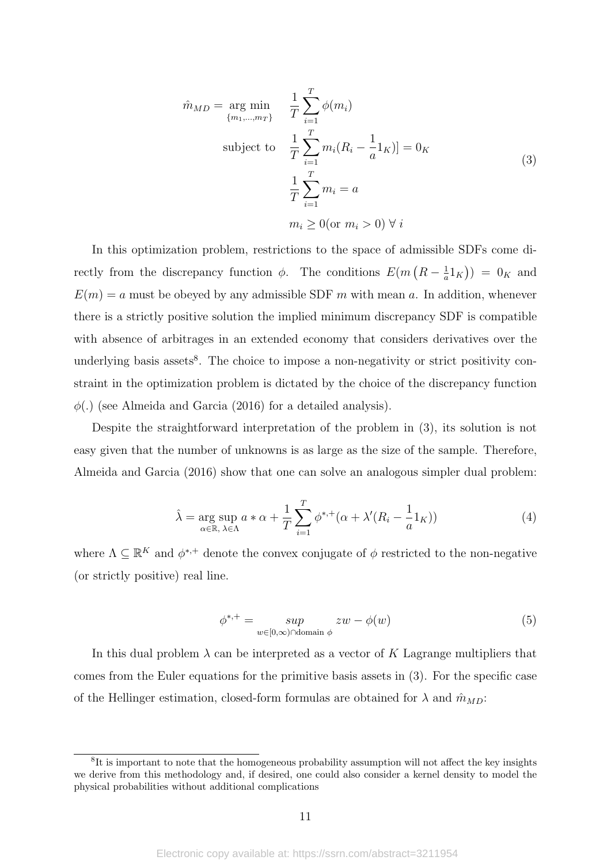$$
\hat{m}_{MD} = \underset{\{m_1, \dots, m_T\}}{\text{arg min}} \quad \frac{1}{T} \sum_{i=1}^{T} \phi(m_i)
$$
\n
$$
\text{subject to} \quad \frac{1}{T} \sum_{i=1}^{T} m_i (R_i - \frac{1}{a} 1_K) = 0_K
$$
\n
$$
\frac{1}{T} \sum_{i=1}^{T} m_i = a
$$
\n
$$
m_i \ge 0 \text{(or } m_i > 0 \text{)} \forall i
$$
\n(3)

In this optimization problem, restrictions to the space of admissible SDFs come directly from the discrepancy function  $\phi$ . The conditions  $E(m) (R - \frac{1}{a})$  $(\frac{1}{a}1_K)) = 0_K$  and  $E(m) = a$  must be obeyed by any admissible SDF m with mean a. In addition, whenever there is a strictly positive solution the implied minimum discrepancy SDF is compatible with absence of arbitrages in an extended economy that considers derivatives over the underlying basis assets<sup>8</sup>. The choice to impose a non-negativity or strict positivity constraint in the optimization problem is dictated by the choice of the discrepancy function  $\phi(.)$  (see Almeida and Garcia (2016) for a detailed analysis).

Despite the straightforward interpretation of the problem in (3), its solution is not easy given that the number of unknowns is as large as the size of the sample. Therefore, Almeida and Garcia (2016) show that one can solve an analogous simpler dual problem:

$$
\hat{\lambda} = \underset{\alpha \in \mathbb{R}, \ \lambda \in \Lambda}{\arg \sup} a * \alpha + \frac{1}{T} \sum_{i=1}^{T} \phi^{*,+} (\alpha + \lambda'(R_i - \frac{1}{a} 1_K))
$$
(4)

where  $\Lambda \subseteq \mathbb{R}^K$  and  $\phi^{*,+}$  denote the convex conjugate of  $\phi$  restricted to the non-negative (or strictly positive) real line.

$$
\phi^{*,+} = \sup_{w \in [0,\infty) \cap \text{domain } \phi} zw - \phi(w) \tag{5}
$$

In this dual problem  $\lambda$  can be interpreted as a vector of K Lagrange multipliers that comes from the Euler equations for the primitive basis assets in (3). For the specific case of the Hellinger estimation, closed-form formulas are obtained for  $\lambda$  and  $\hat{m}_{MD}$ :

<sup>&</sup>lt;sup>8</sup>It is important to note that the homogeneous probability assumption will not affect the key insights we derive from this methodology and, if desired, one could also consider a kernel density to model the physical probabilities without additional complications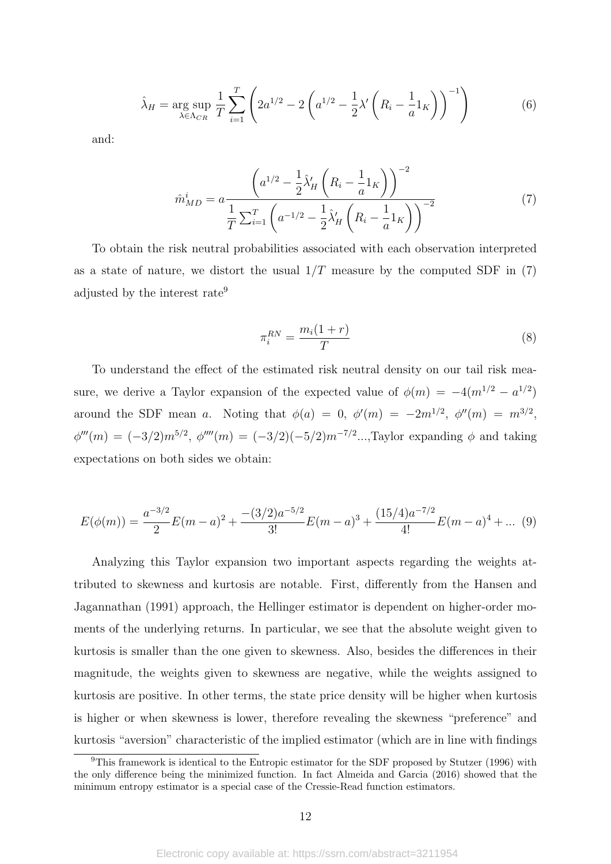$$
\hat{\lambda}_H = \underset{\lambda \in \Lambda_{CR}}{\arg \sup} \frac{1}{T} \sum_{i=1}^T \left( 2a^{1/2} - 2\left( a^{1/2} - \frac{1}{2} \lambda' \left( R_i - \frac{1}{a} 1_K \right) \right)^{-1} \right) \tag{6}
$$

and:

$$
\hat{m}_{MD}^{i} = a \frac{\left(a^{1/2} - \frac{1}{2} \hat{\lambda}_{H}' \left(R_{i} - \frac{1}{a} 1_{K}\right)\right)^{-2}}{\frac{1}{T} \sum_{i=1}^{T} \left(a^{-1/2} - \frac{1}{2} \hat{\lambda}_{H}' \left(R_{i} - \frac{1}{a} 1_{K}\right)\right)^{-2}}
$$
(7)

To obtain the risk neutral probabilities associated with each observation interpreted as a state of nature, we distort the usual  $1/T$  measure by the computed SDF in (7) adjusted by the interest rate<sup>9</sup>

$$
\pi_i^{RN} = \frac{m_i(1+r)}{T} \tag{8}
$$

To understand the effect of the estimated risk neutral density on our tail risk measure, we derive a Taylor expansion of the expected value of  $\phi(m) = -4(m^{1/2} - a^{1/2})$ around the SDF mean a. Noting that  $\phi(a) = 0, \ \phi'(m) = -2m^{1/2}, \ \phi''(m) = m^{3/2},$  $\phi'''(m) = (-3/2)m^{5/2}, \ \phi''''(m) = (-3/2)(-5/2)m^{-7/2}...$ , Taylor expanding  $\phi$  and taking expectations on both sides we obtain:

$$
E(\phi(m)) = \frac{a^{-3/2}}{2}E(m-a)^2 + \frac{-(3/2)a^{-5/2}}{3!}E(m-a)^3 + \frac{(15/4)a^{-7/2}}{4!}E(m-a)^4 + \dots (9)
$$

Analyzing this Taylor expansion two important aspects regarding the weights attributed to skewness and kurtosis are notable. First, differently from the Hansen and Jagannathan (1991) approach, the Hellinger estimator is dependent on higher-order moments of the underlying returns. In particular, we see that the absolute weight given to kurtosis is smaller than the one given to skewness. Also, besides the differences in their magnitude, the weights given to skewness are negative, while the weights assigned to kurtosis are positive. In other terms, the state price density will be higher when kurtosis is higher or when skewness is lower, therefore revealing the skewness "preference" and kurtosis "aversion" characteristic of the implied estimator (which are in line with findings

<sup>&</sup>lt;sup>9</sup>This framework is identical to the Entropic estimator for the SDF proposed by Stutzer (1996) with the only difference being the minimized function. In fact Almeida and Garcia (2016) showed that the minimum entropy estimator is a special case of the Cressie-Read function estimators.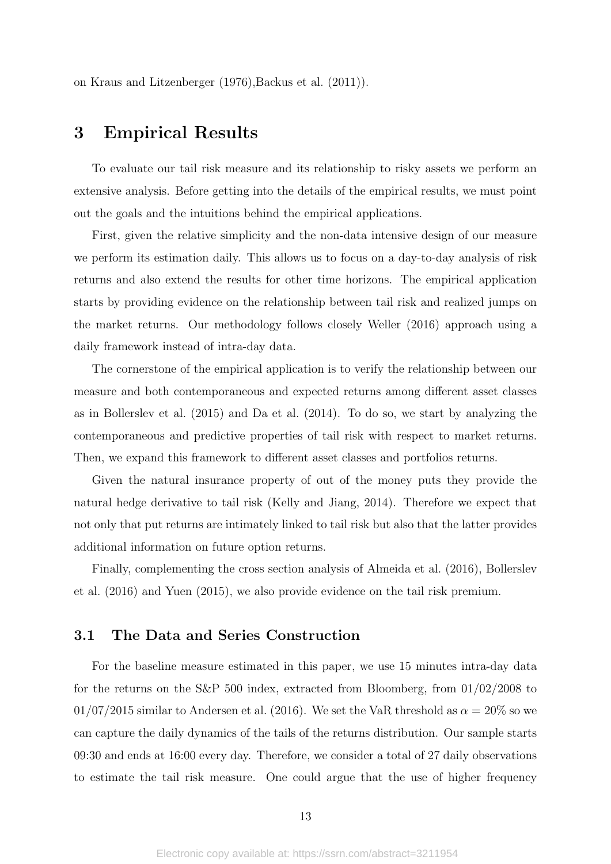on Kraus and Litzenberger (1976),Backus et al. (2011)).

### 3 Empirical Results

To evaluate our tail risk measure and its relationship to risky assets we perform an extensive analysis. Before getting into the details of the empirical results, we must point out the goals and the intuitions behind the empirical applications.

First, given the relative simplicity and the non-data intensive design of our measure we perform its estimation daily. This allows us to focus on a day-to-day analysis of risk returns and also extend the results for other time horizons. The empirical application starts by providing evidence on the relationship between tail risk and realized jumps on the market returns. Our methodology follows closely Weller (2016) approach using a daily framework instead of intra-day data.

The cornerstone of the empirical application is to verify the relationship between our measure and both contemporaneous and expected returns among different asset classes as in Bollerslev et al. (2015) and Da et al. (2014). To do so, we start by analyzing the contemporaneous and predictive properties of tail risk with respect to market returns. Then, we expand this framework to different asset classes and portfolios returns.

Given the natural insurance property of out of the money puts they provide the natural hedge derivative to tail risk (Kelly and Jiang, 2014). Therefore we expect that not only that put returns are intimately linked to tail risk but also that the latter provides additional information on future option returns.

Finally, complementing the cross section analysis of Almeida et al. (2016), Bollerslev et al. (2016) and Yuen (2015), we also provide evidence on the tail risk premium.

### 3.1 The Data and Series Construction

For the baseline measure estimated in this paper, we use 15 minutes intra-day data for the returns on the S&P 500 index, extracted from Bloomberg, from 01/02/2008 to 01/07/2015 similar to Andersen et al. (2016). We set the VaR threshold as  $\alpha = 20\%$  so we can capture the daily dynamics of the tails of the returns distribution. Our sample starts 09:30 and ends at 16:00 every day. Therefore, we consider a total of 27 daily observations to estimate the tail risk measure. One could argue that the use of higher frequency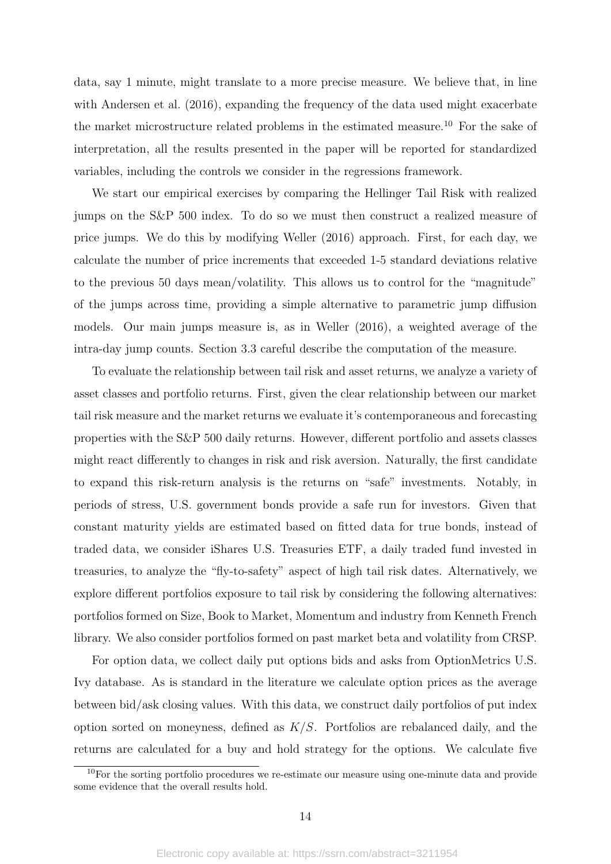data, say 1 minute, might translate to a more precise measure. We believe that, in line with Andersen et al. (2016), expanding the frequency of the data used might exacerbate the market microstructure related problems in the estimated measure.<sup>10</sup> For the sake of interpretation, all the results presented in the paper will be reported for standardized variables, including the controls we consider in the regressions framework.

We start our empirical exercises by comparing the Hellinger Tail Risk with realized jumps on the S&P 500 index. To do so we must then construct a realized measure of price jumps. We do this by modifying Weller (2016) approach. First, for each day, we calculate the number of price increments that exceeded 1-5 standard deviations relative to the previous 50 days mean/volatility. This allows us to control for the "magnitude" of the jumps across time, providing a simple alternative to parametric jump diffusion models. Our main jumps measure is, as in Weller (2016), a weighted average of the intra-day jump counts. Section 3.3 careful describe the computation of the measure.

To evaluate the relationship between tail risk and asset returns, we analyze a variety of asset classes and portfolio returns. First, given the clear relationship between our market tail risk measure and the market returns we evaluate it's contemporaneous and forecasting properties with the S&P 500 daily returns. However, different portfolio and assets classes might react differently to changes in risk and risk aversion. Naturally, the first candidate to expand this risk-return analysis is the returns on "safe" investments. Notably, in periods of stress, U.S. government bonds provide a safe run for investors. Given that constant maturity yields are estimated based on fitted data for true bonds, instead of traded data, we consider iShares U.S. Treasuries ETF, a daily traded fund invested in treasuries, to analyze the "fly-to-safety" aspect of high tail risk dates. Alternatively, we explore different portfolios exposure to tail risk by considering the following alternatives: portfolios formed on Size, Book to Market, Momentum and industry from Kenneth French library. We also consider portfolios formed on past market beta and volatility from CRSP.

For option data, we collect daily put options bids and asks from OptionMetrics U.S. Ivy database. As is standard in the literature we calculate option prices as the average between bid/ask closing values. With this data, we construct daily portfolios of put index option sorted on moneyness, defined as  $K/S$ . Portfolios are rebalanced daily, and the returns are calculated for a buy and hold strategy for the options. We calculate five

 $10$ For the sorting portfolio procedures we re-estimate our measure using one-minute data and provide some evidence that the overall results hold.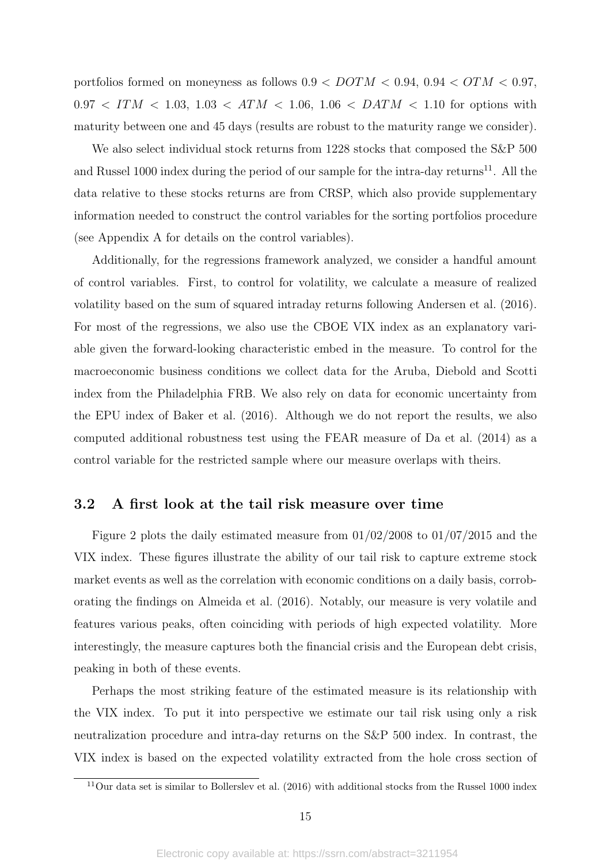portfolios formed on moneyness as follows  $0.9 < DOTM < 0.94, 0.94 < OTM < 0.97$ ,  $0.97 < ITM < 1.03, 1.03 < ATM < 1.06, 1.06 < DATA < 1.10$  for options with maturity between one and 45 days (results are robust to the maturity range we consider).

We also select individual stock returns from 1228 stocks that composed the S&P 500 and Russel 1000 index during the period of our sample for the intra-day returns<sup>11</sup>. All the data relative to these stocks returns are from CRSP, which also provide supplementary information needed to construct the control variables for the sorting portfolios procedure (see Appendix A for details on the control variables).

Additionally, for the regressions framework analyzed, we consider a handful amount of control variables. First, to control for volatility, we calculate a measure of realized volatility based on the sum of squared intraday returns following Andersen et al. (2016). For most of the regressions, we also use the CBOE VIX index as an explanatory variable given the forward-looking characteristic embed in the measure. To control for the macroeconomic business conditions we collect data for the Aruba, Diebold and Scotti index from the Philadelphia FRB. We also rely on data for economic uncertainty from the EPU index of Baker et al. (2016). Although we do not report the results, we also computed additional robustness test using the FEAR measure of Da et al. (2014) as a control variable for the restricted sample where our measure overlaps with theirs.

### 3.2 A first look at the tail risk measure over time

Figure 2 plots the daily estimated measure from  $01/02/2008$  to  $01/07/2015$  and the VIX index. These figures illustrate the ability of our tail risk to capture extreme stock market events as well as the correlation with economic conditions on a daily basis, corroborating the findings on Almeida et al. (2016). Notably, our measure is very volatile and features various peaks, often coinciding with periods of high expected volatility. More interestingly, the measure captures both the financial crisis and the European debt crisis, peaking in both of these events.

Perhaps the most striking feature of the estimated measure is its relationship with the VIX index. To put it into perspective we estimate our tail risk using only a risk neutralization procedure and intra-day returns on the S&P 500 index. In contrast, the VIX index is based on the expected volatility extracted from the hole cross section of

 $11$ Our data set is similar to Bollerslev et al. (2016) with additional stocks from the Russel 1000 index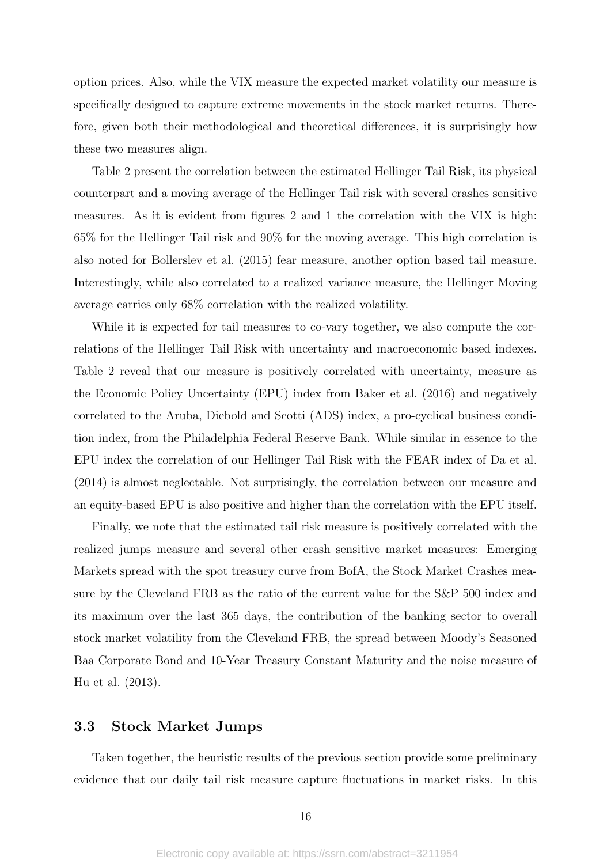option prices. Also, while the VIX measure the expected market volatility our measure is specifically designed to capture extreme movements in the stock market returns. Therefore, given both their methodological and theoretical differences, it is surprisingly how these two measures align.

Table 2 present the correlation between the estimated Hellinger Tail Risk, its physical counterpart and a moving average of the Hellinger Tail risk with several crashes sensitive measures. As it is evident from figures 2 and 1 the correlation with the VIX is high: 65% for the Hellinger Tail risk and 90% for the moving average. This high correlation is also noted for Bollerslev et al. (2015) fear measure, another option based tail measure. Interestingly, while also correlated to a realized variance measure, the Hellinger Moving average carries only 68% correlation with the realized volatility.

While it is expected for tail measures to co-vary together, we also compute the correlations of the Hellinger Tail Risk with uncertainty and macroeconomic based indexes. Table 2 reveal that our measure is positively correlated with uncertainty, measure as the Economic Policy Uncertainty (EPU) index from Baker et al. (2016) and negatively correlated to the Aruba, Diebold and Scotti (ADS) index, a pro-cyclical business condition index, from the Philadelphia Federal Reserve Bank. While similar in essence to the EPU index the correlation of our Hellinger Tail Risk with the FEAR index of Da et al. (2014) is almost neglectable. Not surprisingly, the correlation between our measure and an equity-based EPU is also positive and higher than the correlation with the EPU itself.

Finally, we note that the estimated tail risk measure is positively correlated with the realized jumps measure and several other crash sensitive market measures: Emerging Markets spread with the spot treasury curve from BofA, the Stock Market Crashes measure by the Cleveland FRB as the ratio of the current value for the S&P 500 index and its maximum over the last 365 days, the contribution of the banking sector to overall stock market volatility from the Cleveland FRB, the spread between Moody's Seasoned Baa Corporate Bond and 10-Year Treasury Constant Maturity and the noise measure of Hu et al. (2013).

#### 3.3 Stock Market Jumps

Taken together, the heuristic results of the previous section provide some preliminary evidence that our daily tail risk measure capture fluctuations in market risks. In this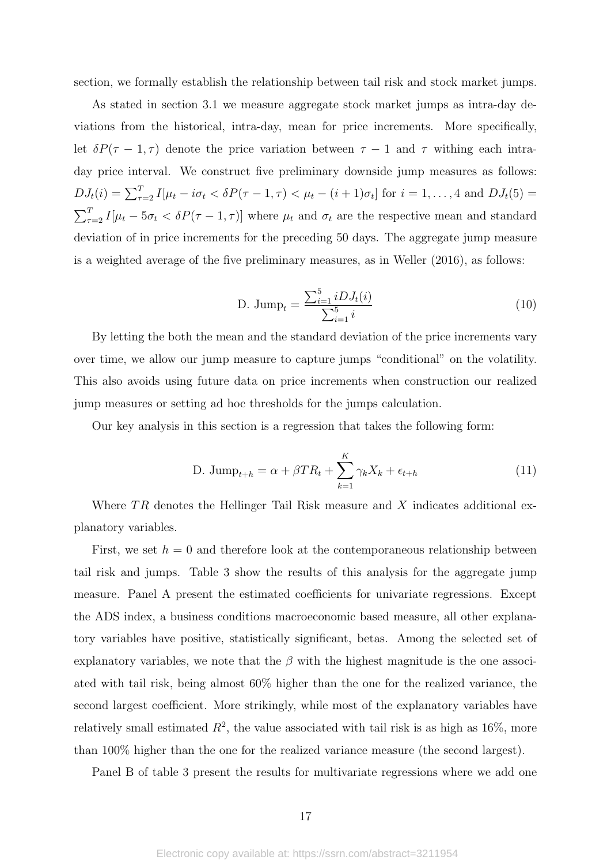section, we formally establish the relationship between tail risk and stock market jumps.

As stated in section 3.1 we measure aggregate stock market jumps as intra-day deviations from the historical, intra-day, mean for price increments. More specifically, let  $\delta P(\tau - 1, \tau)$  denote the price variation between  $\tau - 1$  and  $\tau$  withing each intraday price interval. We construct five preliminary downside jump measures as follows:  $DJ_t(i) = \sum_{\tau=2}^{T} I[\mu_t - i\sigma_t < \delta P(\tau - 1, \tau) < \mu_t - (i + 1)\sigma_t]$  for  $i = 1, ..., 4$  and  $DJ_t(5) =$  $\sum_{\tau=2}^{T} I[\mu_t - 5\sigma_t < \delta P(\tau - 1, \tau)]$  where  $\mu_t$  and  $\sigma_t$  are the respective mean and standard deviation of in price increments for the preceding 50 days. The aggregate jump measure is a weighted average of the five preliminary measures, as in Weller (2016), as follows:

D. 
$$
\text{Jump}_{t} = \frac{\sum_{i=1}^{5} i D J_{t}(i)}{\sum_{i=1}^{5} i}
$$
 (10)

By letting the both the mean and the standard deviation of the price increments vary over time, we allow our jump measure to capture jumps "conditional" on the volatility. This also avoids using future data on price increments when construction our realized jump measures or setting ad hoc thresholds for the jumps calculation.

Our key analysis in this section is a regression that takes the following form:

D. Jump<sub>t+h</sub> = 
$$
\alpha + \beta TR_t + \sum_{k=1}^{K} \gamma_k X_k + \epsilon_{t+h}
$$
 (11)

Where  $TR$  denotes the Hellinger Tail Risk measure and X indicates additional explanatory variables.

First, we set  $h = 0$  and therefore look at the contemporaneous relationship between tail risk and jumps. Table 3 show the results of this analysis for the aggregate jump measure. Panel A present the estimated coefficients for univariate regressions. Except the ADS index, a business conditions macroeconomic based measure, all other explanatory variables have positive, statistically significant, betas. Among the selected set of explanatory variables, we note that the  $\beta$  with the highest magnitude is the one associated with tail risk, being almost 60% higher than the one for the realized variance, the second largest coefficient. More strikingly, while most of the explanatory variables have relatively small estimated  $R^2$ , the value associated with tail risk is as high as 16%, more than 100% higher than the one for the realized variance measure (the second largest).

Panel B of table 3 present the results for multivariate regressions where we add one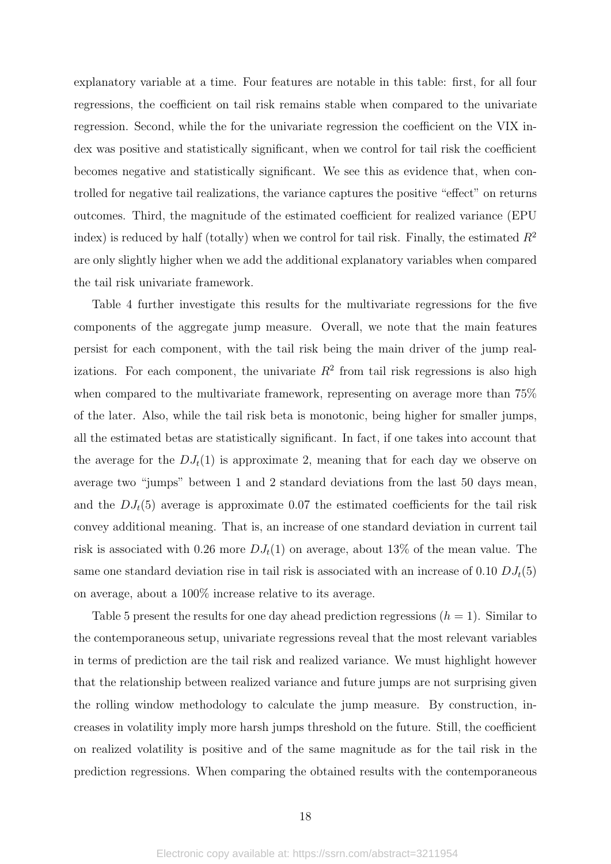explanatory variable at a time. Four features are notable in this table: first, for all four regressions, the coefficient on tail risk remains stable when compared to the univariate regression. Second, while the for the univariate regression the coefficient on the VIX index was positive and statistically significant, when we control for tail risk the coefficient becomes negative and statistically significant. We see this as evidence that, when controlled for negative tail realizations, the variance captures the positive "effect" on returns outcomes. Third, the magnitude of the estimated coefficient for realized variance (EPU index) is reduced by half (totally) when we control for tail risk. Finally, the estimated  $R^2$ are only slightly higher when we add the additional explanatory variables when compared the tail risk univariate framework.

Table 4 further investigate this results for the multivariate regressions for the five components of the aggregate jump measure. Overall, we note that the main features persist for each component, with the tail risk being the main driver of the jump realizations. For each component, the univariate  $R^2$  from tail risk regressions is also high when compared to the multivariate framework, representing on average more than  $75\%$ of the later. Also, while the tail risk beta is monotonic, being higher for smaller jumps, all the estimated betas are statistically significant. In fact, if one takes into account that the average for the  $DJ_t(1)$  is approximate 2, meaning that for each day we observe on average two "jumps" between 1 and 2 standard deviations from the last 50 days mean, and the  $DJ_t(5)$  average is approximate 0.07 the estimated coefficients for the tail risk convey additional meaning. That is, an increase of one standard deviation in current tail risk is associated with 0.26 more  $DJ_t(1)$  on average, about 13% of the mean value. The same one standard deviation rise in tail risk is associated with an increase of 0.10  $DJ_t(5)$ on average, about a 100% increase relative to its average.

Table 5 present the results for one day ahead prediction regressions  $(h = 1)$ . Similar to the contemporaneous setup, univariate regressions reveal that the most relevant variables in terms of prediction are the tail risk and realized variance. We must highlight however that the relationship between realized variance and future jumps are not surprising given the rolling window methodology to calculate the jump measure. By construction, increases in volatility imply more harsh jumps threshold on the future. Still, the coefficient on realized volatility is positive and of the same magnitude as for the tail risk in the prediction regressions. When comparing the obtained results with the contemporaneous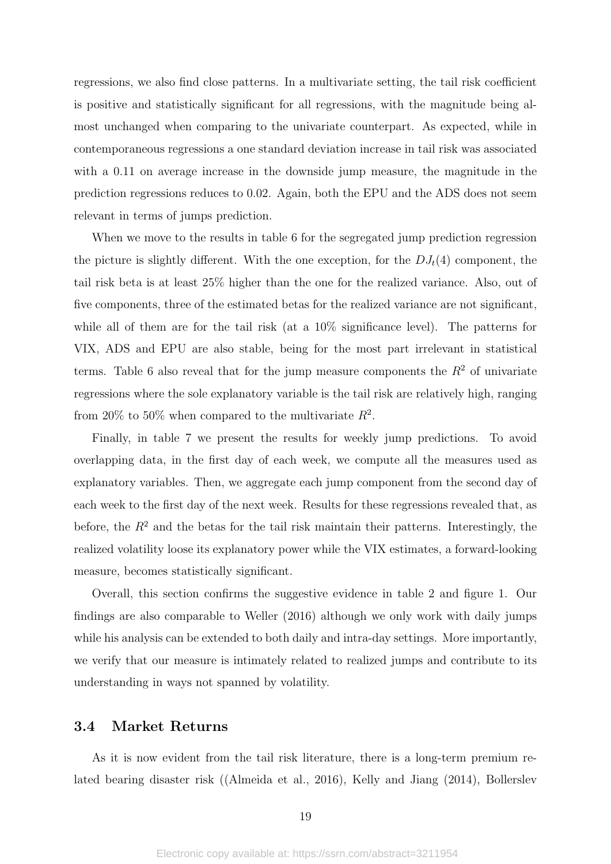regressions, we also find close patterns. In a multivariate setting, the tail risk coefficient is positive and statistically significant for all regressions, with the magnitude being almost unchanged when comparing to the univariate counterpart. As expected, while in contemporaneous regressions a one standard deviation increase in tail risk was associated with a 0.11 on average increase in the downside jump measure, the magnitude in the prediction regressions reduces to 0.02. Again, both the EPU and the ADS does not seem relevant in terms of jumps prediction.

When we move to the results in table 6 for the segregated jump prediction regression the picture is slightly different. With the one exception, for the  $DJ_t(4)$  component, the tail risk beta is at least 25% higher than the one for the realized variance. Also, out of five components, three of the estimated betas for the realized variance are not significant, while all of them are for the tail risk (at a  $10\%$  significance level). The patterns for VIX, ADS and EPU are also stable, being for the most part irrelevant in statistical terms. Table 6 also reveal that for the jump measure components the  $R^2$  of univariate regressions where the sole explanatory variable is the tail risk are relatively high, ranging from 20% to 50% when compared to the multivariate  $R^2$ .

Finally, in table 7 we present the results for weekly jump predictions. To avoid overlapping data, in the first day of each week, we compute all the measures used as explanatory variables. Then, we aggregate each jump component from the second day of each week to the first day of the next week. Results for these regressions revealed that, as before, the  $R^2$  and the betas for the tail risk maintain their patterns. Interestingly, the realized volatility loose its explanatory power while the VIX estimates, a forward-looking measure, becomes statistically significant.

Overall, this section confirms the suggestive evidence in table 2 and figure 1. Our findings are also comparable to Weller (2016) although we only work with daily jumps while his analysis can be extended to both daily and intra-day settings. More importantly, we verify that our measure is intimately related to realized jumps and contribute to its understanding in ways not spanned by volatility.

#### 3.4 Market Returns

As it is now evident from the tail risk literature, there is a long-term premium related bearing disaster risk ((Almeida et al., 2016), Kelly and Jiang (2014), Bollerslev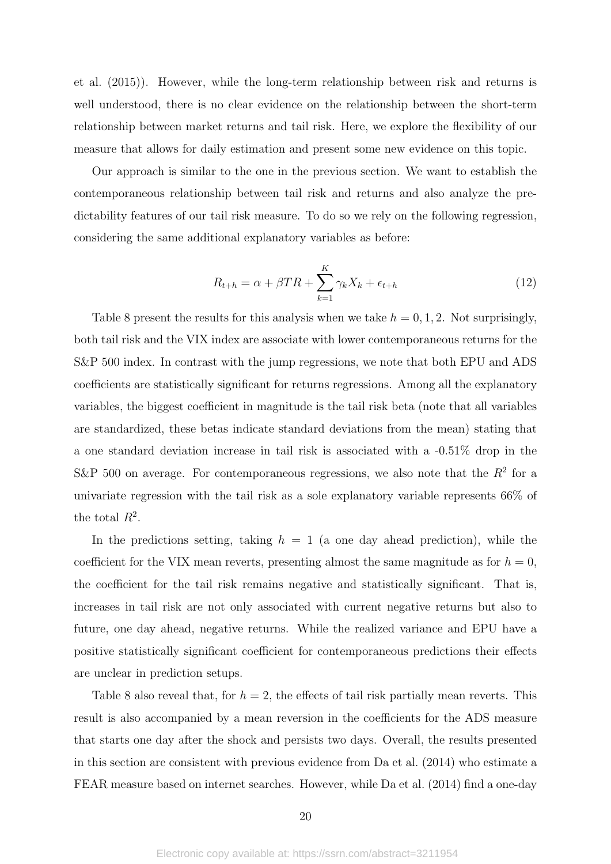et al. (2015)). However, while the long-term relationship between risk and returns is well understood, there is no clear evidence on the relationship between the short-term relationship between market returns and tail risk. Here, we explore the flexibility of our measure that allows for daily estimation and present some new evidence on this topic.

Our approach is similar to the one in the previous section. We want to establish the contemporaneous relationship between tail risk and returns and also analyze the predictability features of our tail risk measure. To do so we rely on the following regression, considering the same additional explanatory variables as before:

$$
R_{t+h} = \alpha + \beta TR + \sum_{k=1}^{K} \gamma_k X_k + \epsilon_{t+h}
$$
\n(12)

Table 8 present the results for this analysis when we take  $h = 0, 1, 2$ . Not surprisingly, both tail risk and the VIX index are associate with lower contemporaneous returns for the S&P 500 index. In contrast with the jump regressions, we note that both EPU and ADS coefficients are statistically significant for returns regressions. Among all the explanatory variables, the biggest coefficient in magnitude is the tail risk beta (note that all variables are standardized, these betas indicate standard deviations from the mean) stating that a one standard deviation increase in tail risk is associated with a -0.51% drop in the S&P 500 on average. For contemporaneous regressions, we also note that the  $R^2$  for a univariate regression with the tail risk as a sole explanatory variable represents 66% of the total  $R^2$ .

In the predictions setting, taking  $h = 1$  (a one day ahead prediction), while the coefficient for the VIX mean reverts, presenting almost the same magnitude as for  $h = 0$ , the coefficient for the tail risk remains negative and statistically significant. That is, increases in tail risk are not only associated with current negative returns but also to future, one day ahead, negative returns. While the realized variance and EPU have a positive statistically significant coefficient for contemporaneous predictions their effects are unclear in prediction setups.

Table 8 also reveal that, for  $h = 2$ , the effects of tail risk partially mean reverts. This result is also accompanied by a mean reversion in the coefficients for the ADS measure that starts one day after the shock and persists two days. Overall, the results presented in this section are consistent with previous evidence from Da et al. (2014) who estimate a FEAR measure based on internet searches. However, while Da et al. (2014) find a one-day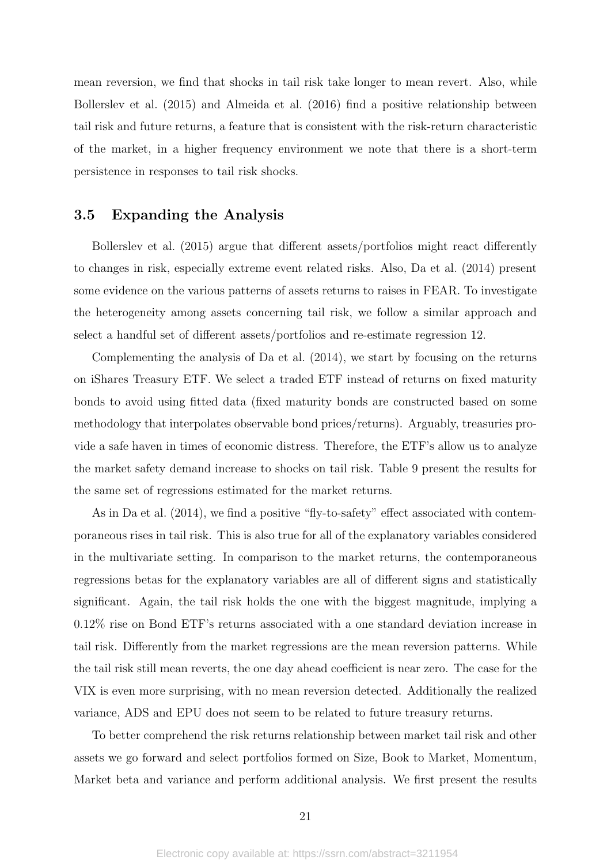mean reversion, we find that shocks in tail risk take longer to mean revert. Also, while Bollerslev et al. (2015) and Almeida et al. (2016) find a positive relationship between tail risk and future returns, a feature that is consistent with the risk-return characteristic of the market, in a higher frequency environment we note that there is a short-term persistence in responses to tail risk shocks.

#### 3.5 Expanding the Analysis

Bollerslev et al. (2015) argue that different assets/portfolios might react differently to changes in risk, especially extreme event related risks. Also, Da et al. (2014) present some evidence on the various patterns of assets returns to raises in FEAR. To investigate the heterogeneity among assets concerning tail risk, we follow a similar approach and select a handful set of different assets/portfolios and re-estimate regression 12.

Complementing the analysis of Da et al. (2014), we start by focusing on the returns on iShares Treasury ETF. We select a traded ETF instead of returns on fixed maturity bonds to avoid using fitted data (fixed maturity bonds are constructed based on some methodology that interpolates observable bond prices/returns). Arguably, treasuries provide a safe haven in times of economic distress. Therefore, the ETF's allow us to analyze the market safety demand increase to shocks on tail risk. Table 9 present the results for the same set of regressions estimated for the market returns.

As in Da et al. (2014), we find a positive "fly-to-safety" effect associated with contemporaneous rises in tail risk. This is also true for all of the explanatory variables considered in the multivariate setting. In comparison to the market returns, the contemporaneous regressions betas for the explanatory variables are all of different signs and statistically significant. Again, the tail risk holds the one with the biggest magnitude, implying a 0.12% rise on Bond ETF's returns associated with a one standard deviation increase in tail risk. Differently from the market regressions are the mean reversion patterns. While the tail risk still mean reverts, the one day ahead coefficient is near zero. The case for the VIX is even more surprising, with no mean reversion detected. Additionally the realized variance, ADS and EPU does not seem to be related to future treasury returns.

To better comprehend the risk returns relationship between market tail risk and other assets we go forward and select portfolios formed on Size, Book to Market, Momentum, Market beta and variance and perform additional analysis. We first present the results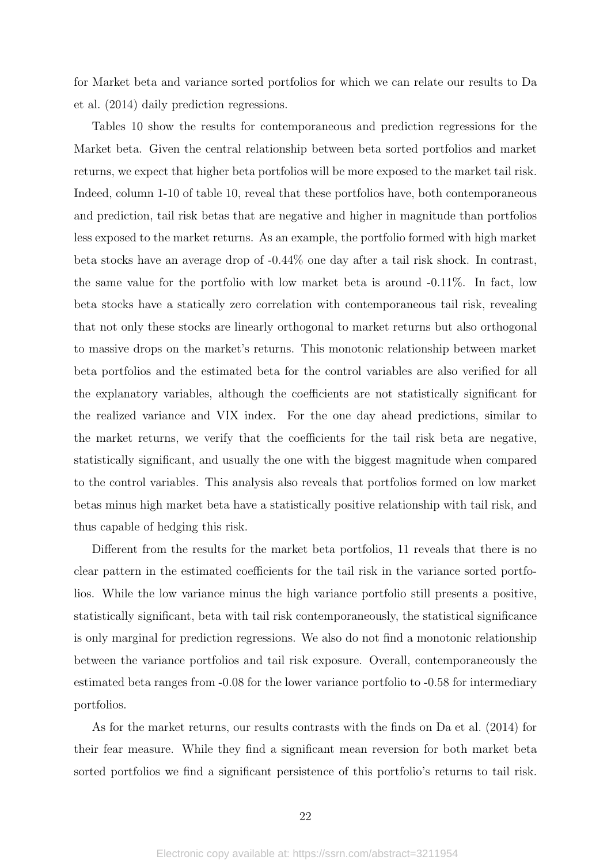for Market beta and variance sorted portfolios for which we can relate our results to Da et al. (2014) daily prediction regressions.

Tables 10 show the results for contemporaneous and prediction regressions for the Market beta. Given the central relationship between beta sorted portfolios and market returns, we expect that higher beta portfolios will be more exposed to the market tail risk. Indeed, column 1-10 of table 10, reveal that these portfolios have, both contemporaneous and prediction, tail risk betas that are negative and higher in magnitude than portfolios less exposed to the market returns. As an example, the portfolio formed with high market beta stocks have an average drop of -0.44% one day after a tail risk shock. In contrast, the same value for the portfolio with low market beta is around -0.11%. In fact, low beta stocks have a statically zero correlation with contemporaneous tail risk, revealing that not only these stocks are linearly orthogonal to market returns but also orthogonal to massive drops on the market's returns. This monotonic relationship between market beta portfolios and the estimated beta for the control variables are also verified for all the explanatory variables, although the coefficients are not statistically significant for the realized variance and VIX index. For the one day ahead predictions, similar to the market returns, we verify that the coefficients for the tail risk beta are negative, statistically significant, and usually the one with the biggest magnitude when compared to the control variables. This analysis also reveals that portfolios formed on low market betas minus high market beta have a statistically positive relationship with tail risk, and thus capable of hedging this risk.

Different from the results for the market beta portfolios, 11 reveals that there is no clear pattern in the estimated coefficients for the tail risk in the variance sorted portfolios. While the low variance minus the high variance portfolio still presents a positive, statistically significant, beta with tail risk contemporaneously, the statistical significance is only marginal for prediction regressions. We also do not find a monotonic relationship between the variance portfolios and tail risk exposure. Overall, contemporaneously the estimated beta ranges from -0.08 for the lower variance portfolio to -0.58 for intermediary portfolios.

As for the market returns, our results contrasts with the finds on Da et al. (2014) for their fear measure. While they find a significant mean reversion for both market beta sorted portfolios we find a significant persistence of this portfolio's returns to tail risk.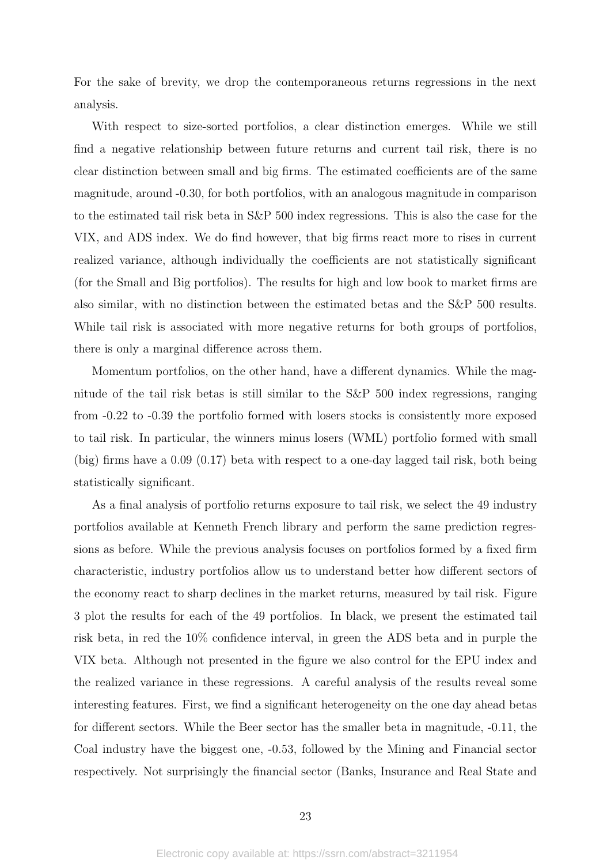For the sake of brevity, we drop the contemporaneous returns regressions in the next analysis.

With respect to size-sorted portfolios, a clear distinction emerges. While we still find a negative relationship between future returns and current tail risk, there is no clear distinction between small and big firms. The estimated coefficients are of the same magnitude, around -0.30, for both portfolios, with an analogous magnitude in comparison to the estimated tail risk beta in S&P 500 index regressions. This is also the case for the VIX, and ADS index. We do find however, that big firms react more to rises in current realized variance, although individually the coefficients are not statistically significant (for the Small and Big portfolios). The results for high and low book to market firms are also similar, with no distinction between the estimated betas and the S&P 500 results. While tail risk is associated with more negative returns for both groups of portfolios, there is only a marginal difference across them.

Momentum portfolios, on the other hand, have a different dynamics. While the magnitude of the tail risk betas is still similar to the S&P 500 index regressions, ranging from -0.22 to -0.39 the portfolio formed with losers stocks is consistently more exposed to tail risk. In particular, the winners minus losers (WML) portfolio formed with small (big) firms have a 0.09 (0.17) beta with respect to a one-day lagged tail risk, both being statistically significant.

As a final analysis of portfolio returns exposure to tail risk, we select the 49 industry portfolios available at Kenneth French library and perform the same prediction regressions as before. While the previous analysis focuses on portfolios formed by a fixed firm characteristic, industry portfolios allow us to understand better how different sectors of the economy react to sharp declines in the market returns, measured by tail risk. Figure 3 plot the results for each of the 49 portfolios. In black, we present the estimated tail risk beta, in red the 10% confidence interval, in green the ADS beta and in purple the VIX beta. Although not presented in the figure we also control for the EPU index and the realized variance in these regressions. A careful analysis of the results reveal some interesting features. First, we find a significant heterogeneity on the one day ahead betas for different sectors. While the Beer sector has the smaller beta in magnitude, -0.11, the Coal industry have the biggest one, -0.53, followed by the Mining and Financial sector respectively. Not surprisingly the financial sector (Banks, Insurance and Real State and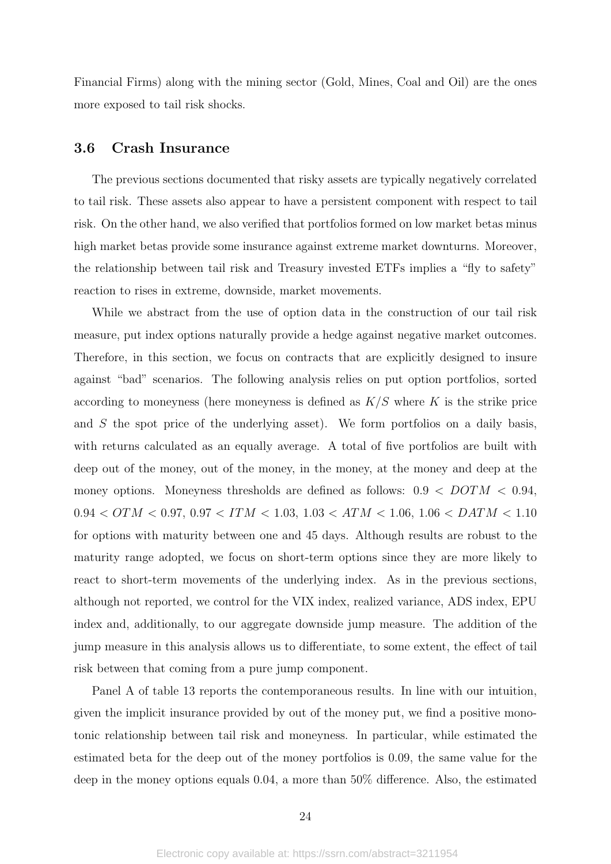Financial Firms) along with the mining sector (Gold, Mines, Coal and Oil) are the ones more exposed to tail risk shocks.

### 3.6 Crash Insurance

The previous sections documented that risky assets are typically negatively correlated to tail risk. These assets also appear to have a persistent component with respect to tail risk. On the other hand, we also verified that portfolios formed on low market betas minus high market betas provide some insurance against extreme market downturns. Moreover, the relationship between tail risk and Treasury invested ETFs implies a "fly to safety" reaction to rises in extreme, downside, market movements.

While we abstract from the use of option data in the construction of our tail risk measure, put index options naturally provide a hedge against negative market outcomes. Therefore, in this section, we focus on contracts that are explicitly designed to insure against "bad" scenarios. The following analysis relies on put option portfolios, sorted according to moneyness (here moneyness is defined as  $K/S$  where K is the strike price and S the spot price of the underlying asset). We form portfolios on a daily basis, with returns calculated as an equally average. A total of five portfolios are built with deep out of the money, out of the money, in the money, at the money and deep at the money options. Moneyness thresholds are defined as follows:  $0.9 < DOTM < 0.94$ ,  $0.94 < OTM < 0.97, \, 0.97 < ITM < 1.03, \, 1.03 < ATM < 1.06, \, 1.06 < DATM < 1.10$ for options with maturity between one and 45 days. Although results are robust to the maturity range adopted, we focus on short-term options since they are more likely to react to short-term movements of the underlying index. As in the previous sections, although not reported, we control for the VIX index, realized variance, ADS index, EPU index and, additionally, to our aggregate downside jump measure. The addition of the jump measure in this analysis allows us to differentiate, to some extent, the effect of tail risk between that coming from a pure jump component.

Panel A of table 13 reports the contemporaneous results. In line with our intuition, given the implicit insurance provided by out of the money put, we find a positive monotonic relationship between tail risk and moneyness. In particular, while estimated the estimated beta for the deep out of the money portfolios is 0.09, the same value for the deep in the money options equals 0.04, a more than 50% difference. Also, the estimated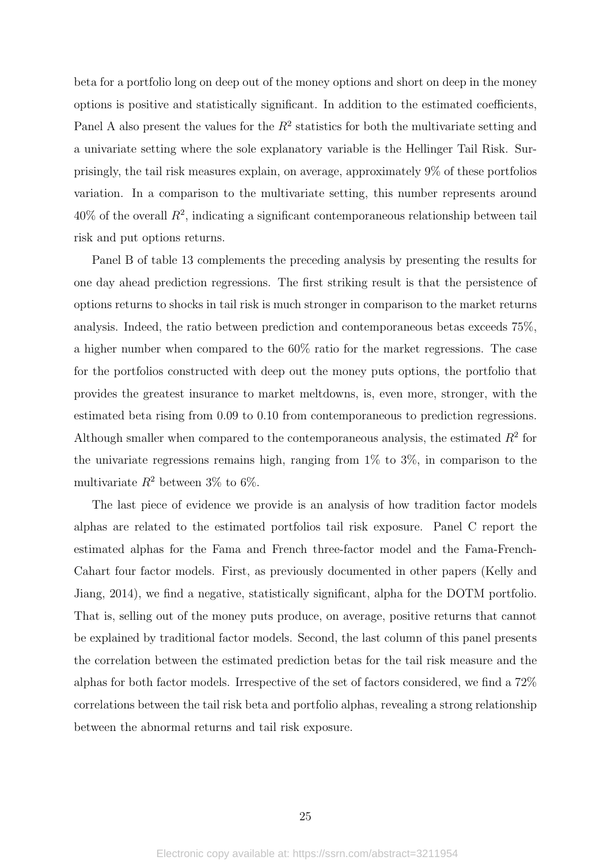beta for a portfolio long on deep out of the money options and short on deep in the money options is positive and statistically significant. In addition to the estimated coefficients, Panel A also present the values for the  $R^2$  statistics for both the multivariate setting and a univariate setting where the sole explanatory variable is the Hellinger Tail Risk. Surprisingly, the tail risk measures explain, on average, approximately 9% of these portfolios variation. In a comparison to the multivariate setting, this number represents around  $40\%$  of the overall  $R^2$ , indicating a significant contemporaneous relationship between tail risk and put options returns.

Panel B of table 13 complements the preceding analysis by presenting the results for one day ahead prediction regressions. The first striking result is that the persistence of options returns to shocks in tail risk is much stronger in comparison to the market returns analysis. Indeed, the ratio between prediction and contemporaneous betas exceeds 75%, a higher number when compared to the 60% ratio for the market regressions. The case for the portfolios constructed with deep out the money puts options, the portfolio that provides the greatest insurance to market meltdowns, is, even more, stronger, with the estimated beta rising from 0.09 to 0.10 from contemporaneous to prediction regressions. Although smaller when compared to the contemporaneous analysis, the estimated  $R^2$  for the univariate regressions remains high, ranging from  $1\%$  to  $3\%$ , in comparison to the multivariate  $R^2$  between 3% to 6%.

The last piece of evidence we provide is an analysis of how tradition factor models alphas are related to the estimated portfolios tail risk exposure. Panel C report the estimated alphas for the Fama and French three-factor model and the Fama-French-Cahart four factor models. First, as previously documented in other papers (Kelly and Jiang, 2014), we find a negative, statistically significant, alpha for the DOTM portfolio. That is, selling out of the money puts produce, on average, positive returns that cannot be explained by traditional factor models. Second, the last column of this panel presents the correlation between the estimated prediction betas for the tail risk measure and the alphas for both factor models. Irrespective of the set of factors considered, we find a 72% correlations between the tail risk beta and portfolio alphas, revealing a strong relationship between the abnormal returns and tail risk exposure.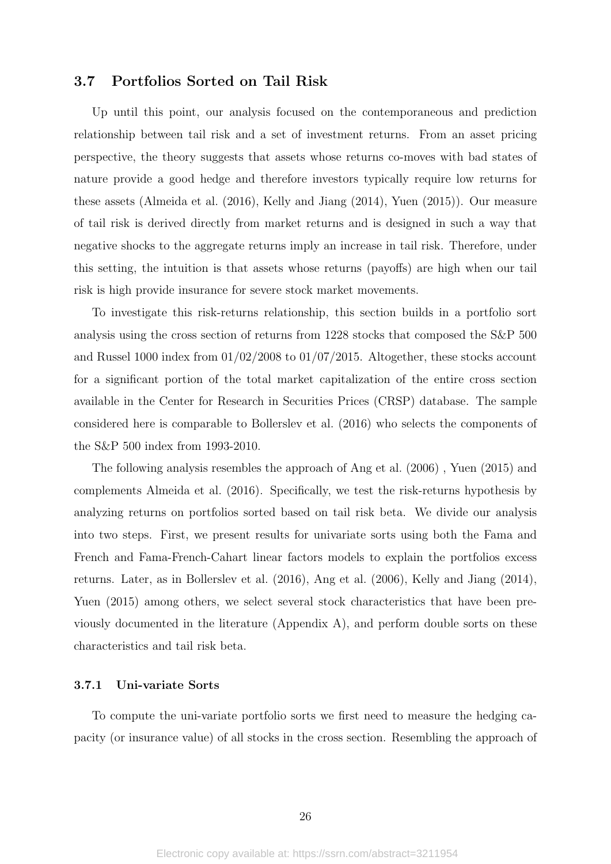### 3.7 Portfolios Sorted on Tail Risk

Up until this point, our analysis focused on the contemporaneous and prediction relationship between tail risk and a set of investment returns. From an asset pricing perspective, the theory suggests that assets whose returns co-moves with bad states of nature provide a good hedge and therefore investors typically require low returns for these assets (Almeida et al. (2016), Kelly and Jiang (2014), Yuen (2015)). Our measure of tail risk is derived directly from market returns and is designed in such a way that negative shocks to the aggregate returns imply an increase in tail risk. Therefore, under this setting, the intuition is that assets whose returns (payoffs) are high when our tail risk is high provide insurance for severe stock market movements.

To investigate this risk-returns relationship, this section builds in a portfolio sort analysis using the cross section of returns from 1228 stocks that composed the S&P 500 and Russel 1000 index from 01/02/2008 to 01/07/2015. Altogether, these stocks account for a significant portion of the total market capitalization of the entire cross section available in the Center for Research in Securities Prices (CRSP) database. The sample considered here is comparable to Bollerslev et al. (2016) who selects the components of the S&P 500 index from 1993-2010.

The following analysis resembles the approach of Ang et al. (2006) , Yuen (2015) and complements Almeida et al. (2016). Specifically, we test the risk-returns hypothesis by analyzing returns on portfolios sorted based on tail risk beta. We divide our analysis into two steps. First, we present results for univariate sorts using both the Fama and French and Fama-French-Cahart linear factors models to explain the portfolios excess returns. Later, as in Bollerslev et al. (2016), Ang et al. (2006), Kelly and Jiang (2014), Yuen (2015) among others, we select several stock characteristics that have been previously documented in the literature (Appendix A), and perform double sorts on these characteristics and tail risk beta.

#### 3.7.1 Uni-variate Sorts

To compute the uni-variate portfolio sorts we first need to measure the hedging capacity (or insurance value) of all stocks in the cross section. Resembling the approach of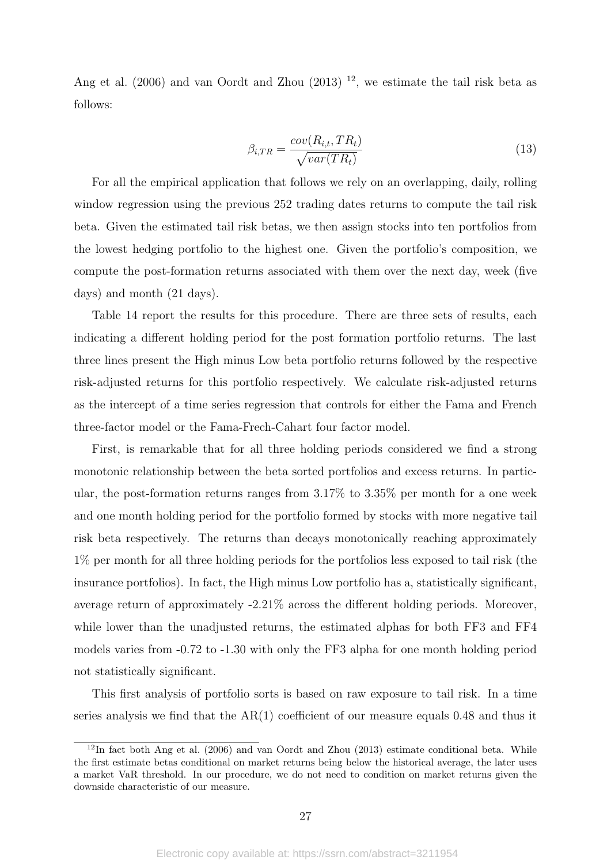Ang et al. (2006) and van Oordt and Zhou (2013) <sup>12</sup>, we estimate the tail risk beta as follows:

$$
\beta_{i,TR} = \frac{cov(R_{i,t}, TR_t)}{\sqrt{var(TR_t)}}
$$
\n(13)

For all the empirical application that follows we rely on an overlapping, daily, rolling window regression using the previous 252 trading dates returns to compute the tail risk beta. Given the estimated tail risk betas, we then assign stocks into ten portfolios from the lowest hedging portfolio to the highest one. Given the portfolio's composition, we compute the post-formation returns associated with them over the next day, week (five days) and month (21 days).

Table 14 report the results for this procedure. There are three sets of results, each indicating a different holding period for the post formation portfolio returns. The last three lines present the High minus Low beta portfolio returns followed by the respective risk-adjusted returns for this portfolio respectively. We calculate risk-adjusted returns as the intercept of a time series regression that controls for either the Fama and French three-factor model or the Fama-Frech-Cahart four factor model.

First, is remarkable that for all three holding periods considered we find a strong monotonic relationship between the beta sorted portfolios and excess returns. In particular, the post-formation returns ranges from 3.17% to 3.35% per month for a one week and one month holding period for the portfolio formed by stocks with more negative tail risk beta respectively. The returns than decays monotonically reaching approximately 1% per month for all three holding periods for the portfolios less exposed to tail risk (the insurance portfolios). In fact, the High minus Low portfolio has a, statistically significant, average return of approximately -2.21% across the different holding periods. Moreover, while lower than the unadjusted returns, the estimated alphas for both FF3 and FF4 models varies from -0.72 to -1.30 with only the FF3 alpha for one month holding period not statistically significant.

This first analysis of portfolio sorts is based on raw exposure to tail risk. In a time series analysis we find that the  $AR(1)$  coefficient of our measure equals 0.48 and thus it

 $12$ In fact both Ang et al. (2006) and van Oordt and Zhou (2013) estimate conditional beta. While the first estimate betas conditional on market returns being below the historical average, the later uses a market VaR threshold. In our procedure, we do not need to condition on market returns given the downside characteristic of our measure.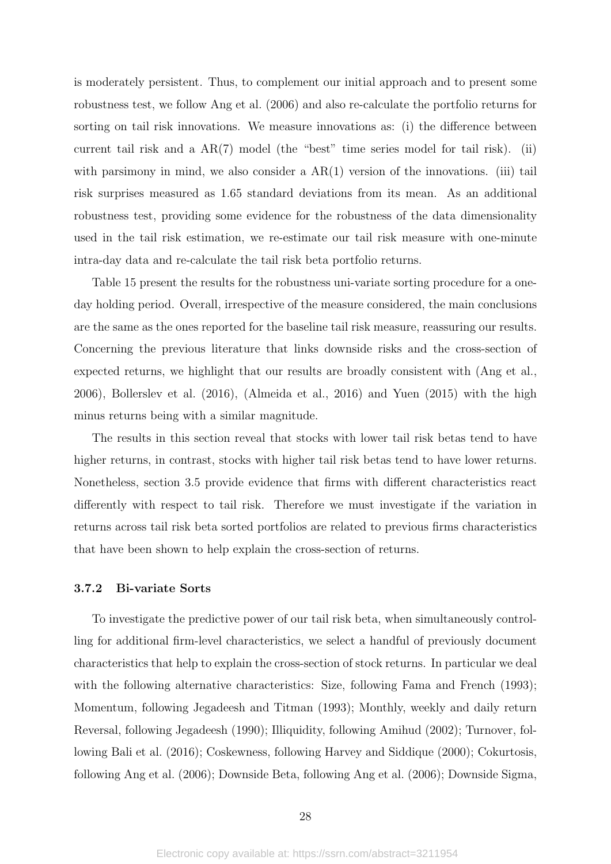is moderately persistent. Thus, to complement our initial approach and to present some robustness test, we follow Ang et al. (2006) and also re-calculate the portfolio returns for sorting on tail risk innovations. We measure innovations as: (i) the difference between current tail risk and a AR(7) model (the "best" time series model for tail risk). (ii) with parsimony in mind, we also consider a  $AR(1)$  version of the innovations. (iii) tail risk surprises measured as 1.65 standard deviations from its mean. As an additional robustness test, providing some evidence for the robustness of the data dimensionality used in the tail risk estimation, we re-estimate our tail risk measure with one-minute intra-day data and re-calculate the tail risk beta portfolio returns.

Table 15 present the results for the robustness uni-variate sorting procedure for a oneday holding period. Overall, irrespective of the measure considered, the main conclusions are the same as the ones reported for the baseline tail risk measure, reassuring our results. Concerning the previous literature that links downside risks and the cross-section of expected returns, we highlight that our results are broadly consistent with (Ang et al., 2006), Bollerslev et al. (2016), (Almeida et al., 2016) and Yuen (2015) with the high minus returns being with a similar magnitude.

The results in this section reveal that stocks with lower tail risk betas tend to have higher returns, in contrast, stocks with higher tail risk betas tend to have lower returns. Nonetheless, section 3.5 provide evidence that firms with different characteristics react differently with respect to tail risk. Therefore we must investigate if the variation in returns across tail risk beta sorted portfolios are related to previous firms characteristics that have been shown to help explain the cross-section of returns.

#### 3.7.2 Bi-variate Sorts

To investigate the predictive power of our tail risk beta, when simultaneously controlling for additional firm-level characteristics, we select a handful of previously document characteristics that help to explain the cross-section of stock returns. In particular we deal with the following alternative characteristics: Size, following Fama and French (1993); Momentum, following Jegadeesh and Titman (1993); Monthly, weekly and daily return Reversal, following Jegadeesh (1990); Illiquidity, following Amihud (2002); Turnover, following Bali et al. (2016); Coskewness, following Harvey and Siddique (2000); Cokurtosis, following Ang et al. (2006); Downside Beta, following Ang et al. (2006); Downside Sigma,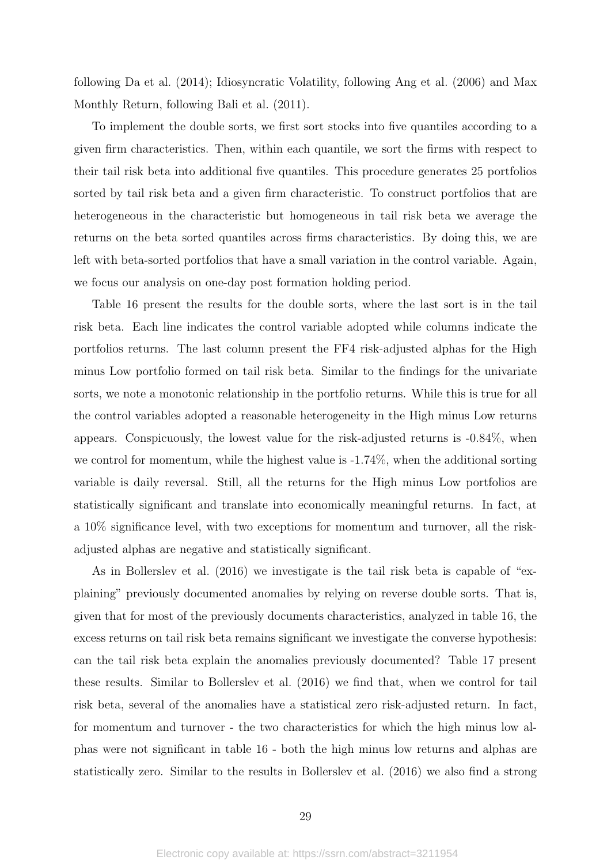following Da et al. (2014); Idiosyncratic Volatility, following Ang et al. (2006) and Max Monthly Return, following Bali et al. (2011).

To implement the double sorts, we first sort stocks into five quantiles according to a given firm characteristics. Then, within each quantile, we sort the firms with respect to their tail risk beta into additional five quantiles. This procedure generates 25 portfolios sorted by tail risk beta and a given firm characteristic. To construct portfolios that are heterogeneous in the characteristic but homogeneous in tail risk beta we average the returns on the beta sorted quantiles across firms characteristics. By doing this, we are left with beta-sorted portfolios that have a small variation in the control variable. Again, we focus our analysis on one-day post formation holding period.

Table 16 present the results for the double sorts, where the last sort is in the tail risk beta. Each line indicates the control variable adopted while columns indicate the portfolios returns. The last column present the FF4 risk-adjusted alphas for the High minus Low portfolio formed on tail risk beta. Similar to the findings for the univariate sorts, we note a monotonic relationship in the portfolio returns. While this is true for all the control variables adopted a reasonable heterogeneity in the High minus Low returns appears. Conspicuously, the lowest value for the risk-adjusted returns is -0.84%, when we control for momentum, while the highest value is -1.74%, when the additional sorting variable is daily reversal. Still, all the returns for the High minus Low portfolios are statistically significant and translate into economically meaningful returns. In fact, at a 10% significance level, with two exceptions for momentum and turnover, all the riskadjusted alphas are negative and statistically significant.

As in Bollerslev et al. (2016) we investigate is the tail risk beta is capable of "explaining" previously documented anomalies by relying on reverse double sorts. That is, given that for most of the previously documents characteristics, analyzed in table 16, the excess returns on tail risk beta remains significant we investigate the converse hypothesis: can the tail risk beta explain the anomalies previously documented? Table 17 present these results. Similar to Bollerslev et al. (2016) we find that, when we control for tail risk beta, several of the anomalies have a statistical zero risk-adjusted return. In fact, for momentum and turnover - the two characteristics for which the high minus low alphas were not significant in table 16 - both the high minus low returns and alphas are statistically zero. Similar to the results in Bollerslev et al. (2016) we also find a strong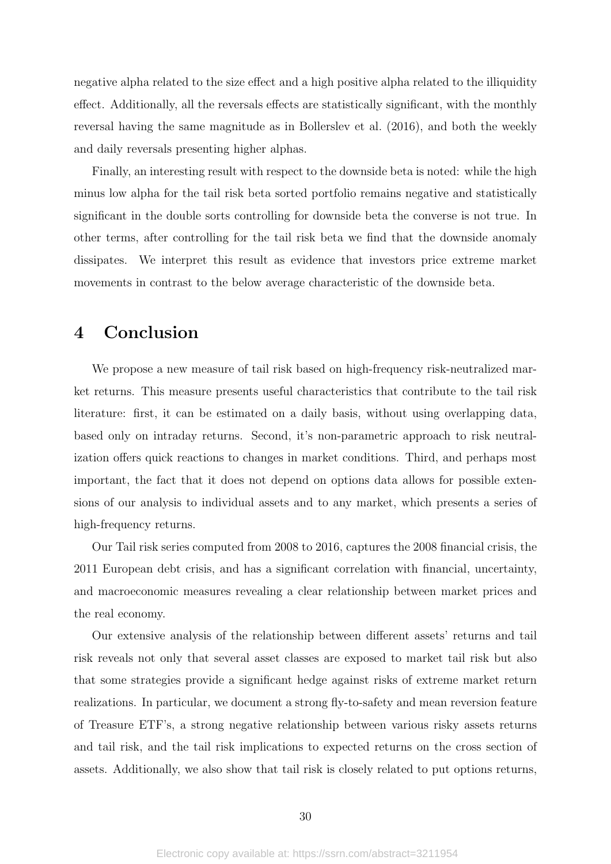negative alpha related to the size effect and a high positive alpha related to the illiquidity effect. Additionally, all the reversals effects are statistically significant, with the monthly reversal having the same magnitude as in Bollerslev et al. (2016), and both the weekly and daily reversals presenting higher alphas.

Finally, an interesting result with respect to the downside beta is noted: while the high minus low alpha for the tail risk beta sorted portfolio remains negative and statistically significant in the double sorts controlling for downside beta the converse is not true. In other terms, after controlling for the tail risk beta we find that the downside anomaly dissipates. We interpret this result as evidence that investors price extreme market movements in contrast to the below average characteristic of the downside beta.

# 4 Conclusion

We propose a new measure of tail risk based on high-frequency risk-neutralized market returns. This measure presents useful characteristics that contribute to the tail risk literature: first, it can be estimated on a daily basis, without using overlapping data, based only on intraday returns. Second, it's non-parametric approach to risk neutralization offers quick reactions to changes in market conditions. Third, and perhaps most important, the fact that it does not depend on options data allows for possible extensions of our analysis to individual assets and to any market, which presents a series of high-frequency returns.

Our Tail risk series computed from 2008 to 2016, captures the 2008 financial crisis, the 2011 European debt crisis, and has a significant correlation with financial, uncertainty, and macroeconomic measures revealing a clear relationship between market prices and the real economy.

Our extensive analysis of the relationship between different assets' returns and tail risk reveals not only that several asset classes are exposed to market tail risk but also that some strategies provide a significant hedge against risks of extreme market return realizations. In particular, we document a strong fly-to-safety and mean reversion feature of Treasure ETF's, a strong negative relationship between various risky assets returns and tail risk, and the tail risk implications to expected returns on the cross section of assets. Additionally, we also show that tail risk is closely related to put options returns,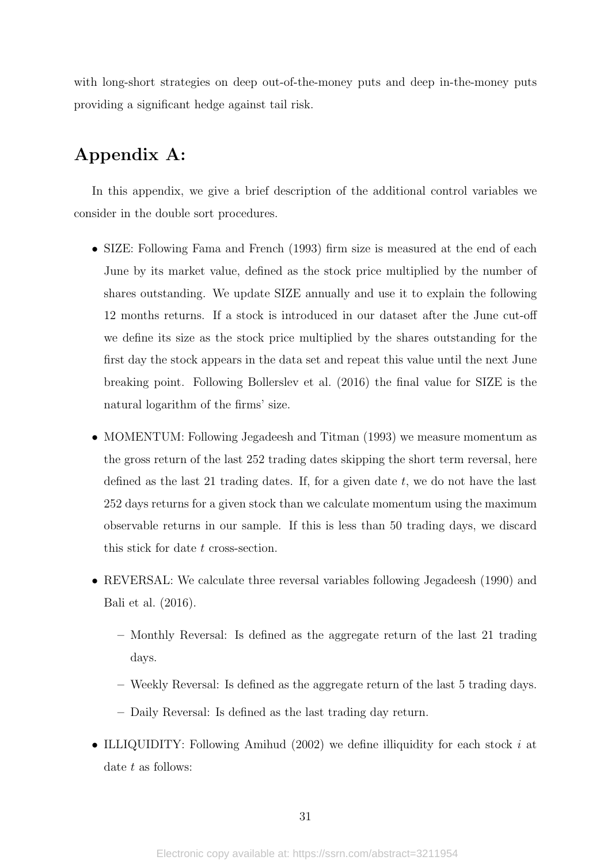with long-short strategies on deep out-of-the-money puts and deep in-the-money puts providing a significant hedge against tail risk.

# Appendix A:

In this appendix, we give a brief description of the additional control variables we consider in the double sort procedures.

- SIZE: Following Fama and French (1993) firm size is measured at the end of each June by its market value, defined as the stock price multiplied by the number of shares outstanding. We update SIZE annually and use it to explain the following 12 months returns. If a stock is introduced in our dataset after the June cut-off we define its size as the stock price multiplied by the shares outstanding for the first day the stock appears in the data set and repeat this value until the next June breaking point. Following Bollerslev et al. (2016) the final value for SIZE is the natural logarithm of the firms' size.
- MOMENTUM: Following Jegadeesh and Titman (1993) we measure momentum as the gross return of the last 252 trading dates skipping the short term reversal, here defined as the last 21 trading dates. If, for a given date  $t$ , we do not have the last 252 days returns for a given stock than we calculate momentum using the maximum observable returns in our sample. If this is less than 50 trading days, we discard this stick for date t cross-section.
- REVERSAL: We calculate three reversal variables following Jegadeesh (1990) and Bali et al. (2016).
	- Monthly Reversal: Is defined as the aggregate return of the last 21 trading days.
	- Weekly Reversal: Is defined as the aggregate return of the last 5 trading days.
	- Daily Reversal: Is defined as the last trading day return.
- ILLIQUIDITY: Following Amihud  $(2002)$  we define illiquidity for each stock i at date  $t$  as follows: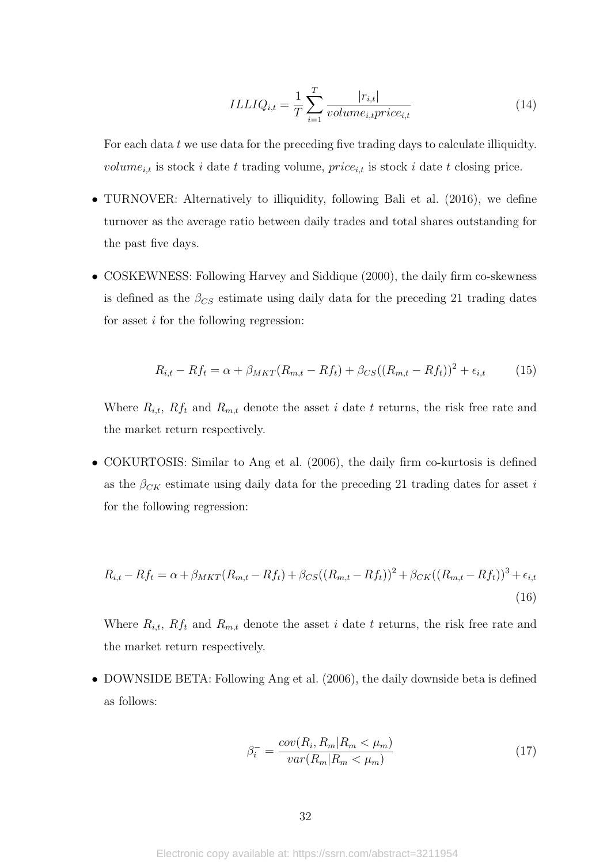$$
ILLIQ_{i,t} = \frac{1}{T} \sum_{i=1}^{T} \frac{|r_{i,t}|}{volume_{i,t}price_{i,t}}
$$
\n(14)

For each data  $t$  we use data for the preceding five trading days to calculate illiquidty. volume<sub>i,t</sub> is stock i date t trading volume,  $price_{i,t}$  is stock i date t closing price.

- TURNOVER: Alternatively to illiquidity, following Bali et al. (2016), we define turnover as the average ratio between daily trades and total shares outstanding for the past five days.
- COSKEWNESS: Following Harvey and Siddique (2000), the daily firm co-skewness is defined as the  $\beta_{CS}$  estimate using daily data for the preceding 21 trading dates for asset  $i$  for the following regression:

$$
R_{i,t} - Rf_t = \alpha + \beta_{MKT}(R_{m,t} - Rf_t) + \beta_{CS}((R_{m,t} - Rf_t))^2 + \epsilon_{i,t}
$$
 (15)

Where  $R_{i,t}$ ,  $Rf_t$  and  $R_{m,t}$  denote the asset i date t returns, the risk free rate and the market return respectively.

• COKURTOSIS: Similar to Ang et al. (2006), the daily firm co-kurtosis is defined as the  $\beta_{CK}$  estimate using daily data for the preceding 21 trading dates for asset i for the following regression:

$$
R_{i,t} - Rf_t = \alpha + \beta_{MKT}(R_{m,t} - Rf_t) + \beta_{CS}((R_{m,t} - Rf_t))^2 + \beta_{CK}((R_{m,t} - Rf_t))^3 + \epsilon_{i,t}
$$
\n(16)

Where  $R_{i,t}$ ,  $Rf_t$  and  $R_{m,t}$  denote the asset i date t returns, the risk free rate and the market return respectively.

• DOWNSIDE BETA: Following Ang et al. (2006), the daily downside beta is defined as follows:

$$
\beta_i^- = \frac{cov(R_i, R_m | R_m < \mu_m)}{var(R_m | R_m < \mu_m)}\tag{17}
$$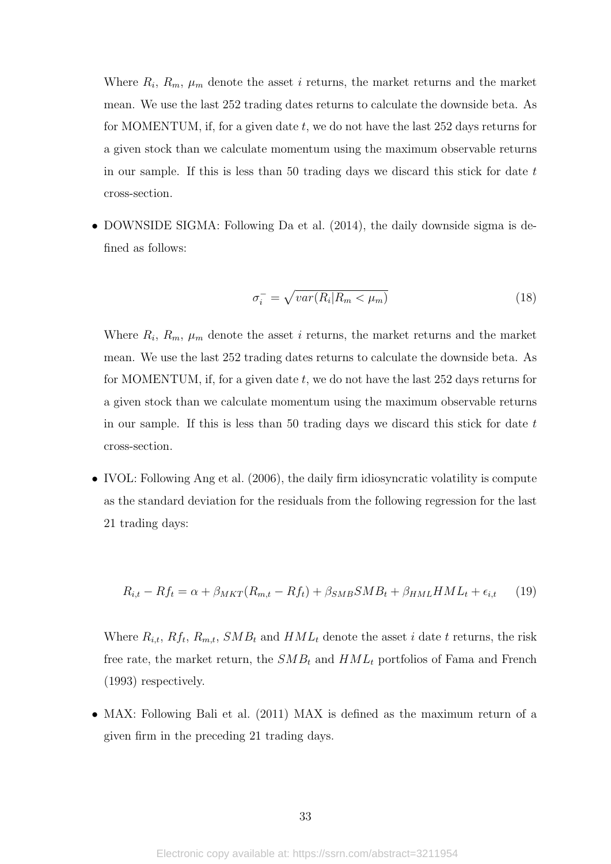Where  $R_i$ ,  $R_m$ ,  $\mu_m$  denote the asset i returns, the market returns and the market mean. We use the last 252 trading dates returns to calculate the downside beta. As for MOMENTUM, if, for a given date  $t$ , we do not have the last 252 days returns for a given stock than we calculate momentum using the maximum observable returns in our sample. If this is less than 50 trading days we discard this stick for date  $t$ cross-section.

• DOWNSIDE SIGMA: Following Da et al. (2014), the daily downside sigma is defined as follows:

$$
\sigma_i^- = \sqrt{var(R_i|R_m < \mu_m)}\tag{18}
$$

Where  $R_i$ ,  $R_m$ ,  $\mu_m$  denote the asset i returns, the market returns and the market mean. We use the last 252 trading dates returns to calculate the downside beta. As for MOMENTUM, if, for a given date  $t$ , we do not have the last 252 days returns for a given stock than we calculate momentum using the maximum observable returns in our sample. If this is less than 50 trading days we discard this stick for date  $t$ cross-section.

• IVOL: Following Ang et al. (2006), the daily firm idiosyncratic volatility is compute as the standard deviation for the residuals from the following regression for the last 21 trading days:

$$
R_{i,t} - Rf_t = \alpha + \beta_{MKT}(R_{m,t} - Rf_t) + \beta_{SMB}SMB_t + \beta_{HML}HML_t + \epsilon_{i,t} \tag{19}
$$

Where  $R_{i,t}$ ,  $R_{f_t}$ ,  $R_{m,t}$ ,  $SMB_t$  and  $HML_t$  denote the asset i date t returns, the risk free rate, the market return, the  $SMB_t$  and  $HML_t$  portfolios of Fama and French (1993) respectively.

• MAX: Following Bali et al. (2011) MAX is defined as the maximum return of a given firm in the preceding 21 trading days.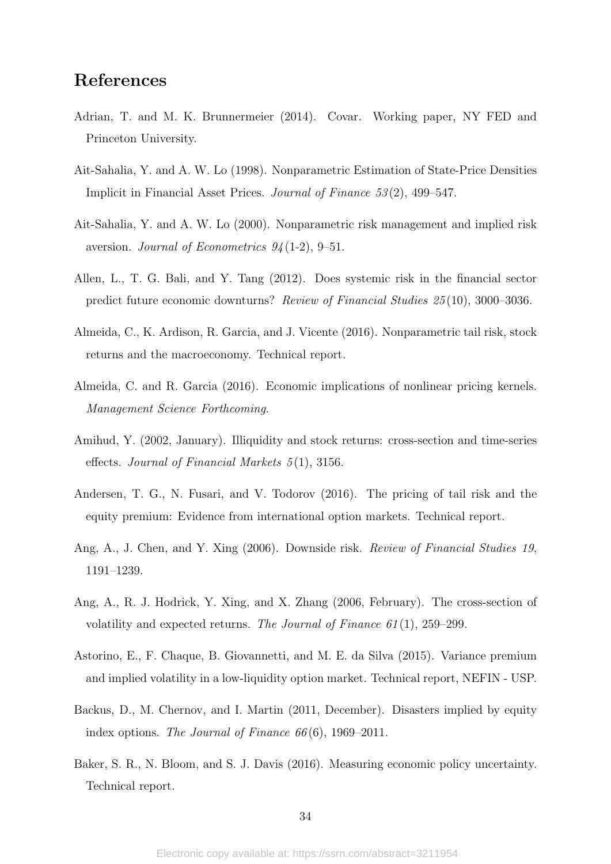# References

- Adrian, T. and M. K. Brunnermeier (2014). Covar. Working paper, NY FED and Princeton University.
- Ait-Sahalia, Y. and A. W. Lo (1998). Nonparametric Estimation of State-Price Densities Implicit in Financial Asset Prices. Journal of Finance 53 (2), 499–547.
- Ait-Sahalia, Y. and A. W. Lo (2000). Nonparametric risk management and implied risk aversion. Journal of Econometrics  $94(1-2)$ , 9-51.
- Allen, L., T. G. Bali, and Y. Tang (2012). Does systemic risk in the financial sector predict future economic downturns? Review of Financial Studies 25 (10), 3000–3036.
- Almeida, C., K. Ardison, R. Garcia, and J. Vicente (2016). Nonparametric tail risk, stock returns and the macroeconomy. Technical report.
- Almeida, C. and R. Garcia (2016). Economic implications of nonlinear pricing kernels. Management Science Forthcoming.
- Amihud, Y. (2002, January). Illiquidity and stock returns: cross-section and time-series effects. Journal of Financial Markets 5 (1), 3156.
- Andersen, T. G., N. Fusari, and V. Todorov (2016). The pricing of tail risk and the equity premium: Evidence from international option markets. Technical report.
- Ang, A., J. Chen, and Y. Xing (2006). Downside risk. Review of Financial Studies 19, 1191–1239.
- Ang, A., R. J. Hodrick, Y. Xing, and X. Zhang (2006, February). The cross-section of volatility and expected returns. The Journal of Finance  $61(1)$ , 259–299.
- Astorino, E., F. Chaque, B. Giovannetti, and M. E. da Silva (2015). Variance premium and implied volatility in a low-liquidity option market. Technical report, NEFIN - USP.
- Backus, D., M. Chernov, and I. Martin (2011, December). Disasters implied by equity index options. The Journal of Finance  $66(6)$ , 1969–2011.
- Baker, S. R., N. Bloom, and S. J. Davis (2016). Measuring economic policy uncertainty. Technical report.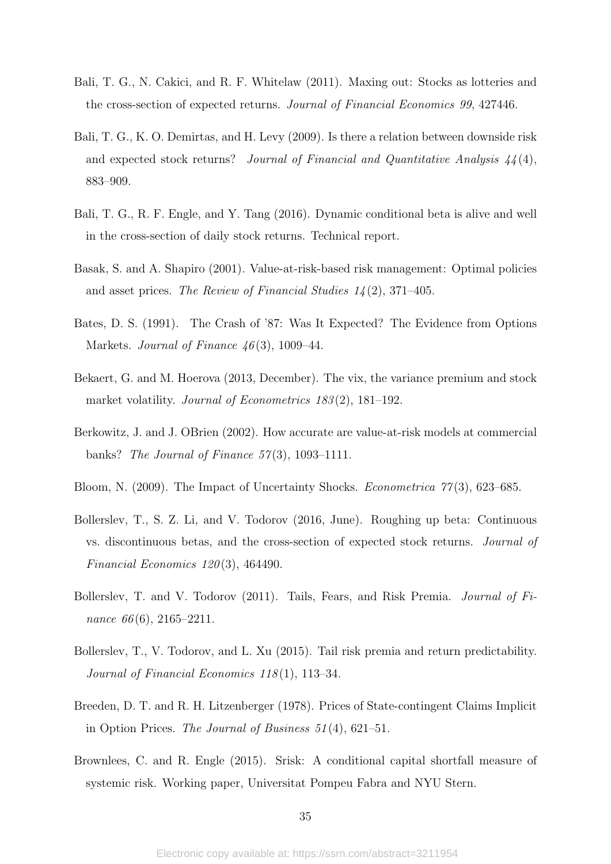- Bali, T. G., N. Cakici, and R. F. Whitelaw (2011). Maxing out: Stocks as lotteries and the cross-section of expected returns. Journal of Financial Economics 99, 427446.
- Bali, T. G., K. O. Demirtas, and H. Levy (2009). Is there a relation between downside risk and expected stock returns? Journal of Financial and Quantitative Analysis  $44(4)$ , 883–909.
- Bali, T. G., R. F. Engle, and Y. Tang (2016). Dynamic conditional beta is alive and well in the cross-section of daily stock returns. Technical report.
- Basak, S. and A. Shapiro (2001). Value-at-risk-based risk management: Optimal policies and asset prices. The Review of Financial Studies  $14(2)$ , 371–405.
- Bates, D. S. (1991). The Crash of '87: Was It Expected? The Evidence from Options Markets. Journal of Finance  $46(3)$ , 1009–44.
- Bekaert, G. and M. Hoerova (2013, December). The vix, the variance premium and stock market volatility. *Journal of Econometrics 183(2)*, 181–192.
- Berkowitz, J. and J. OBrien (2002). How accurate are value-at-risk models at commercial banks? The Journal of Finance  $57(3)$ , 1093-1111.
- Bloom, N. (2009). The Impact of Uncertainty Shocks. *Econometrica* 77(3), 623–685.
- Bollerslev, T., S. Z. Li, and V. Todorov (2016, June). Roughing up beta: Continuous vs. discontinuous betas, and the cross-section of expected stock returns. Journal of Financial Economics  $120(3)$ , 464490.
- Bollerslev, T. and V. Todorov (2011). Tails, Fears, and Risk Premia. Journal of Finance  $66(6)$ , 2165–2211.
- Bollerslev, T., V. Todorov, and L. Xu (2015). Tail risk premia and return predictability. Journal of Financial Economics 118(1), 113–34.
- Breeden, D. T. and R. H. Litzenberger (1978). Prices of State-contingent Claims Implicit in Option Prices. The Journal of Business 51 (4), 621–51.
- Brownlees, C. and R. Engle (2015). Srisk: A conditional capital shortfall measure of systemic risk. Working paper, Universitat Pompeu Fabra and NYU Stern.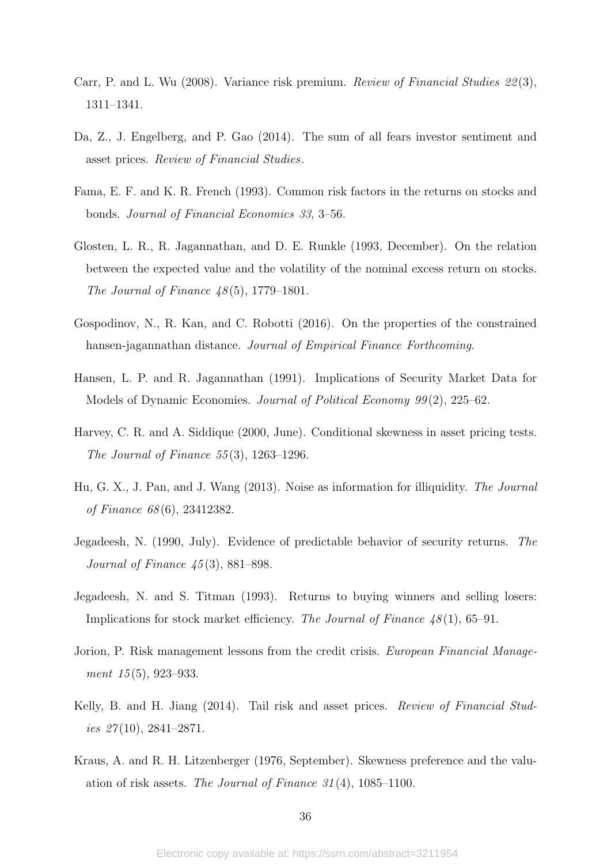- Carr, P. and L. Wu (2008). Variance risk premium. Review of Financial Studies 22 (3), 1311–1341.
- Da, Z., J. Engelberg, and P. Gao (2014). The sum of all fears investor sentiment and asset prices. Review of Financial Studies.
- Fama, E. F. and K. R. French (1993). Common risk factors in the returns on stocks and bonds. Journal of Financial Economics 33, 3–56.
- Glosten, L. R., R. Jagannathan, and D. E. Runkle (1993, December). On the relation between the expected value and the volatility of the nominal excess return on stocks. The Journal of Finance  $48(5)$ , 1779–1801.
- Gospodinov, N., R. Kan, and C. Robotti (2016). On the properties of the constrained hansen-jagannathan distance. Journal of Empirical Finance Forthcoming.
- Hansen, L. P. and R. Jagannathan (1991). Implications of Security Market Data for Models of Dynamic Economies. Journal of Political Economy 99 (2), 225–62.
- Harvey, C. R. and A. Siddique (2000, June). Conditional skewness in asset pricing tests. The Journal of Finance  $55(3)$ , 1263–1296.
- Hu, G. X., J. Pan, and J. Wang (2013). Noise as information for illiquidity. The Journal of Finance 68 (6), 23412382.
- Jegadeesh, N. (1990, July). Evidence of predictable behavior of security returns. The *Journal of Finance*  $45(3)$ , 881–898.
- Jegadeesh, N. and S. Titman (1993). Returns to buying winners and selling losers: Implications for stock market efficiency. The Journal of Finance  $48(1)$ , 65–91.
- Jorion, P. Risk management lessons from the credit crisis. European Financial Management  $15(5)$ , 923–933.
- Kelly, B. and H. Jiang (2014). Tail risk and asset prices. *Review of Financial Stud*ies  $27(10)$ , 2841-2871.
- Kraus, A. and R. H. Litzenberger (1976, September). Skewness preference and the valuation of risk assets. The Journal of Finance 31 (4), 1085–1100.

36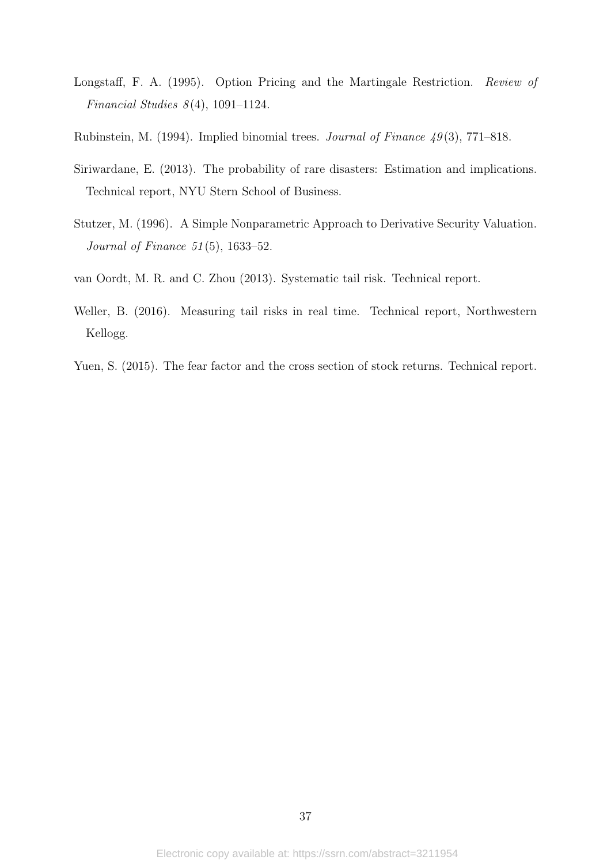- Longstaff, F. A. (1995). Option Pricing and the Martingale Restriction. Review of Financial Studies  $8(4)$ , 1091-1124.
- Rubinstein, M. (1994). Implied binomial trees. *Journal of Finance*  $49(3)$ , 771–818.
- Siriwardane, E. (2013). The probability of rare disasters: Estimation and implications. Technical report, NYU Stern School of Business.
- Stutzer, M. (1996). A Simple Nonparametric Approach to Derivative Security Valuation. Journal of Finance 51 (5), 1633–52.
- van Oordt, M. R. and C. Zhou (2013). Systematic tail risk. Technical report.
- Weller, B. (2016). Measuring tail risks in real time. Technical report, Northwestern Kellogg.
- Yuen, S. (2015). The fear factor and the cross section of stock returns. Technical report.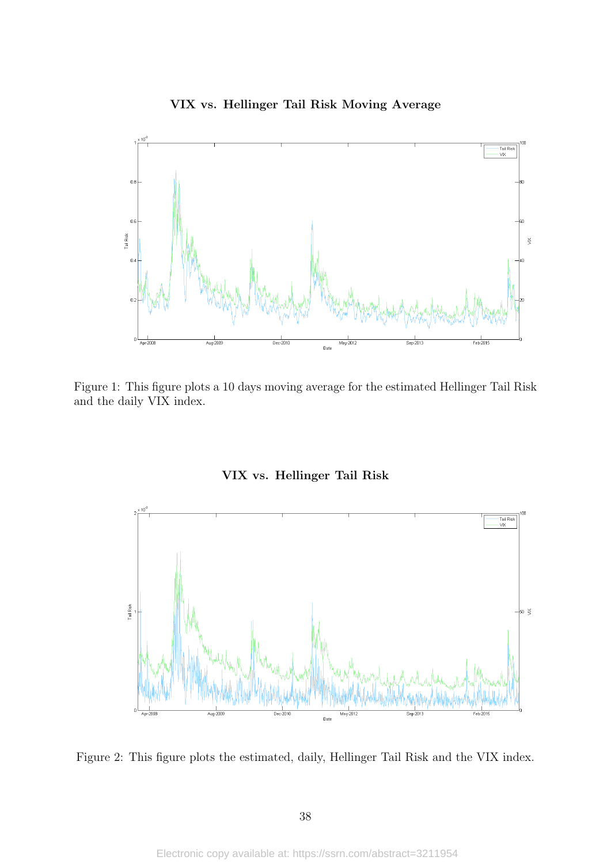

VIX vs. Hellinger Tail Risk Moving Average

Figure 1: This figure plots a 10 days moving average for the estimated Hellinger Tail Risk and the daily VIX index.



VIX vs. Hellinger Tail Risk

Figure 2: This figure plots the estimated, daily, Hellinger Tail Risk and the VIX index.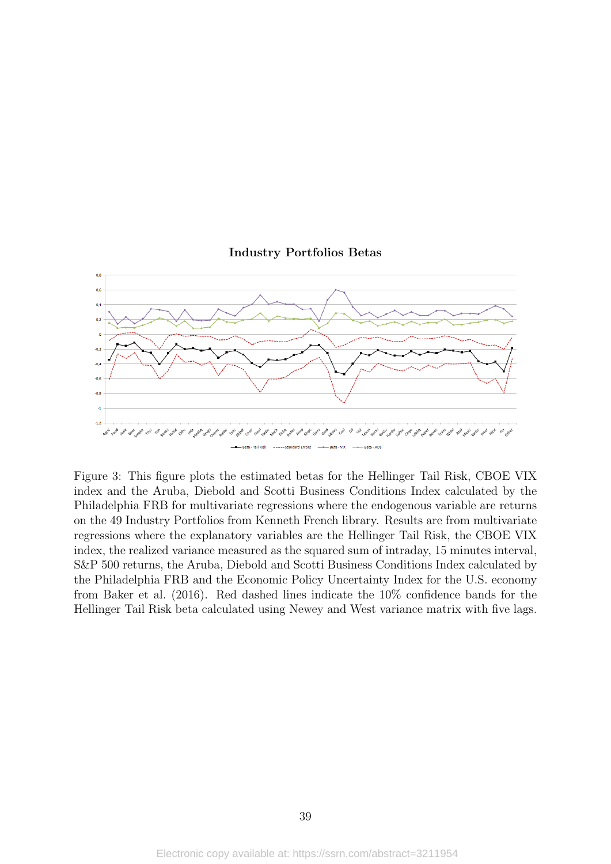

#### Industry Portfolios Betas

Figure 3: This figure plots the estimated betas for the Hellinger Tail Risk, CBOE VIX index and the Aruba, Diebold and Scotti Business Conditions Index calculated by the Philadelphia FRB for multivariate regressions where the endogenous variable are returns on the 49 Industry Portfolios from Kenneth French library. Results are from multivariate regressions where the explanatory variables are the Hellinger Tail Risk, the CBOE VIX index, the realized variance measured as the squared sum of intraday, 15 minutes interval, S&P 500 returns, the Aruba, Diebold and Scotti Business Conditions Index calculated by the Philadelphia FRB and the Economic Policy Uncertainty Index for the U.S. economy from Baker et al. (2016). Red dashed lines indicate the 10% confidence bands for the Hellinger Tail Risk beta calculated using Newey and West variance matrix with five lags.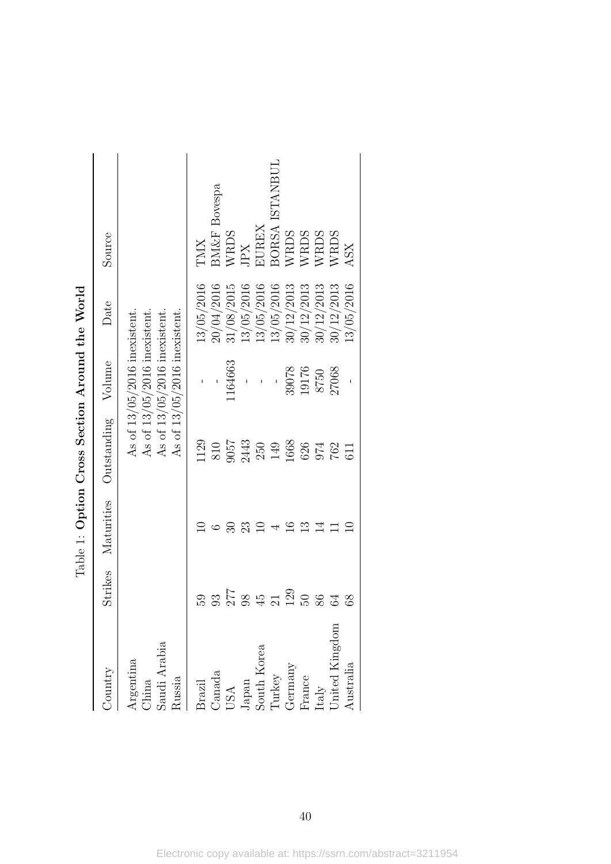|                                                |                   |                                                            |                                                            |            |              |              |                          |                                           | BORSA ISTANBUL |                |              |                         |                   |                |
|------------------------------------------------|-------------------|------------------------------------------------------------|------------------------------------------------------------|------------|--------------|--------------|--------------------------|-------------------------------------------|----------------|----------------|--------------|-------------------------|-------------------|----------------|
|                                                | Source            |                                                            |                                                            | <b>TMX</b> | BM&F Bovespa | WRDS         | JPX                      | EUREX                                     |                | WRDS           | WRDS         | WRDS                    | <b>NRDS</b>       | ASX            |
|                                                | Date              |                                                            |                                                            | 13/05/2016 | 20/04/2016   | 31/08/2015   | 13/05/2016               | 13/05/2016                                | 13/05/2016     | 30/12/2013     | 30/12/2013   | 30/12/2013              | 30/12/2013        | 13/05/2016     |
|                                                | Volume            | As of 13/05/2016 inexistent<br>As of 13/05/2016 inexistent | As of 13/05/2016 inexistent<br>As of 13/05/2016 inexistent |            |              | 164663       |                          |                                           |                | 39078          | 19176        | $0228$                  | 27068             |                |
| Table 1: Option Cross Section Around the World | Outstanding       |                                                            |                                                            | 1129       | $810\,$      | 9057<br>2443 |                          | $\begin{array}{c} 250 \\ 149 \end{array}$ |                | 1668           |              |                         | 624<br>972<br>762 | $\overline{1}$ |
|                                                | Maturities        |                                                            |                                                            |            |              | 30           | 23                       | $\Xi$                                     |                | $\mathfrak{S}$ | $\mathbb{C}$ | $\Xi$                   |                   |                |
|                                                | Strikes           |                                                            |                                                            | 50         | 93           | 278942       |                          |                                           |                | 129            | $50\,$       | 86                      | $\mathfrak{S}$    | 8 <sup>o</sup> |
|                                                | $\sqrt{2}$ duntry | Argentina<br>China                                         | Saudi Arabia<br>Russia                                     | Brazil     | $\rm Canada$ |              | $_{\rm Japan}^{\rm USA}$ | South Korea                               | Turkey         | Germany        | France       | ttaly<br>United Kingdom |                   | Australia      |

| $\sim$ $\sim$ $\sim$ $\sim$<br>;<br>;<br>$\frac{1}{2}$ |
|--------------------------------------------------------|
| )<br> <br>$\frac{1}{2}$                                |
| -<br>Christian<br>י<br>ו<br>ו                          |
| Ì                                                      |
| $\frac{2}{2}$<br>ζ                                     |
| $-7.7$<br>I<br>Ó                                       |
| i<br>į                                                 |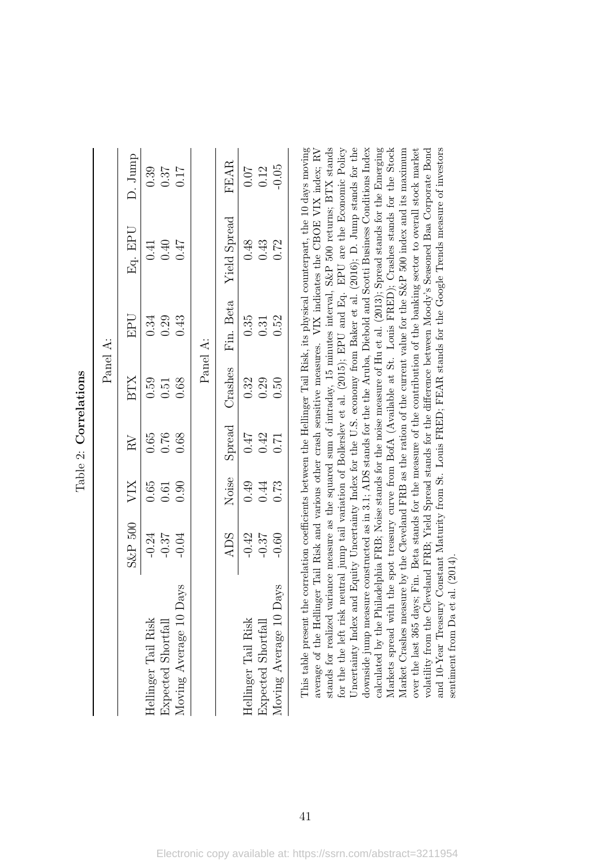|                               |                               |                                                     |                                                     |                                                     | Panel A:                                    |                            |                                                      |
|-------------------------------|-------------------------------|-----------------------------------------------------|-----------------------------------------------------|-----------------------------------------------------|---------------------------------------------|----------------------------|------------------------------------------------------|
|                               | $S\&P500$                     | VIX                                                 | $\mathbb{R}^V$                                      | <b>BTX</b>                                          | ПHE                                         | Eq. EPU                    | D. Jump                                              |
| Hellinger Tail Risk           |                               |                                                     |                                                     |                                                     |                                             |                            |                                                      |
| Expected Shortfall            | $-0.24$<br>$-0.37$<br>$-0.04$ | $\begin{array}{c} 0.65 \\ 0.61 \\ 0.90 \end{array}$ | $\begin{array}{c} 0.65 \\ 0.76 \\ 0.68 \end{array}$ | $\begin{array}{c} 0.59 \\ 0.51 \\ 0.68 \end{array}$ | $0.34$<br>$0.43$                            | 1760<br>0760<br>1760       | $\begin{array}{c} 0.39 \\ 0.37 \\ 0.0 \end{array}$   |
| Days<br>Moving Average 10     |                               |                                                     |                                                     |                                                     |                                             |                            |                                                      |
|                               |                               |                                                     |                                                     |                                                     | Panel A:                                    |                            |                                                      |
|                               | $\overline{\text{SUV}}$       | Noise                                               | Spread                                              | Crashes                                             | Fin. Beta                                   | Yield Spread               | <b>FEAR</b>                                          |
| Hellinger Tail Risk           |                               |                                                     |                                                     |                                                     |                                             |                            |                                                      |
| Expected Shortfall            | $-0.42$<br>$-0.37$<br>$-0.60$ | $0.49$<br>$0.44$<br>$0.73$                          | $0.47$<br>0.42<br>0.71                              | $0.32$<br>$0.50$                                    | $\begin{array}{c} 0.35 \\ 0.52 \end{array}$ | $0.48$<br>$0.43$<br>$0.72$ | $\begin{array}{c} 0.07 \\ 0.12 \\ -0.05 \end{array}$ |
| . Days<br>Moving Average 10 1 |                               |                                                     |                                                     |                                                     |                                             |                            |                                                      |
|                               |                               |                                                     |                                                     |                                                     |                                             |                            |                                                      |

Table 2: Correlations Table 2: Correlations

stands for realized variance measure as the squared sum of intraday, 15 minutes interval, S&P 500 returns; BTX stands Uncertainty Index and Equity Uncertainty Index for the U.S. economy from Baker et al. (2016); D. Jump stands for the downside jump measure constructed as in 3.1; ADS stands for the the Aruba, Diebold and Scotti Business Conditions Index calculated by the Philadelphia FRB; Noise stands for the noise measure of Hu et al. (2013); Spread stands for the Emerging and 10-Year Treasury Constant Maturity from St. Louis FRED; FEAR stands for the Google Trends measure of investors This table present the correlation coefficients between the Hellinger Tail Risk, its physical counterpart, the 10 days moving average of the Hellinger Tail Risk and various other crash sensitive measures. VIX indicates the CBOE VIX index; RV for the the left risk neutral jump tail variation of Bollerslev et al. (2015); EPU and Eq. EPU are the Economic Policy Markets spread with the spot treasury curve from BofA (Available at St. Louis FRED); Crashes stands for the Stock Market Crashes measure by the Cleveland FRB as the ration of the current value for the S&P 500 index and its maximum over the last 365 days; Fin. Beta stands for the measure of the contribution of the banking sector to overall stock market volatility from the Cleveland FRB; Yield Spread stands for the difference between Moody's Seasoned Baa Corporate Bond This table present the correlation coefficients between the Hellinger Tail Risk, its physical counterpart, the 10 days moving average of the Hellinger Tail Risk and various other crash sensitive measures. VIX indicates the CBOE VIX index; RV stands for realized variance measure as the squared sum of intraday, 15 minutes interval, S&P 500 returns; BTX stands for the the left risk neutral jump tail variation of Bollerslev et al. (2015); EPU and Eq. EPU are the Economic Policy Uncertainty Index and Equity Uncertainty Index for the U.S. economy from Baker et al. (2016); D. Jump stands for the downside jump measure constructed as in 3.1; ADS stands for the the Aruba, Diebold and Scotti Business Conditions Index calculated by the Philadelphia FRB; Noise stands for the noise measure of Hu et al. (2013); Spread stands for the Emerging Markets spread with the spot treasury curve from BofA (Available at St. Louis FRED); Crashes stands for the Stock Market Crashes measure by the Cleveland FRB as the ration of the current value for the S&P 500 index and its maximum<br> $\frac{1}{2}$  and its maximum indicates in the contract of the current value for the S&P 500 index and its m over the last 365 days; Fin. Beta stands for the measure of the contribution of the banking sector to overall stock market volatility from the Cleveland FRB; Yield Spread stands for the difference between Moody's Seasoned Baa Corporate Bond and 10-Year Treasury Constant Maturity from St. Louis FRED; FEAR stands for the Google Trends measure of investors sentiment from Da et al. (2014). sentiment from  $Da$  et al.  $(2014)$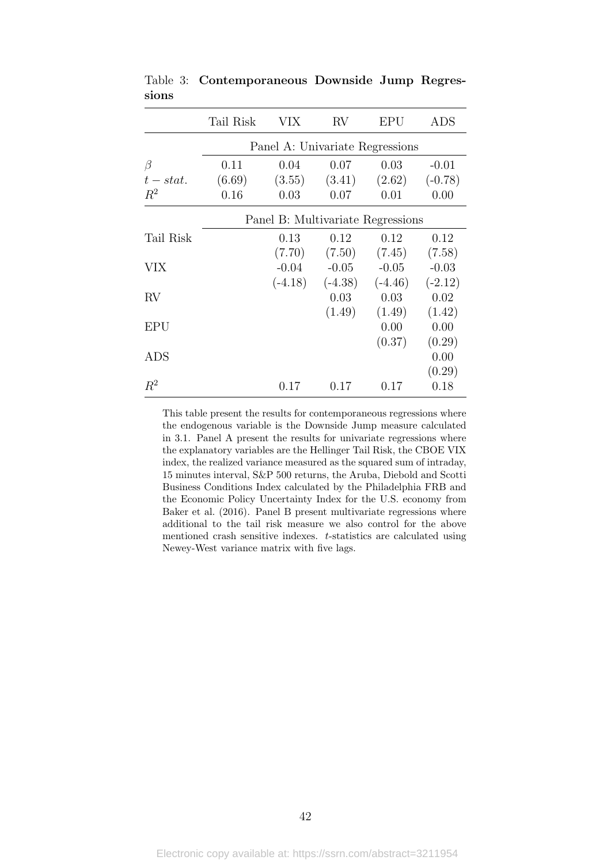|             | Tail Risk | VIX.   | RV              | EPU                               | ADS       |
|-------------|-----------|--------|-----------------|-----------------------------------|-----------|
|             |           |        |                 | Panel A: Univariate Regressions   |           |
| β           | 0.11      | 0.04   | 0.07            | 0.03                              | $-0.01$   |
| $t - stat.$ | (6.69)    | (3.55) | (3.41)          | (2.62)                            | $(-0.78)$ |
| $R^2$       | 0.16      | 0.03   | 0.07            | 0.01                              | 0.00      |
|             |           |        |                 | Panel B: Multivariate Regressions |           |
| Tail Risk   |           | 0.13   | 0.12            | 0.12                              | 0.12      |
|             |           | (7.70) | (7.50)          | (7.45)                            | (7.58)    |
| VIX         |           |        | $-0.04$ $-0.05$ | $-0.05$                           | $-0.03$   |
|             |           |        |                 | $(-4.18)$ $(-4.38)$ $(-4.46)$     | $(-2.12)$ |
| $\rm RV$    |           |        | 0.03            | 0.03                              | 0.02      |
|             |           |        | (1.49)          | (1.49)                            | (1.42)    |
| <b>EPU</b>  |           |        |                 | 0.00                              | 0.00      |
|             |           |        |                 | (0.37)                            | (0.29)    |
| ADS         |           |        |                 |                                   | 0.00      |
|             |           |        |                 |                                   | (0.29)    |
| $R^2$       |           | 0.17   | 0.17            | 0.17                              | 0.18      |

Table 3: Contemporaneous Downside Jump Regressions

This table present the results for contemporaneous regressions where the endogenous variable is the Downside Jump measure calculated in 3.1. Panel A present the results for univariate regressions where the explanatory variables are the Hellinger Tail Risk, the CBOE VIX index, the realized variance measured as the squared sum of intraday, 15 minutes interval, S&P 500 returns, the Aruba, Diebold and Scotti Business Conditions Index calculated by the Philadelphia FRB and the Economic Policy Uncertainty Index for the U.S. economy from Baker et al. (2016). Panel B present multivariate regressions where additional to the tail risk measure we also control for the above mentioned crash sensitive indexes. t-statistics are calculated using Newey-West variance matrix with five lags.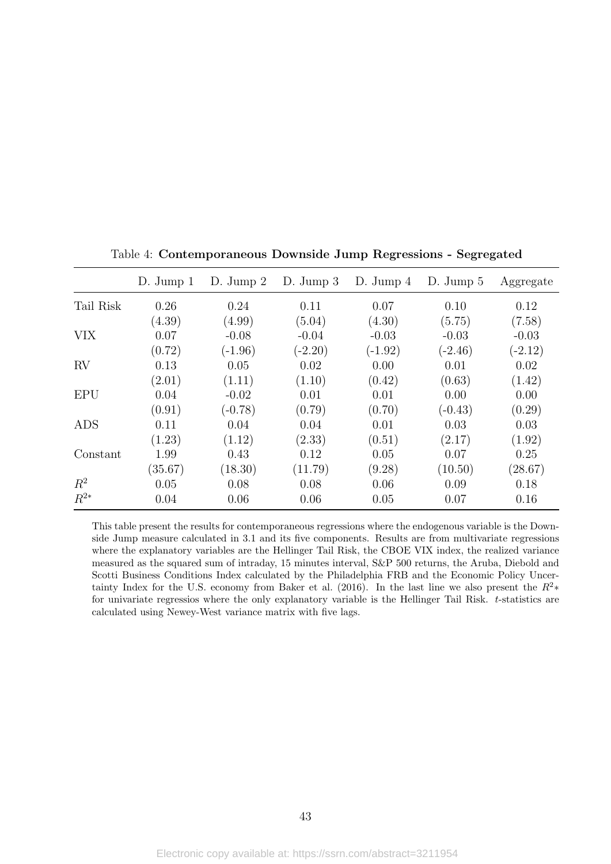|            | $D.$ Jump 1 | $D.$ Jump $2$ | $D.$ Jump $3$ | $D.$ Jump $4$ | $D.$ Jump $5$ | Aggregate |
|------------|-------------|---------------|---------------|---------------|---------------|-----------|
| Tail Risk  | 0.26        | 0.24          | 0.11          | 0.07          | 0.10          | 0.12      |
|            | (4.39)      | (4.99)        | (5.04)        | (4.30)        | (5.75)        | (7.58)    |
| <b>VIX</b> | 0.07        | $-0.08$       | $-0.04$       | $-0.03$       | $-0.03$       | $-0.03$   |
|            | (0.72)      | $(-1.96)$     | $(-2.20)$     | $(-1.92)$     | $(-2.46)$     | $(-2.12)$ |
| RV         | 0.13        | 0.05          | 0.02          | 0.00          | 0.01          | 0.02      |
|            | (2.01)      | (1.11)        | (1.10)        | (0.42)        | (0.63)        | (1.42)    |
| <b>EPU</b> | 0.04        | $-0.02$       | 0.01          | 0.01          | 0.00          | 0.00      |
|            | (0.91)      | $(-0.78)$     | (0.79)        | (0.70)        | $(-0.43)$     | (0.29)    |
| ADS        | 0.11        | 0.04          | 0.04          | 0.01          | 0.03          | 0.03      |
|            | (1.23)      | (1.12)        | (2.33)        | (0.51)        | (2.17)        | (1.92)    |
| Constant   | 1.99        | 0.43          | 0.12          | 0.05          | 0.07          | 0.25      |
|            | (35.67)     | (18.30)       | (11.79)       | (9.28)        | (10.50)       | (28.67)   |
| $R^2$      | 0.05        | 0.08          | 0.08          | 0.06          | 0.09          | 0.18      |
| $R^{2*}$   | 0.04        | 0.06          | 0.06          | 0.05          | 0.07          | 0.16      |

Table 4: Contemporaneous Downside Jump Regressions - Segregated

This table present the results for contemporaneous regressions where the endogenous variable is the Downside Jump measure calculated in 3.1 and its five components. Results are from multivariate regressions where the explanatory variables are the Hellinger Tail Risk, the CBOE VIX index, the realized variance measured as the squared sum of intraday, 15 minutes interval, S&P 500 returns, the Aruba, Diebold and Scotti Business Conditions Index calculated by the Philadelphia FRB and the Economic Policy Uncertainty Index for the U.S. economy from Baker et al. (2016). In the last line we also present the  $R^2*$ for univariate regressios where the only explanatory variable is the Hellinger Tail Risk. t-statistics are calculated using Newey-West variance matrix with five lags.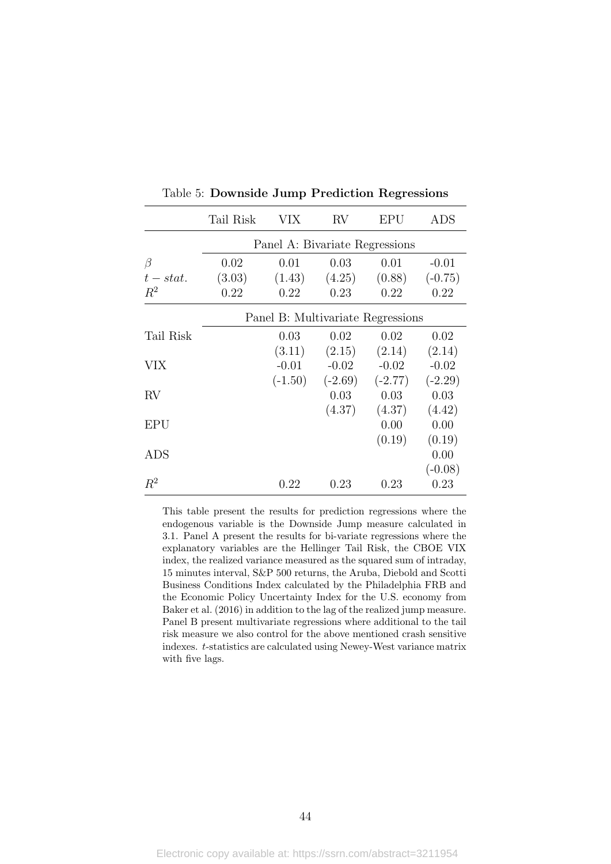|             | Tail Risk | VIX    | RV                             | EPU                               | ADS       |
|-------------|-----------|--------|--------------------------------|-----------------------------------|-----------|
|             |           |        | Panel A: Bivariate Regressions |                                   |           |
| $\beta$     | 0.02      | 0.01   | 0.03                           | 0.01                              | $-0.01$   |
| $t - stat.$ | (3.03)    | (1.43) | (4.25)                         | (0.88)                            | $(-0.75)$ |
| $R^2$       | 0.22      | 0.22   | 0.23                           | 0.22                              | 0.22      |
|             |           |        |                                | Panel B: Multivariate Regressions |           |
| Tail Risk   |           | 0.03   | 0.02                           | 0.02                              | 0.02      |
|             |           | (3.11) | (2.15)                         | (2.14)                            | (2.14)    |
| VIX         |           |        | $-0.01$ $-0.02$                | $-0.02$                           | $-0.02$   |
|             |           |        |                                | $(-1.50)$ $(-2.69)$ $(-2.77)$     | $(-2.29)$ |
| $\rm RV$    |           |        | 0.03                           | 0.03                              | 0.03      |
|             |           |        | (4.37)                         | (4.37)                            | (4.42)    |
| EPU         |           |        |                                | 0.00                              | 0.00      |
|             |           |        |                                | (0.19)                            | (0.19)    |
| ADS         |           |        |                                |                                   | 0.00      |
|             |           |        |                                |                                   | $(-0.08)$ |
| $R^2$       |           | 0.22   | 0.23                           | 0.23                              | 0.23      |

Table 5: Downside Jump Prediction Regressions

This table present the results for prediction regressions where the endogenous variable is the Downside Jump measure calculated in 3.1. Panel A present the results for bi-variate regressions where the explanatory variables are the Hellinger Tail Risk, the CBOE VIX index, the realized variance measured as the squared sum of intraday, 15 minutes interval, S&P 500 returns, the Aruba, Diebold and Scotti Business Conditions Index calculated by the Philadelphia FRB and the Economic Policy Uncertainty Index for the U.S. economy from Baker et al. (2016) in addition to the lag of the realized jump measure. Panel B present multivariate regressions where additional to the tail risk measure we also control for the above mentioned crash sensitive indexes. t-statistics are calculated using Newey-West variance matrix with five lags.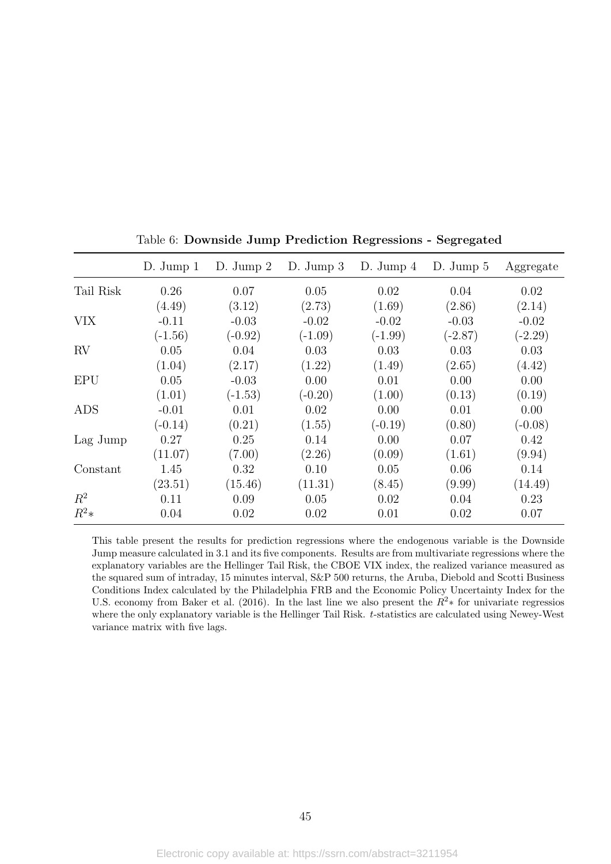|            | $D.$ Jump 1 | $D.$ Jump $2$ | $D.$ Jump $3$ | $D.$ Jump $4$ | $D.$ Jump $5$ | Aggregate |
|------------|-------------|---------------|---------------|---------------|---------------|-----------|
| Tail Risk  | 0.26        | 0.07          | 0.05          | 0.02          | 0.04          | 0.02      |
|            | (4.49)      | (3.12)        | (2.73)        | (1.69)        | (2.86)        | (2.14)    |
| VIX        | $-0.11$     | $-0.03$       | $-0.02$       | $-0.02$       | $-0.03$       | $-0.02$   |
|            | $(-1.56)$   | $(-0.92)$     | $(-1.09)$     | $(-1.99)$     | $(-2.87)$     | $(-2.29)$ |
| RV         | 0.05        | 0.04          | 0.03          | 0.03          | 0.03          | 0.03      |
|            | (1.04)      | (2.17)        | (1.22)        | (1.49)        | (2.65)        | (4.42)    |
| <b>EPU</b> | 0.05        | $-0.03$       | 0.00          | 0.01          | 0.00          | 0.00      |
|            | (1.01)      | $(-1.53)$     | $(-0.20)$     | (1.00)        | (0.13)        | (0.19)    |
| ADS        | $-0.01$     | 0.01          | 0.02          | 0.00          | 0.01          | 0.00      |
|            | $(-0.14)$   | (0.21)        | (1.55)        | $(-0.19)$     | (0.80)        | $(-0.08)$ |
| Lag Jump   | 0.27        | 0.25          | 0.14          | 0.00          | 0.07          | 0.42      |
|            | (11.07)     | (7.00)        | (2.26)        | (0.09)        | (1.61)        | (9.94)    |
| Constant   | 1.45        | 0.32          | 0.10          | 0.05          | 0.06          | 0.14      |
|            | (23.51)     | (15.46)       | (11.31)       | (8.45)        | (9.99)        | (14.49)   |
| $R^2$      | 0.11        | 0.09          | 0.05          | 0.02          | 0.04          | 0.23      |
| $R^2*$     | 0.04        | 0.02          | 0.02          | 0.01          | 0.02          | 0.07      |

Table 6: Downside Jump Prediction Regressions - Segregated

This table present the results for prediction regressions where the endogenous variable is the Downside Jump measure calculated in 3.1 and its five components. Results are from multivariate regressions where the explanatory variables are the Hellinger Tail Risk, the CBOE VIX index, the realized variance measured as the squared sum of intraday, 15 minutes interval, S&P 500 returns, the Aruba, Diebold and Scotti Business Conditions Index calculated by the Philadelphia FRB and the Economic Policy Uncertainty Index for the U.S. economy from Baker et al. (2016). In the last line we also present the  $R^2*$  for univariate regressios where the only explanatory variable is the Hellinger Tail Risk. t-statistics are calculated using Newey-West variance matrix with five lags.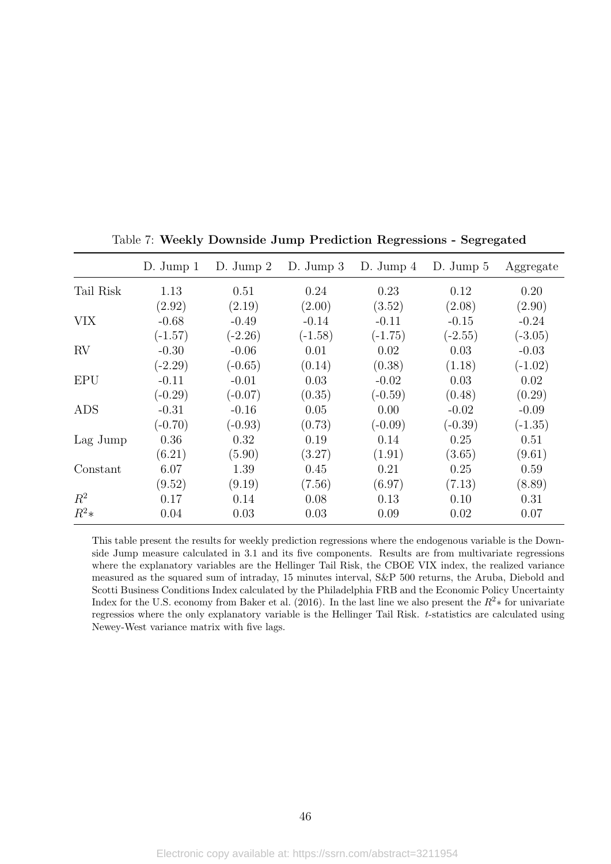|            | $D.$ Jump 1 | $D.$ Jump $2$ | $D.$ Jump $3$ | $D.$ Jump $4$ | $D.$ Jump $5$ | Aggregate |
|------------|-------------|---------------|---------------|---------------|---------------|-----------|
| Tail Risk  | 1.13        | 0.51          | 0.24          | 0.23          | 0.12          | 0.20      |
|            | (2.92)      | (2.19)        | (2.00)        | (3.52)        | (2.08)        | (2.90)    |
| VIX        | $-0.68$     | $-0.49$       | $-0.14$       | $-0.11$       | $-0.15$       | $-0.24$   |
|            | $(-1.57)$   | $(-2.26)$     | $(-1.58)$     | $(-1.75)$     | $(-2.55)$     | $(-3.05)$ |
| RV         | $-0.30$     | $-0.06$       | 0.01          | 0.02          | 0.03          | $-0.03$   |
|            | $(-2.29)$   | $(-0.65)$     | (0.14)        | (0.38)        | (1.18)        | $(-1.02)$ |
| <b>EPU</b> | $-0.11$     | $-0.01$       | 0.03          | $-0.02$       | 0.03          | 0.02      |
|            | $(-0.29)$   | $(-0.07)$     | (0.35)        | $(-0.59)$     | (0.48)        | (0.29)    |
| ADS        | $-0.31$     | $-0.16$       | 0.05          | 0.00          | $-0.02$       | $-0.09$   |
|            | $(-0.70)$   | $(-0.93)$     | (0.73)        | $(-0.09)$     | $(-0.39)$     | $(-1.35)$ |
| Lag Jump   | 0.36        | 0.32          | 0.19          | 0.14          | 0.25          | 0.51      |
|            | (6.21)      | (5.90)        | (3.27)        | (1.91)        | (3.65)        | (9.61)    |
| Constant   | 6.07        | 1.39          | 0.45          | 0.21          | 0.25          | 0.59      |
|            | (9.52)      | (9.19)        | (7.56)        | (6.97)        | (7.13)        | (8.89)    |
| $R^2$      | 0.17        | 0.14          | 0.08          | 0.13          | 0.10          | 0.31      |
| $R^2*$     | 0.04        | 0.03          | 0.03          | 0.09          | 0.02          | 0.07      |

Table 7: Weekly Downside Jump Prediction Regressions - Segregated

This table present the results for weekly prediction regressions where the endogenous variable is the Downside Jump measure calculated in 3.1 and its five components. Results are from multivariate regressions where the explanatory variables are the Hellinger Tail Risk, the CBOE VIX index, the realized variance measured as the squared sum of intraday, 15 minutes interval, S&P 500 returns, the Aruba, Diebold and Scotti Business Conditions Index calculated by the Philadelphia FRB and the Economic Policy Uncertainty Index for the U.S. economy from Baker et al. (2016). In the last line we also present the  $R^2*$  for univariate regressios where the only explanatory variable is the Hellinger Tail Risk. t-statistics are calculated using Newey-West variance matrix with five lags.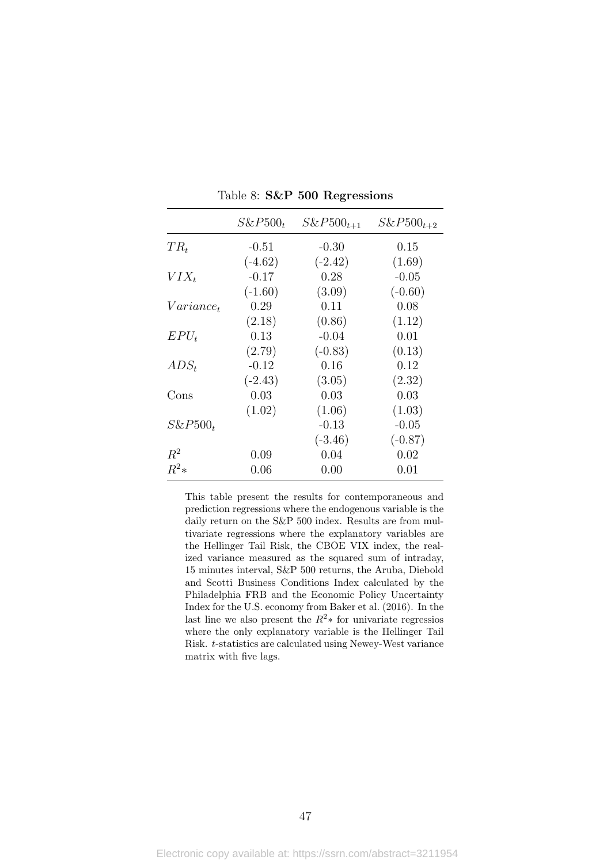|              | $S\&P500_t$ | $S\&P500_{t+1}$ | $S\&P500_{t+2}$ |
|--------------|-------------|-----------------|-----------------|
| $TR_t$       | $-0.51$     | $-0.30$         | 0.15            |
|              | $(-4.62)$   | $(-2.42)$       | (1.69)          |
| $VIX_t$      | $-0.17$     | 0.28            | $-0.05$         |
|              | $(-1.60)$   | (3.09)          | $(-0.60)$       |
| $Variance_t$ | 0.29        | 0.11            | 0.08            |
|              | (2.18)      | (0.86)          | (1.12)          |
| $EPU_t$      | 0.13        | $-0.04$         | 0.01            |
|              | (2.79)      | $(-0.83)$       | (0.13)          |
| $ADS_t$      | -0.12       | 0.16            | 0.12            |
|              | $(-2.43)$   | (3.05)          | (2.32)          |
| Cons         | 0.03        | 0.03            | 0.03            |
|              | (1.02)      | (1.06)          | (1.03)          |
| $S\&P500_t$  |             | $-0.13$         | $-0.05$         |
|              |             | $(-3.46)$       | $(-0.87)$       |
| $R^2$        | 0.09        | 0.04            | 0.02            |
| $R^2*$       | $0.06\,$    | 0.00            | 0.01            |

Table 8: S&P 500 Regressions

This table present the results for contemporaneous and prediction regressions where the endogenous variable is the daily return on the S&P 500 index. Results are from multivariate regressions where the explanatory variables are the Hellinger Tail Risk, the CBOE VIX index, the realized variance measured as the squared sum of intraday, 15 minutes interval, S&P 500 returns, the Aruba, Diebold and Scotti Business Conditions Index calculated by the Philadelphia FRB and the Economic Policy Uncertainty Index for the U.S. economy from Baker et al. (2016). In the last line we also present the  $R^2*$  for univariate regressios where the only explanatory variable is the Hellinger Tail Risk. t-statistics are calculated using Newey-West variance matrix with five lags.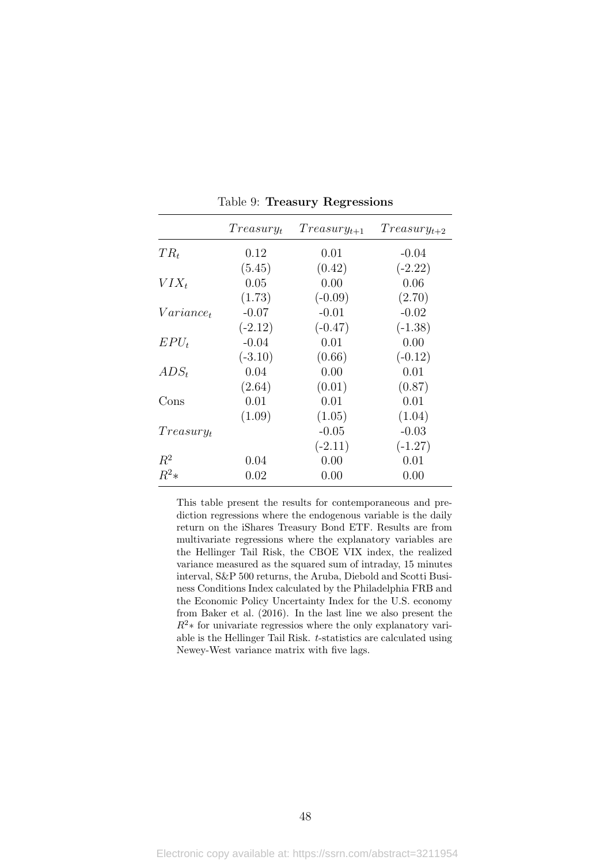|              | $T$ reasur $y_t$ | $Treasury_{t+1}$ | $Treasury_{t+2}$ |
|--------------|------------------|------------------|------------------|
| $TR_t$       | 0.12             | 0.01             | $-0.04$          |
|              | (5.45)           | (0.42)           | $(-2.22)$        |
| $VIX_t$      | 0.05             | 0.00             | 0.06             |
|              | (1.73)           | $(-0.09)$        | (2.70)           |
| $Variance_t$ | $-0.07$          | $-0.01$          | $-0.02$          |
|              | $(-2.12)$        | $(-0.47)$        | $(-1.38)$        |
| $EPU_t$      | $-0.04$          | 0.01             | 0.00             |
|              | $(-3.10)$        | (0.66)           | $(-0.12)$        |
| $ADS_t$      | 0.04             | 0.00             | 0.01             |
|              | (2.64)           | (0.01)           | (0.87)           |
| Cons         | 0.01             | 0.01             | 0.01             |
|              | (1.09)           | (1.05)           | (1.04)           |
| $Treasury_t$ |                  | $-0.05$          | $-0.03$          |
|              |                  | $(-2.11)$        | $(-1.27)$        |
| $R^2$        | 0.04             | 0.00             | 0.01             |
| $R^2*$       | 0.02             | 0.00             | 0.00             |

Table 9: Treasury Regressions

This table present the results for contemporaneous and prediction regressions where the endogenous variable is the daily return on the iShares Treasury Bond ETF. Results are from multivariate regressions where the explanatory variables are the Hellinger Tail Risk, the CBOE VIX index, the realized variance measured as the squared sum of intraday, 15 minutes interval, S&P 500 returns, the Aruba, Diebold and Scotti Business Conditions Index calculated by the Philadelphia FRB and the Economic Policy Uncertainty Index for the U.S. economy from Baker et al. (2016). In the last line we also present the  $R^2*$  for univariate regressios where the only explanatory variable is the Hellinger Tail Risk. t-statistics are calculated using Newey-West variance matrix with five lags.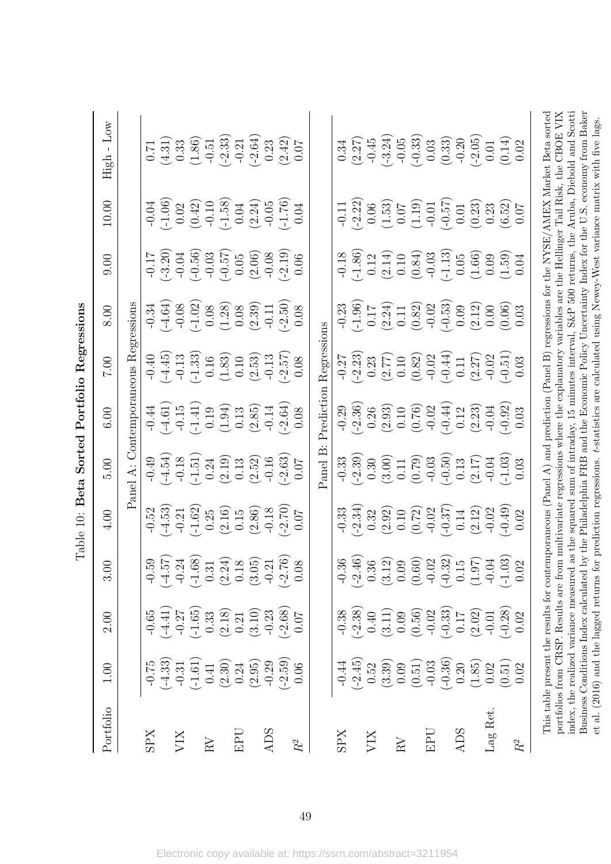|                          |                    |                                       |                                                                                                                                                                                                                                                                                            |                                                                                                                                                                                             |                                                                                                                                                                                                                                                                             | Table 10: Beta Sorted Portfolio Regressions                                                                                                                                                                                                                                                                     |                                                                                                                                                                                                                                          |                                                                                                                                                                                                                                                                                                                                    |                                                                                                                                                                                                                                                                                                                                                                                                                                                                 |                                                                                                                                                                                                                                                                                                                                              |                                                                                                                                                                                                                                                                                                                                                                                            |
|--------------------------|--------------------|---------------------------------------|--------------------------------------------------------------------------------------------------------------------------------------------------------------------------------------------------------------------------------------------------------------------------------------------|---------------------------------------------------------------------------------------------------------------------------------------------------------------------------------------------|-----------------------------------------------------------------------------------------------------------------------------------------------------------------------------------------------------------------------------------------------------------------------------|-----------------------------------------------------------------------------------------------------------------------------------------------------------------------------------------------------------------------------------------------------------------------------------------------------------------|------------------------------------------------------------------------------------------------------------------------------------------------------------------------------------------------------------------------------------------|------------------------------------------------------------------------------------------------------------------------------------------------------------------------------------------------------------------------------------------------------------------------------------------------------------------------------------|-----------------------------------------------------------------------------------------------------------------------------------------------------------------------------------------------------------------------------------------------------------------------------------------------------------------------------------------------------------------------------------------------------------------------------------------------------------------|----------------------------------------------------------------------------------------------------------------------------------------------------------------------------------------------------------------------------------------------------------------------------------------------------------------------------------------------|--------------------------------------------------------------------------------------------------------------------------------------------------------------------------------------------------------------------------------------------------------------------------------------------------------------------------------------------------------------------------------------------|
| Portfolio                | 1.00               | 2.00                                  | 3.00                                                                                                                                                                                                                                                                                       | 4.00                                                                                                                                                                                        | 5.00                                                                                                                                                                                                                                                                        | 6.00                                                                                                                                                                                                                                                                                                            | 00.7                                                                                                                                                                                                                                     | 8.00                                                                                                                                                                                                                                                                                                                               | 0.00                                                                                                                                                                                                                                                                                                                                                                                                                                                            | 10.00                                                                                                                                                                                                                                                                                                                                        | Low<br>High                                                                                                                                                                                                                                                                                                                                                                                |
|                          |                    |                                       |                                                                                                                                                                                                                                                                                            |                                                                                                                                                                                             |                                                                                                                                                                                                                                                                             | Panel A: Contemporaneous Regressions                                                                                                                                                                                                                                                                            |                                                                                                                                                                                                                                          |                                                                                                                                                                                                                                                                                                                                    |                                                                                                                                                                                                                                                                                                                                                                                                                                                                 |                                                                                                                                                                                                                                                                                                                                              |                                                                                                                                                                                                                                                                                                                                                                                            |
| <b>SPX</b>               | $-0.75$            | $-0.65$                               |                                                                                                                                                                                                                                                                                            |                                                                                                                                                                                             |                                                                                                                                                                                                                                                                             |                                                                                                                                                                                                                                                                                                                 |                                                                                                                                                                                                                                          |                                                                                                                                                                                                                                                                                                                                    |                                                                                                                                                                                                                                                                                                                                                                                                                                                                 |                                                                                                                                                                                                                                                                                                                                              |                                                                                                                                                                                                                                                                                                                                                                                            |
|                          | $(-4.33)$          | $-4.41$                               |                                                                                                                                                                                                                                                                                            |                                                                                                                                                                                             |                                                                                                                                                                                                                                                                             |                                                                                                                                                                                                                                                                                                                 |                                                                                                                                                                                                                                          |                                                                                                                                                                                                                                                                                                                                    |                                                                                                                                                                                                                                                                                                                                                                                                                                                                 |                                                                                                                                                                                                                                                                                                                                              |                                                                                                                                                                                                                                                                                                                                                                                            |
| XIX                      | $-0.31$            | $-0.27$                               |                                                                                                                                                                                                                                                                                            |                                                                                                                                                                                             |                                                                                                                                                                                                                                                                             |                                                                                                                                                                                                                                                                                                                 |                                                                                                                                                                                                                                          |                                                                                                                                                                                                                                                                                                                                    |                                                                                                                                                                                                                                                                                                                                                                                                                                                                 |                                                                                                                                                                                                                                                                                                                                              |                                                                                                                                                                                                                                                                                                                                                                                            |
|                          | $(-1.61)$          | $-1.65$                               | $\begin{array}{l} -0.59 \\ -0.24 \\ -0.31 \\ -0.31 \\ \hline \end{array} \hspace{1.5cm} \begin{array}{l} (8) \\ (-1.68) \\ 0.31 \\ (2.24) \\ 0.65 \\ \hline \end{array} \hspace{1.5cm} \begin{array}{l} (8) \\ (1) \\ (2) \\ (3) \\ (4) \\ (5) \\ (6) \\ (7) \\ (8) \\ \hline \end{array}$ | $-0.52$<br>$-0.53$ )<br>$-1.62$ )<br>$-1.62$<br>$-1.62$<br>$-1.62$<br>$-1.62$<br>$-1.62$<br>$-1.62$<br>$-1.62$<br>$-1.62$<br>$-1.62$<br>$-1.62$<br>$-1.62$<br>$-1.62$<br>$-1.62$<br>$-1.62$ | $-0.49$<br>$-0.18$<br>$-0.151$<br>$-0.24$<br>$-0.19$<br>$-0.19$<br>$-0.19$<br>$-0.19$<br>$-0.16$<br>$-0.07$                                                                                                                                                                 | $\begin{array}{c} -0.44 \\ -0.15 \\ -0.19 \\ -0.19 \\ 0.19 \\ -0.19 \\ 0.13 \\ -0.14 \\ 0.05 \\ 0.08 \\ -0.08 \\ 0.08 \end{array}$                                                                                                                                                                              | $-0.45$<br>$-0.13$<br>$-0.13$<br>$-1.33$<br>$-0.16$<br>$-1.33$<br>$-0.16$<br>$-0.13$<br>$-0.13$<br>$-0.13$<br>$-0.13$<br>$-0.08$                                                                                                         | $\begin{array}{l} 34 \\ - 0.08 \\ - 0.08 \\ - 0.02 \\ 0.08 \\ - 0.08 \\ 0.03 \\ - 0.08 \\ - 0.08 \\ - 0.08 \\ - 0.08 \\ - 0.08 \\ - 0.08 \\ - 0.08 \\ - 0.08 \\ - 0.08 \\ - 0.08 \\ - 0.08 \\ - 0.08 \\ - 0.08 \\ - 0.08 \\ - 0.08 \\ - 0.08 \\ - 0.08 \\ - 0.08 \\ - 0.08 \\ - 0.08 \\ - 0.08 \\ - 0.08 \\ - 0.08 \\ - 0.08 \\ -$ | $-0.17$<br>$-0.3.20$<br>$-0.56$<br>$-0.57$<br>$-0.57$<br>$-0.08$<br>$-0.08$<br>$-0.08$<br>$-0.06$<br>$-0.06$<br>$-0.06$                                                                                                                                                                                                                                                                                                                                         | $\begin{array}{c} -0.04 \\ -0.06 \\ 0.02 \\ 0.10 \\ -0.10 \\ 0.04 \\ -0.58 \\ 0.04 \\ -0.05 \\ 0.04 \\ -0.05 \\ 0.04 \\ -0.04 \\ 0.04 \\ \end{array}$                                                                                                                                                                                        | $\begin{array}{c} 0.71 \\ (4.31) \\ 0.33 \\ (1.86) \\ -0.51 \\ \hline \end{array} \quad \begin{array}{c} 0.71 \\ (3.81) \\ -0.21 \\ \hline \end{array}$                                                                                                                                                                                                                                    |
| RV                       | 0.41               | 0.33                                  |                                                                                                                                                                                                                                                                                            |                                                                                                                                                                                             |                                                                                                                                                                                                                                                                             |                                                                                                                                                                                                                                                                                                                 |                                                                                                                                                                                                                                          |                                                                                                                                                                                                                                                                                                                                    |                                                                                                                                                                                                                                                                                                                                                                                                                                                                 |                                                                                                                                                                                                                                                                                                                                              |                                                                                                                                                                                                                                                                                                                                                                                            |
|                          | (2.30)             | (2.18)                                |                                                                                                                                                                                                                                                                                            |                                                                                                                                                                                             |                                                                                                                                                                                                                                                                             |                                                                                                                                                                                                                                                                                                                 |                                                                                                                                                                                                                                          |                                                                                                                                                                                                                                                                                                                                    |                                                                                                                                                                                                                                                                                                                                                                                                                                                                 |                                                                                                                                                                                                                                                                                                                                              |                                                                                                                                                                                                                                                                                                                                                                                            |
| <b>THE</b>               | 0.24               | 0.21                                  |                                                                                                                                                                                                                                                                                            |                                                                                                                                                                                             |                                                                                                                                                                                                                                                                             |                                                                                                                                                                                                                                                                                                                 |                                                                                                                                                                                                                                          |                                                                                                                                                                                                                                                                                                                                    |                                                                                                                                                                                                                                                                                                                                                                                                                                                                 |                                                                                                                                                                                                                                                                                                                                              |                                                                                                                                                                                                                                                                                                                                                                                            |
|                          | (2.95)             | (3.10)                                |                                                                                                                                                                                                                                                                                            |                                                                                                                                                                                             |                                                                                                                                                                                                                                                                             |                                                                                                                                                                                                                                                                                                                 |                                                                                                                                                                                                                                          |                                                                                                                                                                                                                                                                                                                                    |                                                                                                                                                                                                                                                                                                                                                                                                                                                                 |                                                                                                                                                                                                                                                                                                                                              |                                                                                                                                                                                                                                                                                                                                                                                            |
| <b>ADS</b>               | $-0.29$            | $-0.23$                               |                                                                                                                                                                                                                                                                                            |                                                                                                                                                                                             |                                                                                                                                                                                                                                                                             |                                                                                                                                                                                                                                                                                                                 |                                                                                                                                                                                                                                          |                                                                                                                                                                                                                                                                                                                                    |                                                                                                                                                                                                                                                                                                                                                                                                                                                                 |                                                                                                                                                                                                                                                                                                                                              |                                                                                                                                                                                                                                                                                                                                                                                            |
|                          | $(-2.59)$          | $(-2.68)$                             |                                                                                                                                                                                                                                                                                            |                                                                                                                                                                                             |                                                                                                                                                                                                                                                                             |                                                                                                                                                                                                                                                                                                                 |                                                                                                                                                                                                                                          |                                                                                                                                                                                                                                                                                                                                    |                                                                                                                                                                                                                                                                                                                                                                                                                                                                 |                                                                                                                                                                                                                                                                                                                                              |                                                                                                                                                                                                                                                                                                                                                                                            |
| $\ensuremath{R^2}$       | 0.06               | $0.07$                                |                                                                                                                                                                                                                                                                                            |                                                                                                                                                                                             |                                                                                                                                                                                                                                                                             |                                                                                                                                                                                                                                                                                                                 |                                                                                                                                                                                                                                          |                                                                                                                                                                                                                                                                                                                                    |                                                                                                                                                                                                                                                                                                                                                                                                                                                                 |                                                                                                                                                                                                                                                                                                                                              |                                                                                                                                                                                                                                                                                                                                                                                            |
|                          |                    |                                       |                                                                                                                                                                                                                                                                                            |                                                                                                                                                                                             | Panel B                                                                                                                                                                                                                                                                     | Prediction                                                                                                                                                                                                                                                                                                      | Regressions                                                                                                                                                                                                                              |                                                                                                                                                                                                                                                                                                                                    |                                                                                                                                                                                                                                                                                                                                                                                                                                                                 |                                                                                                                                                                                                                                                                                                                                              |                                                                                                                                                                                                                                                                                                                                                                                            |
| <b>SPX</b>               | $-0.44$            | $-0.38$                               | $-0.36$                                                                                                                                                                                                                                                                                    |                                                                                                                                                                                             |                                                                                                                                                                                                                                                                             |                                                                                                                                                                                                                                                                                                                 |                                                                                                                                                                                                                                          |                                                                                                                                                                                                                                                                                                                                    |                                                                                                                                                                                                                                                                                                                                                                                                                                                                 |                                                                                                                                                                                                                                                                                                                                              |                                                                                                                                                                                                                                                                                                                                                                                            |
|                          | $(-2.45)$          | $(-2.38)$                             |                                                                                                                                                                                                                                                                                            | $-0.33$<br>$(-2.34)$                                                                                                                                                                        |                                                                                                                                                                                                                                                                             |                                                                                                                                                                                                                                                                                                                 |                                                                                                                                                                                                                                          |                                                                                                                                                                                                                                                                                                                                    |                                                                                                                                                                                                                                                                                                                                                                                                                                                                 |                                                                                                                                                                                                                                                                                                                                              |                                                                                                                                                                                                                                                                                                                                                                                            |
| XIV                      | 0.52               | 0.40                                  |                                                                                                                                                                                                                                                                                            |                                                                                                                                                                                             |                                                                                                                                                                                                                                                                             |                                                                                                                                                                                                                                                                                                                 |                                                                                                                                                                                                                                          |                                                                                                                                                                                                                                                                                                                                    |                                                                                                                                                                                                                                                                                                                                                                                                                                                                 |                                                                                                                                                                                                                                                                                                                                              |                                                                                                                                                                                                                                                                                                                                                                                            |
|                          | (3.39)             | (3.11)                                |                                                                                                                                                                                                                                                                                            |                                                                                                                                                                                             |                                                                                                                                                                                                                                                                             |                                                                                                                                                                                                                                                                                                                 |                                                                                                                                                                                                                                          |                                                                                                                                                                                                                                                                                                                                    |                                                                                                                                                                                                                                                                                                                                                                                                                                                                 |                                                                                                                                                                                                                                                                                                                                              |                                                                                                                                                                                                                                                                                                                                                                                            |
| $\ensuremath{\text{RV}}$ | 0.09               | 0.09                                  |                                                                                                                                                                                                                                                                                            |                                                                                                                                                                                             |                                                                                                                                                                                                                                                                             |                                                                                                                                                                                                                                                                                                                 |                                                                                                                                                                                                                                          |                                                                                                                                                                                                                                                                                                                                    |                                                                                                                                                                                                                                                                                                                                                                                                                                                                 |                                                                                                                                                                                                                                                                                                                                              |                                                                                                                                                                                                                                                                                                                                                                                            |
|                          | (0.51)             | (0.56)                                | $\begin{array}{c} (-2.46) \\[-4pt] 0.36 \\[-4pt] (3.12) \\[-4pt] 0.09 \\[-4pt] 0.02 \\[-4pt] 0.02 \\[-4pt] 0.02 \\[-4pt] 0.04 \\[-4pt] 0.15 \\[-4pt] 0.04 \\[-4pt] 0.04 \end{array}$                                                                                                       |                                                                                                                                                                                             | $\begin{array}{l} 0.33\\ - (2.39)\\ 0.30\\ 0.11\\ 0.79)\\ 0.11\\ 0.79)\\ 0.11\\ 0.02\\ 0.03\\ 0.03\\ 0.03\\ 0.03\\ 0.03\\ 0.03\\ 0.03\\ 0.03\\ 0.03\\ 0.03\\ 0.03\\ 0.03\\ 0.03\\ 0.03\\ 0.03\\ 0.03\\ 0.03\\ 0.03\\ 0.03\\ 0.03\\ 0.03\\ 0.03\\ 0.03\\ 0.03\\ 0.03\\ 0.03$ | $\begin{array}{l} 0.29 \\ - (2.36) \\ 0.26 \\ 0.10 \\ 0.10 \\ 0.01 \\ 0.01 \\ 0.01 \\ 0.01 \\ 0.01 \\ 0.01 \\ 0.01 \\ 0.03 \\ 0.03 \\ 0.03 \\ 0.03 \\ 0.03 \\ 0.03 \\ 0.03 \\ 0.03 \\ 0.03 \\ 0.03 \\ 0.03 \\ 0.03 \\ 0.03 \\ 0.03 \\ 0.03 \\ 0.03 \\ 0.03 \\ 0.03 \\ 0.03 \\ 0.03 \\ 0.03 \\ 0.03 \\ 0.03 \\ $ | $\begin{array}{l} -0.27 \\ - (2.23) \\ 0.23 \\ 0.10 \\ 0.10 \\ 0.62 \end{array} \hspace{-.25cm} \begin{array}{l} \scriptstyle{27} \\ \scriptstyle{12} \\ \scriptstyle{0.10} \\ 0.02 \\ 0.01 \\ 0.01 \\ 0.01 \\ 0.01 \\ 0.03 \end{array}$ | $\begin{array}{l} 23\\  \  \  1\\  \  \  0\\  \  \  1\\  \  \  0\\  \  \  0\\  \  \  0\\  \  \  1\\  \  \  0\\  \  \  1\\  \  \  1\\  \  \  1\\  \  \  1\\  \  \  0\\  \  \  0\\  \  \  0\\  \  \  0\\  \  \  0\\  \  \  0\\  \  \  0\\  \  \  0\\  \  \  0\\  \  \  0\\  \  \  0\\  \  \  0\\  \  \  0\\  \  \  0\\ $             | $\begin{array}{l} 9.18 \\ -1.86 \\ -1.2 \\ 0.12 \\ 0.03 \\ \hline \end{array} \quad \begin{array}{l} 2 \\ 2 \\ 3 \\ 1 \\ 2 \\ 0 \\ \hline \end{array} \quad \begin{array}{l} 2 \\ 2 \\ 3 \\ 0 \\ 0 \\ \hline \end{array} \quad \begin{array}{l} 2 \\ 2 \\ 3 \\ 0 \\ 0 \\ \hline \end{array} \quad \begin{array}{l} 2 \\ 2 \\ 3 \\ 0 \\ 0 \\ \hline \end{array} \quad \begin{array}{l} 2 \\ 2 \\ 3 \\ 0 \\ 0 \\ \hline \end{array} \quad \begin{array}{l} 2 \\ $ | $\begin{array}{c} -0.11 \\ -2.22 \\ 0.06 \\ 0.07 \\ -0.07 \\ -0.01 \\ -0.01 \\ -0.01 \\ -0.01 \\ -0.02 \\ 0.02 \\ 0.07 \\ -0.01 \\ -0.02 \\ 0.07 \\ -0.07 \\ -0.07 \\ -0.07 \\ -0.07 \\ -0.07 \\ -0.07 \\ -0.07 \\ -0.07 \\ -0.07 \\ -0.07 \\ -0.07 \\ -0.07 \\ -0.07 \\ -0.07 \\ -0.07 \\ -0.07 \\ -0.07 \\ -0.07 \\ -0.07 \\ -0.07 \\ -0.$ | 0.34<br>$(2.27)$<br>$-0.45$<br>$-0.05$<br>$(0.33)$<br>$-0.33)$<br>$-0.05$<br>$-0.33)$<br>$-0.05$<br>$-0.05$<br>$-0.014$<br>$-0.02$                                                                                                                                                                                                                                                         |
| EPU                      | $-0.03$            | $-0.02$                               |                                                                                                                                                                                                                                                                                            |                                                                                                                                                                                             |                                                                                                                                                                                                                                                                             |                                                                                                                                                                                                                                                                                                                 |                                                                                                                                                                                                                                          |                                                                                                                                                                                                                                                                                                                                    |                                                                                                                                                                                                                                                                                                                                                                                                                                                                 |                                                                                                                                                                                                                                                                                                                                              |                                                                                                                                                                                                                                                                                                                                                                                            |
|                          | $(-0.36)$          | $(-0.33)$                             |                                                                                                                                                                                                                                                                                            |                                                                                                                                                                                             |                                                                                                                                                                                                                                                                             |                                                                                                                                                                                                                                                                                                                 |                                                                                                                                                                                                                                          |                                                                                                                                                                                                                                                                                                                                    |                                                                                                                                                                                                                                                                                                                                                                                                                                                                 |                                                                                                                                                                                                                                                                                                                                              |                                                                                                                                                                                                                                                                                                                                                                                            |
| <b>ADS</b>               | 0.20               | 7L0                                   |                                                                                                                                                                                                                                                                                            |                                                                                                                                                                                             |                                                                                                                                                                                                                                                                             |                                                                                                                                                                                                                                                                                                                 |                                                                                                                                                                                                                                          |                                                                                                                                                                                                                                                                                                                                    |                                                                                                                                                                                                                                                                                                                                                                                                                                                                 |                                                                                                                                                                                                                                                                                                                                              |                                                                                                                                                                                                                                                                                                                                                                                            |
|                          | (1.85)             | (2.02)                                |                                                                                                                                                                                                                                                                                            |                                                                                                                                                                                             |                                                                                                                                                                                                                                                                             |                                                                                                                                                                                                                                                                                                                 |                                                                                                                                                                                                                                          |                                                                                                                                                                                                                                                                                                                                    |                                                                                                                                                                                                                                                                                                                                                                                                                                                                 |                                                                                                                                                                                                                                                                                                                                              |                                                                                                                                                                                                                                                                                                                                                                                            |
| Lag Ret.                 | 0.02               | $-0.01$                               |                                                                                                                                                                                                                                                                                            |                                                                                                                                                                                             |                                                                                                                                                                                                                                                                             |                                                                                                                                                                                                                                                                                                                 |                                                                                                                                                                                                                                          |                                                                                                                                                                                                                                                                                                                                    |                                                                                                                                                                                                                                                                                                                                                                                                                                                                 |                                                                                                                                                                                                                                                                                                                                              |                                                                                                                                                                                                                                                                                                                                                                                            |
|                          | $(0.51)$<br>$0.02$ | $(-0.28)$                             |                                                                                                                                                                                                                                                                                            |                                                                                                                                                                                             |                                                                                                                                                                                                                                                                             |                                                                                                                                                                                                                                                                                                                 |                                                                                                                                                                                                                                          |                                                                                                                                                                                                                                                                                                                                    |                                                                                                                                                                                                                                                                                                                                                                                                                                                                 |                                                                                                                                                                                                                                                                                                                                              |                                                                                                                                                                                                                                                                                                                                                                                            |
| $R^2$                    |                    | 0.02                                  | $\frac{-1.03}{0.02}$                                                                                                                                                                                                                                                                       |                                                                                                                                                                                             |                                                                                                                                                                                                                                                                             |                                                                                                                                                                                                                                                                                                                 |                                                                                                                                                                                                                                          |                                                                                                                                                                                                                                                                                                                                    |                                                                                                                                                                                                                                                                                                                                                                                                                                                                 |                                                                                                                                                                                                                                                                                                                                              |                                                                                                                                                                                                                                                                                                                                                                                            |
|                          |                    | index, the realized variance measured |                                                                                                                                                                                                                                                                                            |                                                                                                                                                                                             |                                                                                                                                                                                                                                                                             |                                                                                                                                                                                                                                                                                                                 |                                                                                                                                                                                                                                          |                                                                                                                                                                                                                                                                                                                                    |                                                                                                                                                                                                                                                                                                                                                                                                                                                                 |                                                                                                                                                                                                                                                                                                                                              | as the squared sum of intraday, 15 minutes interval, S&P 500 returns, the Aruba, Diebold and Scotti<br>This table present the results for contemporaneous (Panel A) and prediction (Panel B) regressions for the NYSE/AMEX Market Beta sorted<br>portfolios from CRSP. Results are from multivariate regressions where the explanatory variables are the Hellinger Tail Risk, the CBOE VIX |
|                          |                    | Business Conditions Index calculated  |                                                                                                                                                                                                                                                                                            |                                                                                                                                                                                             |                                                                                                                                                                                                                                                                             |                                                                                                                                                                                                                                                                                                                 |                                                                                                                                                                                                                                          |                                                                                                                                                                                                                                                                                                                                    |                                                                                                                                                                                                                                                                                                                                                                                                                                                                 |                                                                                                                                                                                                                                                                                                                                              | by the Philadelphia FRB and the Economic Policy Uncertainty Index for the U.S. economy from Baker<br>et al. (2016) and the lagged returns for prediction regressions. t-statistics are calculated using Newey-West variance matrix with five lags.                                                                                                                                         |

Electronic copy available at: https://ssrn.com/abstract=3211954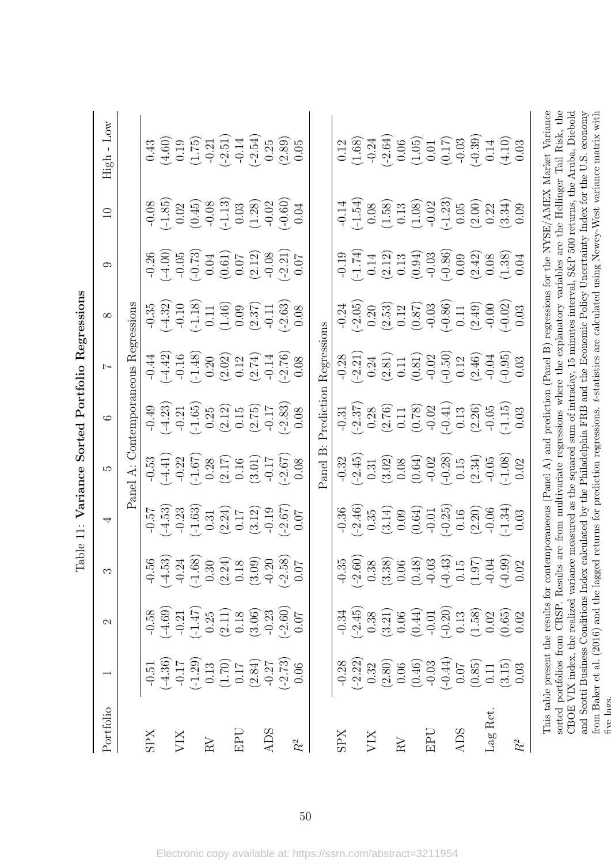|                                     |           |                                                                              |                                                                                                                                                                                                                                                                                                                                               | Table 11: Variance Sorted Portfolio Regressions                                                                                                                                                |                                                                                                                                             |                                                                                                                                               |                                                                                                                                                                                                                                                                                                                |                                                                                                                                                                                                                                                                                                                                                 |                                                                                                                                                                                                                                                                                                                                                                                                                                    |                                                                                                                                                                       |                                                                                                                                                                                                                                                                                                                                                                                                                                                                                          |
|-------------------------------------|-----------|------------------------------------------------------------------------------|-----------------------------------------------------------------------------------------------------------------------------------------------------------------------------------------------------------------------------------------------------------------------------------------------------------------------------------------------|------------------------------------------------------------------------------------------------------------------------------------------------------------------------------------------------|---------------------------------------------------------------------------------------------------------------------------------------------|-----------------------------------------------------------------------------------------------------------------------------------------------|----------------------------------------------------------------------------------------------------------------------------------------------------------------------------------------------------------------------------------------------------------------------------------------------------------------|-------------------------------------------------------------------------------------------------------------------------------------------------------------------------------------------------------------------------------------------------------------------------------------------------------------------------------------------------|------------------------------------------------------------------------------------------------------------------------------------------------------------------------------------------------------------------------------------------------------------------------------------------------------------------------------------------------------------------------------------------------------------------------------------|-----------------------------------------------------------------------------------------------------------------------------------------------------------------------|------------------------------------------------------------------------------------------------------------------------------------------------------------------------------------------------------------------------------------------------------------------------------------------------------------------------------------------------------------------------------------------------------------------------------------------------------------------------------------------|
| Portfolio                           |           | $\mathfrak{g}$                                                               | က                                                                                                                                                                                                                                                                                                                                             | ↤                                                                                                                                                                                              | IJ                                                                                                                                          | G                                                                                                                                             | $\overline{ }$                                                                                                                                                                                                                                                                                                 | $\infty$                                                                                                                                                                                                                                                                                                                                        | ာ                                                                                                                                                                                                                                                                                                                                                                                                                                  | $\Box$                                                                                                                                                                | $High$ - $Low$                                                                                                                                                                                                                                                                                                                                                                                                                                                                           |
|                                     |           |                                                                              |                                                                                                                                                                                                                                                                                                                                               |                                                                                                                                                                                                |                                                                                                                                             | Panel A: Contemporaneous Regressions                                                                                                          |                                                                                                                                                                                                                                                                                                                |                                                                                                                                                                                                                                                                                                                                                 |                                                                                                                                                                                                                                                                                                                                                                                                                                    |                                                                                                                                                                       |                                                                                                                                                                                                                                                                                                                                                                                                                                                                                          |
| <b>SPX</b>                          | $-0.51$   | $-0.58$                                                                      |                                                                                                                                                                                                                                                                                                                                               |                                                                                                                                                                                                |                                                                                                                                             |                                                                                                                                               |                                                                                                                                                                                                                                                                                                                |                                                                                                                                                                                                                                                                                                                                                 |                                                                                                                                                                                                                                                                                                                                                                                                                                    |                                                                                                                                                                       |                                                                                                                                                                                                                                                                                                                                                                                                                                                                                          |
|                                     | $-4.36$   | $-4.69$                                                                      | $\begin{array}{l} -0.56 \\ -0.24 \\ -0.30 \\ -0.30 \\ 0.30 \\ -0.24 \\ 0.48 \\ 0.09 \\ -0.20 \\ -0.7 \\ 0.07 \\ -0.07 \\ -0.07 \\ -0.07 \\ -0.07 \\ -0.07 \\ -0.07 \\ -0.07 \\ -0.07 \\ -0.07 \\ -0.07 \\ -0.07 \\ -0.07 \\ -0.07 \\ -0.07 \\ -0.07 \\ -0.00 \\ -0.00 \\ -0.00 \\ -0.00 \\ -0.00 \\ -0.00 \\ -0.00 \\ -0.00 \\ -0.00 \\ -0.0$ | $\begin{array}{l} -0.57 \\ - (4.53) \\ - 0.23 \\ - 0.31 \\ - (1.63) \\ 0.31 \\ \end{array} \quad \begin{array}{l} \left( 2.24 \right) \\ \left( 2.24 \right) \\ 0.17 \\ - 0.19 \\ \end{array}$ | $\begin{array}{c} -0.53 \\ (-4.41) \\ -0.22 \\ 0.28 \\ 0.17 \\ 0.16 \\ 0.17 \\ -0.17 \\ 0.01 \\ -0.17 \\ 0.08 \\ -0.08 \\ 0.08 \end{array}$ | $-0.49$<br>$-4.23$<br>$-4.21$<br>$-1.65$<br>$-1.65$<br>$-1.5$<br>$-1.7$<br>$-1.7$<br>$-1.7$<br>$-1.7$<br>$-1.7$<br>$-1.7$<br>$-1.7$<br>$-1.7$ | $-0.44$<br>$-0.16$<br>$-0.16$<br>$-1.48$<br>$-0.20$<br>$-0.21$<br>$-0.14$<br>$-0.14$<br>$-0.14$<br>$-0.14$<br>$-0.14$<br>$-0.16$<br>$-0.20$                                                                                                                                                                    | $\begin{array}{l} 9.35 \\ - (4.32) \\ - (1.18) \\ - (1.18) \\ - (1.46) \\ - (1.46) \\ - (1.46) \\ - (1.46) \\ - (1.46) \\ - (1.46) \\ - (1.46) \\ - (1.46) \\ - (1.46) \\ - (1.46) \\ - (1.46) \\ - (1.46) \\ - (1.46) \\ - (1.46) \\ - (1.46) \\ - (1.46) \\ - (1.46) \\ - (1.46) \\ - (1.46) \\ - (1.46) \\ - (1.46) \\ - (1.46) \\ - (1.46)$ | $\begin{array}{l} -0.26 \\ -0.05 \\ -0.05 \\ -0.03 \\ 0.04 \\ 0.01 \\ -0.03 \\ 0.04 \\ 0.07 \\ -0.03 \\ 0.07 \\ -0.07 \\ -0.07 \\ \end{array}$                                                                                                                                                                                                                                                                                     | $\begin{array}{c} -0.08 \\ -1.85 \\ 0.02 \\ 0.045 \\ -0.03 \\ \hline \end{array} \quad \begin{array}{c} 0.08 \\ 0.03 \\ -0.03 \\ 0.02 \\ -0.03 \\ \hline \end{array}$ | 0.43<br>$(4.60)$<br>0.19<br>0.21<br>$(1.75)$<br>$-0.21$<br>$-0.14$<br>$-0.14$<br>$-0.55$                                                                                                                                                                                                                                                                                                                                                                                                 |
| XIN                                 | $-0.17$   | $-0.21$                                                                      |                                                                                                                                                                                                                                                                                                                                               |                                                                                                                                                                                                |                                                                                                                                             |                                                                                                                                               |                                                                                                                                                                                                                                                                                                                |                                                                                                                                                                                                                                                                                                                                                 |                                                                                                                                                                                                                                                                                                                                                                                                                                    |                                                                                                                                                                       |                                                                                                                                                                                                                                                                                                                                                                                                                                                                                          |
|                                     | $(-1.29)$ | $-1.47$                                                                      |                                                                                                                                                                                                                                                                                                                                               |                                                                                                                                                                                                |                                                                                                                                             |                                                                                                                                               |                                                                                                                                                                                                                                                                                                                |                                                                                                                                                                                                                                                                                                                                                 |                                                                                                                                                                                                                                                                                                                                                                                                                                    |                                                                                                                                                                       |                                                                                                                                                                                                                                                                                                                                                                                                                                                                                          |
| $\rm RV$                            | 0.13      |                                                                              |                                                                                                                                                                                                                                                                                                                                               |                                                                                                                                                                                                |                                                                                                                                             |                                                                                                                                               |                                                                                                                                                                                                                                                                                                                |                                                                                                                                                                                                                                                                                                                                                 |                                                                                                                                                                                                                                                                                                                                                                                                                                    |                                                                                                                                                                       |                                                                                                                                                                                                                                                                                                                                                                                                                                                                                          |
|                                     | (1.70)    | $\begin{array}{c} 0.25 \\ (2.11) \\ 0.18 \end{array}$                        |                                                                                                                                                                                                                                                                                                                                               |                                                                                                                                                                                                |                                                                                                                                             |                                                                                                                                               |                                                                                                                                                                                                                                                                                                                |                                                                                                                                                                                                                                                                                                                                                 |                                                                                                                                                                                                                                                                                                                                                                                                                                    |                                                                                                                                                                       |                                                                                                                                                                                                                                                                                                                                                                                                                                                                                          |
| EРU                                 | 0.17      |                                                                              |                                                                                                                                                                                                                                                                                                                                               |                                                                                                                                                                                                |                                                                                                                                             |                                                                                                                                               |                                                                                                                                                                                                                                                                                                                |                                                                                                                                                                                                                                                                                                                                                 |                                                                                                                                                                                                                                                                                                                                                                                                                                    |                                                                                                                                                                       |                                                                                                                                                                                                                                                                                                                                                                                                                                                                                          |
|                                     | (2.84)    | (3.06)                                                                       |                                                                                                                                                                                                                                                                                                                                               |                                                                                                                                                                                                |                                                                                                                                             |                                                                                                                                               |                                                                                                                                                                                                                                                                                                                |                                                                                                                                                                                                                                                                                                                                                 |                                                                                                                                                                                                                                                                                                                                                                                                                                    |                                                                                                                                                                       |                                                                                                                                                                                                                                                                                                                                                                                                                                                                                          |
| <b>ADS</b>                          | $-0.27$   | $-0.23$                                                                      |                                                                                                                                                                                                                                                                                                                                               |                                                                                                                                                                                                |                                                                                                                                             |                                                                                                                                               |                                                                                                                                                                                                                                                                                                                |                                                                                                                                                                                                                                                                                                                                                 |                                                                                                                                                                                                                                                                                                                                                                                                                                    |                                                                                                                                                                       |                                                                                                                                                                                                                                                                                                                                                                                                                                                                                          |
|                                     | $(-2.73)$ | $-2.60$                                                                      |                                                                                                                                                                                                                                                                                                                                               |                                                                                                                                                                                                |                                                                                                                                             |                                                                                                                                               |                                                                                                                                                                                                                                                                                                                |                                                                                                                                                                                                                                                                                                                                                 |                                                                                                                                                                                                                                                                                                                                                                                                                                    |                                                                                                                                                                       | $(2.89)$<br>0.05                                                                                                                                                                                                                                                                                                                                                                                                                                                                         |
| $\ensuremath{R^2}$                  | 0.06      | 0.07                                                                         |                                                                                                                                                                                                                                                                                                                                               |                                                                                                                                                                                                |                                                                                                                                             | 0.08                                                                                                                                          |                                                                                                                                                                                                                                                                                                                |                                                                                                                                                                                                                                                                                                                                                 |                                                                                                                                                                                                                                                                                                                                                                                                                                    |                                                                                                                                                                       |                                                                                                                                                                                                                                                                                                                                                                                                                                                                                          |
|                                     |           |                                                                              |                                                                                                                                                                                                                                                                                                                                               |                                                                                                                                                                                                | Panel B                                                                                                                                     | Prediction                                                                                                                                    | Regressions                                                                                                                                                                                                                                                                                                    |                                                                                                                                                                                                                                                                                                                                                 |                                                                                                                                                                                                                                                                                                                                                                                                                                    |                                                                                                                                                                       |                                                                                                                                                                                                                                                                                                                                                                                                                                                                                          |
| <b>SPX</b>                          | $-0.28$   | $-0.34$                                                                      |                                                                                                                                                                                                                                                                                                                                               |                                                                                                                                                                                                |                                                                                                                                             |                                                                                                                                               |                                                                                                                                                                                                                                                                                                                |                                                                                                                                                                                                                                                                                                                                                 |                                                                                                                                                                                                                                                                                                                                                                                                                                    |                                                                                                                                                                       |                                                                                                                                                                                                                                                                                                                                                                                                                                                                                          |
|                                     | $(-2.22)$ | $-2.45$                                                                      |                                                                                                                                                                                                                                                                                                                                               |                                                                                                                                                                                                |                                                                                                                                             |                                                                                                                                               |                                                                                                                                                                                                                                                                                                                |                                                                                                                                                                                                                                                                                                                                                 |                                                                                                                                                                                                                                                                                                                                                                                                                                    |                                                                                                                                                                       |                                                                                                                                                                                                                                                                                                                                                                                                                                                                                          |
| XIN                                 | 0.32      | 0.38                                                                         |                                                                                                                                                                                                                                                                                                                                               |                                                                                                                                                                                                |                                                                                                                                             |                                                                                                                                               |                                                                                                                                                                                                                                                                                                                |                                                                                                                                                                                                                                                                                                                                                 |                                                                                                                                                                                                                                                                                                                                                                                                                                    |                                                                                                                                                                       |                                                                                                                                                                                                                                                                                                                                                                                                                                                                                          |
|                                     | (2.80)    | (3.21)                                                                       | $\begin{array}{l} -0.35 \\ -2.60) \\ 0.38 \\ 0.06 \\ 0.43) \\ 0.06 \\ 0.43) \\ 0.07 \\ -0.043 \\ 0.07 \\ -0.04 \\ 0.02 \\ 0.02 \\ 0.02 \\ 0.02 \\ \end{array}$                                                                                                                                                                                | $-0.36$<br>$-2.46$<br>$-3.5$<br>$-3.14$<br>$-0.09$<br>$-0.01$<br>$-0.02$<br>$-0.01$<br>$-0.16$<br>$-0.16$<br>$-0.01$<br>$-0.02$                                                                | $-0.32$<br>$-2.45$<br>$-0.31$<br>$-0.08$<br>$-0.08$<br>$-0.08$<br>$-0.02$<br>$-0.08$<br>$-0.08$<br>$-0.08$<br>$-0.08$<br>$-0.02$<br>$-0.02$ | $-0.31$<br>$-2.37$<br>$(0.28)$<br>$(0.78)$<br>$(0.78)$<br>$(0.78)$<br>$(0.78)$<br>$(0.41)$<br>$(0.36)$<br>$(0.49)$<br>$(0.36)$                | $\begin{array}{c} -0.28 \\ - (2.21) \\ 0.24 \\ 0.81) \\ 0.11 \\ 0.81) \\ 0.92 \\ 0.02 \\ 0.03 \\ 0.04 \\ 0.04 \\ 0.04 \\ 0.04 \\ 0.04 \\ 0.04 \\ 0.04 \\ 0.04 \\ 0.04 \\ 0.04 \\ 0.04 \\ 0.04 \\ 0.04 \\ 0.04 \\ 0.04 \\ 0.04 \\ 0.04 \\ 0.04 \\ 0.04 \\ 0.04 \\ 0.04 \\ 0.04 \\ 0.04 \\ 0.04 \\ 0.04 \\ 0.04$ | $\begin{array}{c} -0.24 \\ -2.05 \\ 0.20 \\ 0.33 \\ 0.12 \\ 0.86 \\ 0.87 \\ -0.03 \\ 0.04 \\ 0.02 \\ -0.02 \\ 0.02 \\ -0.02 \\ 0.02 \\ 0.02 \\ 0.03 \\ 0.04 \\ 0.04 \\ 0.04 \\ 0.04 \\ 0.04 \\ 0.04 \\ 0.04 \\ 0.04 \\ 0.04 \\ 0.04 \\ 0.04 \\ 0.04 \\ 0.04 \\ 0.04 \\ 0.04 \\ 0.04 \\ 0.04 \\ 0.04 \\ 0.04 \\ 0.$                              | $\begin{array}{l} 919 \\ -174 \\ -174 \\ 013 \\ 013 \\ 013 \\ \hline \end{array} \quad \begin{array}{l} 12 \\ -174 \\ -174 \\ 013 \\ 013 \\ 014 \\ \hline \end{array} \quad \begin{array}{l} 13 \\ -174 \\ -184 \\ 013 \\ 014 \\ \hline \end{array} \quad \begin{array}{l} 12 \\ -174 \\ -184 \\ 013 \\ 014 \\ \hline \end{array} \quad \begin{array}{l} 12 \\ -174 \\ -184 \\ 013 \\ \hline \end{array} \quad \begin{array}{l} 1$ | $\begin{array}{c} 114 \\ -0.154 \\ 0.08 \\ 0.13 \\ 0.13 \\ 0.02 \\ \end{array}$                                                                                       | $\begin{array}{c} 0.12 \\[-4pt] (-1.68) \\[-4pt] -0.24 \\[-4pt] -0.06 \\[-4pt] -0.05 \\[-4pt] -0.05 \\[-4pt] -0.03 \\[-4pt] -0.03 \\[-4pt] -0.03 \\[-4pt] -0.03 \\[-4pt] -0.03 \\[-4pt] -0.03 \\[-4pt] -0.03 \\[-4pt] -0.03 \\[-4pt] -0.03 \\[-4pt] -0.03 \\[-4pt] -0.03 \\[-4pt] -0.03 \\[-4pt] -0.03 \\[-4pt] -0.03 \\[-4pt] -0.03 \\[-4pt] -0$                                                                                                                                        |
| RV                                  | 0.06      | 0.06                                                                         |                                                                                                                                                                                                                                                                                                                                               |                                                                                                                                                                                                |                                                                                                                                             |                                                                                                                                               |                                                                                                                                                                                                                                                                                                                |                                                                                                                                                                                                                                                                                                                                                 |                                                                                                                                                                                                                                                                                                                                                                                                                                    |                                                                                                                                                                       |                                                                                                                                                                                                                                                                                                                                                                                                                                                                                          |
|                                     | (0.46)    | (0.44)                                                                       |                                                                                                                                                                                                                                                                                                                                               |                                                                                                                                                                                                |                                                                                                                                             |                                                                                                                                               |                                                                                                                                                                                                                                                                                                                |                                                                                                                                                                                                                                                                                                                                                 |                                                                                                                                                                                                                                                                                                                                                                                                                                    |                                                                                                                                                                       |                                                                                                                                                                                                                                                                                                                                                                                                                                                                                          |
| <b>DAE</b>                          | $-0.03$   | $-0.01$                                                                      |                                                                                                                                                                                                                                                                                                                                               |                                                                                                                                                                                                |                                                                                                                                             |                                                                                                                                               |                                                                                                                                                                                                                                                                                                                |                                                                                                                                                                                                                                                                                                                                                 |                                                                                                                                                                                                                                                                                                                                                                                                                                    |                                                                                                                                                                       |                                                                                                                                                                                                                                                                                                                                                                                                                                                                                          |
|                                     | $(-0.44)$ | $(-0.20)$                                                                    |                                                                                                                                                                                                                                                                                                                                               |                                                                                                                                                                                                |                                                                                                                                             |                                                                                                                                               |                                                                                                                                                                                                                                                                                                                |                                                                                                                                                                                                                                                                                                                                                 |                                                                                                                                                                                                                                                                                                                                                                                                                                    |                                                                                                                                                                       |                                                                                                                                                                                                                                                                                                                                                                                                                                                                                          |
| <b>ADS</b>                          | $0.07$    | 0.13                                                                         |                                                                                                                                                                                                                                                                                                                                               |                                                                                                                                                                                                |                                                                                                                                             |                                                                                                                                               |                                                                                                                                                                                                                                                                                                                |                                                                                                                                                                                                                                                                                                                                                 |                                                                                                                                                                                                                                                                                                                                                                                                                                    |                                                                                                                                                                       |                                                                                                                                                                                                                                                                                                                                                                                                                                                                                          |
|                                     | (0.85)    | (1.58)                                                                       |                                                                                                                                                                                                                                                                                                                                               |                                                                                                                                                                                                |                                                                                                                                             |                                                                                                                                               |                                                                                                                                                                                                                                                                                                                |                                                                                                                                                                                                                                                                                                                                                 |                                                                                                                                                                                                                                                                                                                                                                                                                                    |                                                                                                                                                                       |                                                                                                                                                                                                                                                                                                                                                                                                                                                                                          |
| Lag Ret.                            |           | 0.02                                                                         |                                                                                                                                                                                                                                                                                                                                               | $-0.06$<br>$(-1.34)$                                                                                                                                                                           |                                                                                                                                             |                                                                                                                                               |                                                                                                                                                                                                                                                                                                                |                                                                                                                                                                                                                                                                                                                                                 |                                                                                                                                                                                                                                                                                                                                                                                                                                    |                                                                                                                                                                       |                                                                                                                                                                                                                                                                                                                                                                                                                                                                                          |
|                                     | (3.15)    | (0.65)                                                                       |                                                                                                                                                                                                                                                                                                                                               |                                                                                                                                                                                                |                                                                                                                                             |                                                                                                                                               | $-0.95$                                                                                                                                                                                                                                                                                                        |                                                                                                                                                                                                                                                                                                                                                 |                                                                                                                                                                                                                                                                                                                                                                                                                                    | (3.34)                                                                                                                                                                |                                                                                                                                                                                                                                                                                                                                                                                                                                                                                          |
| $R^2$                               | 0.03      | 0.02                                                                         |                                                                                                                                                                                                                                                                                                                                               | 0.03                                                                                                                                                                                           |                                                                                                                                             |                                                                                                                                               | 0.03                                                                                                                                                                                                                                                                                                           | 0.03                                                                                                                                                                                                                                                                                                                                            | 0.04                                                                                                                                                                                                                                                                                                                                                                                                                               | 0.09                                                                                                                                                                  |                                                                                                                                                                                                                                                                                                                                                                                                                                                                                          |
|                                     |           | sorted portfolios from CRSP. Results<br>and Scotti Business Conditions Index | are                                                                                                                                                                                                                                                                                                                                           |                                                                                                                                                                                                |                                                                                                                                             |                                                                                                                                               |                                                                                                                                                                                                                                                                                                                |                                                                                                                                                                                                                                                                                                                                                 |                                                                                                                                                                                                                                                                                                                                                                                                                                    |                                                                                                                                                                       | the<br>This table present the results for contemporaneous (Panel A) and prediction (Panel B) regressions for the NYSE/AMEX Market Variance<br>calculated by the Philadelphia FRB and the Economic Policy Uncertainty Index for the U.S. economy<br>CBOE VIX index, the realized variance measured as the squared sum of intraday, 15 minutes interval, S&P 500 returns, the Aruba, Diebold<br>from multivariate regressions where the explanatory variables are the Hellinger Tail Risk, |
| $f_{\text{true}}$ $]_{\text{area}}$ |           |                                                                              |                                                                                                                                                                                                                                                                                                                                               |                                                                                                                                                                                                |                                                                                                                                             |                                                                                                                                               |                                                                                                                                                                                                                                                                                                                |                                                                                                                                                                                                                                                                                                                                                 |                                                                                                                                                                                                                                                                                                                                                                                                                                    |                                                                                                                                                                       | from Baker et al. (2016) and the lagged returns for prediction regressions. t-statistics are calculated using Newey-West variance matrix with                                                                                                                                                                                                                                                                                                                                            |

Electronic copy available at: https://ssrn.com/abstract=3211954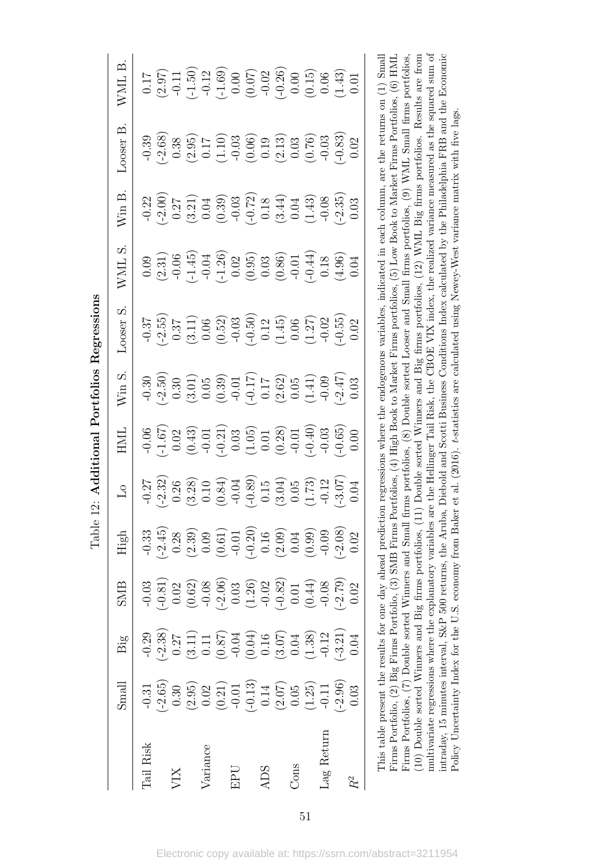Table 12: Additional Portfolios Regressions Table 12: Additional Portfolios Regressions

|                  | Small | Big                                                                                                                                                                                                                                                                                                           | <b>SMB</b>                                                                                                                                                                                                                                                                                                                                                                                                        | High                                                                                                                                                                                                                                                                                                                                              | $\Gamma^{\rm O}$                                                                                                                                                                                                                                                                                                                                                                                              | HNII                                                                                                                                                                                                                                                                                                                                                                                                                                 | Vin S.                                                                                                                                                                                                                                                                                                                                          | Looser <sub>S</sub> .                                                                                                                                                                                                                                                                                                                                                                                                 | VML S                                                                                                                                                                                                                                                                      | $W$ in $B$ .                                                                                                                                                                                                                                                                                                                                                                                                                                                               | Looser B                                                                                                                                                                                                                                                                                | VML B.                                                                                                                                                                                                                                                                                                                                          |
|------------------|-------|---------------------------------------------------------------------------------------------------------------------------------------------------------------------------------------------------------------------------------------------------------------------------------------------------------------|-------------------------------------------------------------------------------------------------------------------------------------------------------------------------------------------------------------------------------------------------------------------------------------------------------------------------------------------------------------------------------------------------------------------|---------------------------------------------------------------------------------------------------------------------------------------------------------------------------------------------------------------------------------------------------------------------------------------------------------------------------------------------------|---------------------------------------------------------------------------------------------------------------------------------------------------------------------------------------------------------------------------------------------------------------------------------------------------------------------------------------------------------------------------------------------------------------|--------------------------------------------------------------------------------------------------------------------------------------------------------------------------------------------------------------------------------------------------------------------------------------------------------------------------------------------------------------------------------------------------------------------------------------|-------------------------------------------------------------------------------------------------------------------------------------------------------------------------------------------------------------------------------------------------------------------------------------------------------------------------------------------------|-----------------------------------------------------------------------------------------------------------------------------------------------------------------------------------------------------------------------------------------------------------------------------------------------------------------------------------------------------------------------------------------------------------------------|----------------------------------------------------------------------------------------------------------------------------------------------------------------------------------------------------------------------------------------------------------------------------|----------------------------------------------------------------------------------------------------------------------------------------------------------------------------------------------------------------------------------------------------------------------------------------------------------------------------------------------------------------------------------------------------------------------------------------------------------------------------|-----------------------------------------------------------------------------------------------------------------------------------------------------------------------------------------------------------------------------------------------------------------------------------------|-------------------------------------------------------------------------------------------------------------------------------------------------------------------------------------------------------------------------------------------------------------------------------------------------------------------------------------------------|
| <b>Cail Risk</b> |       |                                                                                                                                                                                                                                                                                                               | $-0.03$                                                                                                                                                                                                                                                                                                                                                                                                           | $-0.33$                                                                                                                                                                                                                                                                                                                                           |                                                                                                                                                                                                                                                                                                                                                                                                               |                                                                                                                                                                                                                                                                                                                                                                                                                                      |                                                                                                                                                                                                                                                                                                                                                 |                                                                                                                                                                                                                                                                                                                                                                                                                       |                                                                                                                                                                                                                                                                            |                                                                                                                                                                                                                                                                                                                                                                                                                                                                            | $-0.39$                                                                                                                                                                                                                                                                                 |                                                                                                                                                                                                                                                                                                                                                 |
|                  |       |                                                                                                                                                                                                                                                                                                               |                                                                                                                                                                                                                                                                                                                                                                                                                   |                                                                                                                                                                                                                                                                                                                                                   |                                                                                                                                                                                                                                                                                                                                                                                                               |                                                                                                                                                                                                                                                                                                                                                                                                                                      |                                                                                                                                                                                                                                                                                                                                                 |                                                                                                                                                                                                                                                                                                                                                                                                                       |                                                                                                                                                                                                                                                                            |                                                                                                                                                                                                                                                                                                                                                                                                                                                                            |                                                                                                                                                                                                                                                                                         |                                                                                                                                                                                                                                                                                                                                                 |
| XII              |       |                                                                                                                                                                                                                                                                                                               |                                                                                                                                                                                                                                                                                                                                                                                                                   |                                                                                                                                                                                                                                                                                                                                                   |                                                                                                                                                                                                                                                                                                                                                                                                               |                                                                                                                                                                                                                                                                                                                                                                                                                                      |                                                                                                                                                                                                                                                                                                                                                 |                                                                                                                                                                                                                                                                                                                                                                                                                       |                                                                                                                                                                                                                                                                            |                                                                                                                                                                                                                                                                                                                                                                                                                                                                            |                                                                                                                                                                                                                                                                                         |                                                                                                                                                                                                                                                                                                                                                 |
|                  |       |                                                                                                                                                                                                                                                                                                               |                                                                                                                                                                                                                                                                                                                                                                                                                   |                                                                                                                                                                                                                                                                                                                                                   |                                                                                                                                                                                                                                                                                                                                                                                                               |                                                                                                                                                                                                                                                                                                                                                                                                                                      |                                                                                                                                                                                                                                                                                                                                                 |                                                                                                                                                                                                                                                                                                                                                                                                                       |                                                                                                                                                                                                                                                                            |                                                                                                                                                                                                                                                                                                                                                                                                                                                                            |                                                                                                                                                                                                                                                                                         |                                                                                                                                                                                                                                                                                                                                                 |
| <i>l</i> ariance |       |                                                                                                                                                                                                                                                                                                               |                                                                                                                                                                                                                                                                                                                                                                                                                   |                                                                                                                                                                                                                                                                                                                                                   |                                                                                                                                                                                                                                                                                                                                                                                                               |                                                                                                                                                                                                                                                                                                                                                                                                                                      |                                                                                                                                                                                                                                                                                                                                                 |                                                                                                                                                                                                                                                                                                                                                                                                                       |                                                                                                                                                                                                                                                                            |                                                                                                                                                                                                                                                                                                                                                                                                                                                                            |                                                                                                                                                                                                                                                                                         |                                                                                                                                                                                                                                                                                                                                                 |
|                  |       |                                                                                                                                                                                                                                                                                                               |                                                                                                                                                                                                                                                                                                                                                                                                                   |                                                                                                                                                                                                                                                                                                                                                   |                                                                                                                                                                                                                                                                                                                                                                                                               |                                                                                                                                                                                                                                                                                                                                                                                                                                      |                                                                                                                                                                                                                                                                                                                                                 |                                                                                                                                                                                                                                                                                                                                                                                                                       |                                                                                                                                                                                                                                                                            |                                                                                                                                                                                                                                                                                                                                                                                                                                                                            |                                                                                                                                                                                                                                                                                         |                                                                                                                                                                                                                                                                                                                                                 |
| ЕPU              |       |                                                                                                                                                                                                                                                                                                               |                                                                                                                                                                                                                                                                                                                                                                                                                   |                                                                                                                                                                                                                                                                                                                                                   |                                                                                                                                                                                                                                                                                                                                                                                                               |                                                                                                                                                                                                                                                                                                                                                                                                                                      |                                                                                                                                                                                                                                                                                                                                                 |                                                                                                                                                                                                                                                                                                                                                                                                                       |                                                                                                                                                                                                                                                                            |                                                                                                                                                                                                                                                                                                                                                                                                                                                                            |                                                                                                                                                                                                                                                                                         |                                                                                                                                                                                                                                                                                                                                                 |
|                  |       |                                                                                                                                                                                                                                                                                                               |                                                                                                                                                                                                                                                                                                                                                                                                                   |                                                                                                                                                                                                                                                                                                                                                   |                                                                                                                                                                                                                                                                                                                                                                                                               |                                                                                                                                                                                                                                                                                                                                                                                                                                      |                                                                                                                                                                                                                                                                                                                                                 |                                                                                                                                                                                                                                                                                                                                                                                                                       |                                                                                                                                                                                                                                                                            |                                                                                                                                                                                                                                                                                                                                                                                                                                                                            |                                                                                                                                                                                                                                                                                         |                                                                                                                                                                                                                                                                                                                                                 |
| <b>ADS</b>       |       |                                                                                                                                                                                                                                                                                                               |                                                                                                                                                                                                                                                                                                                                                                                                                   |                                                                                                                                                                                                                                                                                                                                                   |                                                                                                                                                                                                                                                                                                                                                                                                               |                                                                                                                                                                                                                                                                                                                                                                                                                                      |                                                                                                                                                                                                                                                                                                                                                 |                                                                                                                                                                                                                                                                                                                                                                                                                       |                                                                                                                                                                                                                                                                            |                                                                                                                                                                                                                                                                                                                                                                                                                                                                            |                                                                                                                                                                                                                                                                                         |                                                                                                                                                                                                                                                                                                                                                 |
|                  |       | $\begin{array}{l} 0.23 \\ 0.27 \\ 0.31 \\ 0.11 \\ 0.01 \\ 0.01 \\ 0.01 \\ 0.01 \\ 0.01 \\ 0.01 \\ 0.01 \\ 0.01 \\ 0.01 \\ 0.01 \\ 0.01 \\ 0.01 \\ 0.01 \\ 0.01 \\ 0.01 \\ 0.01 \\ 0.01 \\ 0.01 \\ 0.01 \\ 0.01 \\ 0.01 \\ 0.01 \\ 0.01 \\ 0.01 \\ 0.01 \\ 0.01 \\ 0.01 \\ 0.01 \\ 0.01 \\ 0.01 \\ 0.01 \\ 0.$ | $\begin{array}{l} (3,3) \\ (-) \ 0 \ 0 \ 0 \\ (-) \ 0 \ 0 \\ (-) \ 0 \ 0 \\ (-) \ 0 \\ (-) \ 0 \\ (-) \ 0 \\ (-) \ 0 \\ (-) \ 0 \\ (-) \ 0 \\ (-) \ 0 \\ (-) \ 0 \\ (-) \ 0 \\ (-) \ 0 \\ (-) \ 0 \\ (-) \ 0 \\ (-) \ 0 \\ (-) \ 0 \\ (-) \ 0 \\ (-) \ 0 \\ (-) \ 0 \\ (-) \ 0 \\ (-) \ 0 \\ (-) \ 0 \\ (-) \ 0 \\ (-) \ 0 \\ (-) \ 0 \\ (-) \ 0 \\ (-) \ 0 \\ (-) \ 0 \\ (-) \ 0 \\ (-) \ 0 \\ (-) \ 0 \\ (-) \$ | $\begin{array}{l} (1,9) \\ (2,8) \\ (3,9) \\ (4,9) \\ (5,9) \\ (6,9) \\ (7,9) \\ (8,9) \\ (9,9) \\ (1,9) \\ (1,9) \\ (1,9) \\ (1,9) \\ (1,9) \\ (1,9) \\ (1,9) \\ (1,9) \\ (1,9) \\ (1,9) \\ (1,9) \\ (1,9) \\ (1,9) \\ (1,9) \\ (1,9) \\ (1,9) \\ (1,9) \\ (1,9) \\ (1,9) \\ (1,9) \\ (1,9) \\ (1,9) \\ (1,9) \\ (1,9) \\ (1,9) \\ (1,9) \\ (1,$ | $\begin{array}{l} 1,27 \\ -2,32 \\ -2,38 \\ 0,26 \\ 0,30 \\ 0,30 \\ \hline \end{array} \hspace{1.5cm} \begin{array}{l} 10 \\ 10 \\ 20 \\ 30 \\ 0,0 \\ \hline \end{array} \hspace{1.5cm} \begin{array}{l} 12 \\ 15 \\ 20 \\ 0,0 \\ \hline \end{array} \hspace{1.5cm} \begin{array}{l} 12 \\ 15 \\ 20 \\ 0,0 \\ \hline \end{array} \hspace{1.5cm} \begin{array}{l} 12 \\ 12 \\ 20 \\ 0,0 \\ \hline \end{array}$ | $\begin{array}{l} 666 \\ -106 \\ -106 \\ -106 \\ \hline \end{array} \hspace{1.8cm} \begin{array}{l} 67 \\ -106 \\ -106 \\ -106 \\ \hline \end{array} \hspace{1.8cm} \begin{array}{l} 67 \\ -106 \\ -106 \\ -106 \\ \hline \end{array} \hspace{1.8cm} \begin{array}{l} 67 \\ -106 \\ -106 \\ -106 \\ \hline \end{array} \hspace{1.8cm} \begin{array}{l} 67 \\ -106 \\ -106 \\ -106 \\ \hline \end{array} \hspace{1.8cm} \begin{array$ | $\begin{array}{l} 3.30 \\ - (3.50) \\ - (3.50) \\ - (3.50) \\ - (3.50) \\ - (3.50) \\ - (3.50) \\ - (3.50) \\ - (3.50) \\ - (3.50) \\ - (3.50) \\ - (3.50) \\ - (3.50) \\ - (3.50) \\ - (3.50) \\ - (3.50) \\ - (3.50) \\ - (3.50) \\ - (3.50) \\ - (3.50) \\ - (3.50) \\ - (3.50) \\ - (3.50) \\ - (3.50) \\ - (3.50) \\ - (3.50) \\ - (3.50)$ | $\begin{array}{l} 37 \\ -2.55 \\ -0.37 \\ -0.00 \\ \hline \end{array} \hspace{1.5cm} \begin{array}{l} 37 \\ -2.55 \\ -1.1 \\ -0.52 \\ \hline \end{array} \hspace{1.5cm} \begin{array}{l} 30 \\ -2.50 \\ -0.50 \\ -0.50 \\ \hline \end{array} \hspace{1.5cm} \begin{array}{l} 30 \\ -2.50 \\ -0.50 \\ -0.50 \\ \hline \end{array} \hspace{1.5cm} \begin{array}{l} 30 \\ -2.50 \\ -0.50 \\ -0.50 \\ \hline \end{array}$ | $\begin{array}{l} 0.09\\ 0.31\\ 2.6\\ 0.6\\ 0.45\\ 0.04\\ 0.03\\ 0.03\\ 0.03\\ 0.03\\ 0.03\\ 0.03\\ 0.03\\ 0.03\\ 0.04\\ 0.04\\ 0.04\\ 0.04\\ 0.04\\ 0.04\\ 0.04\\ 0.04\\ 0.04\\ 0.04\\ 0.04\\ 0.04\\ 0.04\\ 0.04\\ 0.04\\ 0.04\\ 0.04\\ 0.04\\ 0.04\\ 0.04\\ 0.04\\ 0.04$ | $\begin{array}{l} 22 \\ 9 \\ 0 \\ 2 \\ 7 \\ \hline \end{array} \left( \begin{array}{l} 2 \\ 2 \\ 2 \\ 3 \\ 0 \\ 0 \\ \hline \end{array} \right) \left( \begin{array}{l} 2 \\ 2 \\ 2 \\ 3 \\ 0 \\ 0 \\ \hline \end{array} \right) \left( \begin{array}{l} 2 \\ 2 \\ 2 \\ 3 \\ 0 \\ 0 \\ \hline \end{array} \right) \left( \begin{array}{l} 2 \\ 2 \\ 2 \\ 3 \\ 0 \\ \hline \end{array} \right) \left( \begin{array}{l} 2 \\ 2 \\ 2 \\ 3 \\ 0 \\ \hline \end{array} \right)$ | $\begin{array}{l} 0.00000\\[-4pt] 0.000000\\[-4pt] 0.000000\\[-4pt] 0.000000\\[-4pt] 0.000000\\[-4pt] 0.000000\\[-4pt] 0.000000\\[-4pt] 0.00000\\[-4pt] 0.00000\\[-4pt] 0.00000\\[-4pt] 0.00000\\[-4pt] 0.00000\\[-4pt] 0.00000\\[-4pt] 0.00000\\[-4pt] 0.00000\\[-4pt] 0.00000\\[-4pt$ | $\begin{array}{l} 0.17 \\ 0.97 \\ -1.50 \\ -1.69 \\ -1.69 \\ -1.69 \\ -1.69 \\ -1.69 \\ -1.69 \\ -1.69 \\ -1.69 \\ -1.69 \\ -1.69 \\ -1.69 \\ -1.69 \\ -1.69 \\ -1.69 \\ -1.69 \\ -1.69 \\ -1.69 \\ -1.69 \\ -1.69 \\ -1.69 \\ -1.69 \\ -1.69 \\ -1.69 \\ -1.69 \\ -1.69 \\ -1.69 \\ -1.69 \\ -1.69 \\ -1.69 \\ -1.69 \\ -1.69 \\ -1.69 \\ -1.$ |
| $\frac{1}{2}$    |       |                                                                                                                                                                                                                                                                                                               |                                                                                                                                                                                                                                                                                                                                                                                                                   |                                                                                                                                                                                                                                                                                                                                                   |                                                                                                                                                                                                                                                                                                                                                                                                               |                                                                                                                                                                                                                                                                                                                                                                                                                                      |                                                                                                                                                                                                                                                                                                                                                 |                                                                                                                                                                                                                                                                                                                                                                                                                       |                                                                                                                                                                                                                                                                            |                                                                                                                                                                                                                                                                                                                                                                                                                                                                            |                                                                                                                                                                                                                                                                                         |                                                                                                                                                                                                                                                                                                                                                 |
|                  |       |                                                                                                                                                                                                                                                                                                               |                                                                                                                                                                                                                                                                                                                                                                                                                   |                                                                                                                                                                                                                                                                                                                                                   |                                                                                                                                                                                                                                                                                                                                                                                                               |                                                                                                                                                                                                                                                                                                                                                                                                                                      |                                                                                                                                                                                                                                                                                                                                                 |                                                                                                                                                                                                                                                                                                                                                                                                                       |                                                                                                                                                                                                                                                                            |                                                                                                                                                                                                                                                                                                                                                                                                                                                                            |                                                                                                                                                                                                                                                                                         |                                                                                                                                                                                                                                                                                                                                                 |
| ag Returi        |       |                                                                                                                                                                                                                                                                                                               |                                                                                                                                                                                                                                                                                                                                                                                                                   |                                                                                                                                                                                                                                                                                                                                                   |                                                                                                                                                                                                                                                                                                                                                                                                               |                                                                                                                                                                                                                                                                                                                                                                                                                                      |                                                                                                                                                                                                                                                                                                                                                 |                                                                                                                                                                                                                                                                                                                                                                                                                       |                                                                                                                                                                                                                                                                            |                                                                                                                                                                                                                                                                                                                                                                                                                                                                            |                                                                                                                                                                                                                                                                                         |                                                                                                                                                                                                                                                                                                                                                 |
|                  |       |                                                                                                                                                                                                                                                                                                               |                                                                                                                                                                                                                                                                                                                                                                                                                   |                                                                                                                                                                                                                                                                                                                                                   |                                                                                                                                                                                                                                                                                                                                                                                                               |                                                                                                                                                                                                                                                                                                                                                                                                                                      |                                                                                                                                                                                                                                                                                                                                                 |                                                                                                                                                                                                                                                                                                                                                                                                                       |                                                                                                                                                                                                                                                                            |                                                                                                                                                                                                                                                                                                                                                                                                                                                                            |                                                                                                                                                                                                                                                                                         |                                                                                                                                                                                                                                                                                                                                                 |
|                  |       |                                                                                                                                                                                                                                                                                                               |                                                                                                                                                                                                                                                                                                                                                                                                                   |                                                                                                                                                                                                                                                                                                                                                   |                                                                                                                                                                                                                                                                                                                                                                                                               |                                                                                                                                                                                                                                                                                                                                                                                                                                      |                                                                                                                                                                                                                                                                                                                                                 |                                                                                                                                                                                                                                                                                                                                                                                                                       |                                                                                                                                                                                                                                                                            |                                                                                                                                                                                                                                                                                                                                                                                                                                                                            |                                                                                                                                                                                                                                                                                         |                                                                                                                                                                                                                                                                                                                                                 |
|                  |       |                                                                                                                                                                                                                                                                                                               |                                                                                                                                                                                                                                                                                                                                                                                                                   |                                                                                                                                                                                                                                                                                                                                                   |                                                                                                                                                                                                                                                                                                                                                                                                               |                                                                                                                                                                                                                                                                                                                                                                                                                                      |                                                                                                                                                                                                                                                                                                                                                 |                                                                                                                                                                                                                                                                                                                                                                                                                       |                                                                                                                                                                                                                                                                            |                                                                                                                                                                                                                                                                                                                                                                                                                                                                            |                                                                                                                                                                                                                                                                                         |                                                                                                                                                                                                                                                                                                                                                 |

Firms Portfolio, (2) Big Firms Portfolio, (3) SMB Firms Portfolios, (4) High Book to Market Firms portfolios, (5) Low Book to Market Firms Portfolios, (6) HML (10) Double sorted Winners and Big firms portfolios, (11) Double sorted Winners and Big firms portfolios, (12) WML Big firms portfolios. Results are from multivariate regressions where the explanatory variables are the Hellinger Tail Risk, the CBOE VIX index, the realized variance measured as the squared sum of intraday, 15 minutes interval, S&P 500 returns, the Aruba, Diebold and Scotti Business Conditions Index calculated by the Philadelphia FRB and the Economic This table present the results for one day ahead prediction regressions where the endogenous variables, indicated in each column, are the returns on (1) Small Firms Portfolios, (7) Double sorted Winners and Small firms portfolios, (8) Double sorted Looser and Small firms portfolios, (9) WML Small firms portfolios, multivariate regressions where the explanatory variables are the Hellinger Tail Risk, the CBOE VIX index, the realized variance measured as the squared sum of This table present the results for one day ahead prediction regressions where the endogenous variables, indicated in each column, are the returns on (1) Small Firms Portfolio, (2) Big Firms Portfolio, (3) SMB Firms Portfolios, (4) High Book to Market Firms portfolios, (6) Low Book to Market Firms Portfolios, (6) HML Firms Portfolios, (7) Double sorted Winners and Small firms portfolios, (8) Double sorted Looser and Small firms portfolios, (9) WML Small firms portfolios, (10) Double sorted Winners and Big firms portfolios, (11) Double sorted Winners and Big firms portfolios, (12) WML Big firms portfolios. Results are from intraday, 15 minutes interval, S&P 500 returns, the Aruba, Diebold and Scotti Business Conditions Index calculated by the Philadelphia FRB and the Economic Policy Uncertainty Index for the U.S. economy from Baker et al. (2016). t-statistics are calculated using Newey-West variance matrix with five lags. Policy Uncertainty Index for the U.S. economy from Baker et al. (2016). t-statistics are calculated using Newey-West variance matrix with five lags.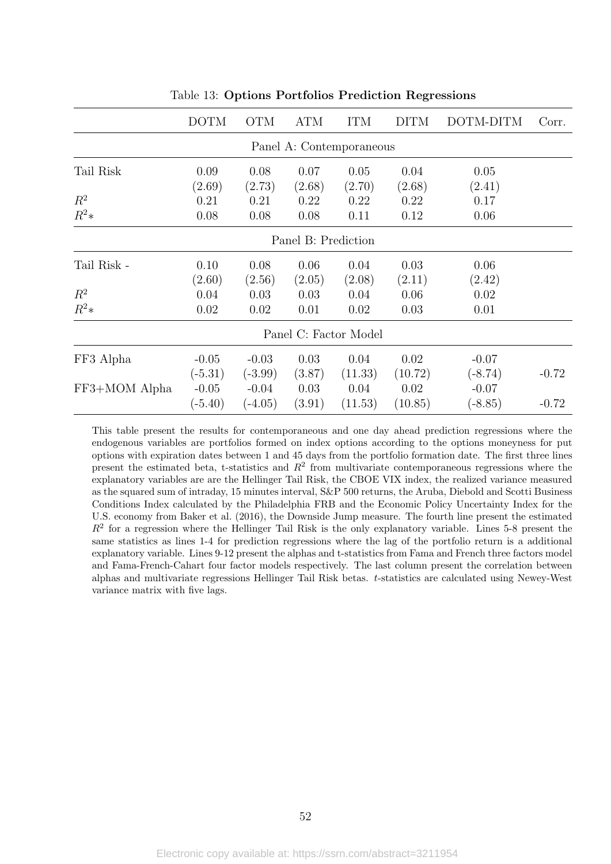|               | <b>DOTM</b> | <b>OTM</b> | <b>ATM</b>          | <b>ITM</b>               | <b>DITM</b> | DOTM-DITM | Corr.   |
|---------------|-------------|------------|---------------------|--------------------------|-------------|-----------|---------|
|               |             |            |                     | Panel A: Contemporaneous |             |           |         |
| Tail Risk     | 0.09        | 0.08       | 0.07                | 0.05                     | 0.04        | 0.05      |         |
|               | (2.69)      | (2.73)     | (2.68)              | (2.70)                   | (2.68)      | (2.41)    |         |
| $R^2$         | 0.21        | 0.21       | 0.22                | 0.22                     | 0.22        | 0.17      |         |
| $R^2*$        | 0.08        | 0.08       | 0.08                | 0.11                     | 0.12        | 0.06      |         |
|               |             |            | Panel B: Prediction |                          |             |           |         |
| Tail Risk -   | 0.10        | 0.08       | 0.06                | 0.04                     | 0.03        | 0.06      |         |
|               | (2.60)      | (2.56)     | (2.05)              | (2.08)                   | (2.11)      | (2.42)    |         |
| $R^2$         | 0.04        | 0.03       | 0.03                | 0.04                     | 0.06        | 0.02      |         |
| $R^2*$        | 0.02        | 0.02       | 0.01                | 0.02                     | 0.03        | 0.01      |         |
|               |             |            |                     | Panel C: Factor Model    |             |           |         |
| FF3 Alpha     | $-0.05$     | $-0.03$    | 0.03                | 0.04                     | 0.02        | $-0.07$   |         |
|               | $(-5.31)$   | $(-3.99)$  | (3.87)              | (11.33)                  | (10.72)     | $(-8.74)$ | $-0.72$ |
| FF3+MOM Alpha | $-0.05$     | $-0.04$    | 0.03                | 0.04                     | 0.02        | $-0.07$   |         |
|               | $(-5.40)$   | $(-4.05)$  | (3.91)              | (11.53)                  | (10.85)     | $(-8.85)$ | $-0.72$ |

Table 13: Options Portfolios Prediction Regressions

This table present the results for contemporaneous and one day ahead prediction regressions where the endogenous variables are portfolios formed on index options according to the options moneyness for put options with expiration dates between 1 and 45 days from the portfolio formation date. The first three lines present the estimated beta, t-statistics and  $R^2$  from multivariate contemporaneous regressions where the explanatory variables are are the Hellinger Tail Risk, the CBOE VIX index, the realized variance measured as the squared sum of intraday, 15 minutes interval, S&P 500 returns, the Aruba, Diebold and Scotti Business Conditions Index calculated by the Philadelphia FRB and the Economic Policy Uncertainty Index for the U.S. economy from Baker et al. (2016), the Downside Jump measure. The fourth line present the estimated  $R<sup>2</sup>$  for a regression where the Hellinger Tail Risk is the only explanatory variable. Lines 5-8 present the same statistics as lines 1-4 for prediction regressions where the lag of the portfolio return is a additional explanatory variable. Lines 9-12 present the alphas and t-statistics from Fama and French three factors model and Fama-French-Cahart four factor models respectively. The last column present the correlation between alphas and multivariate regressions Hellinger Tail Risk betas. t-statistics are calculated using Newey-West variance matrix with five lags.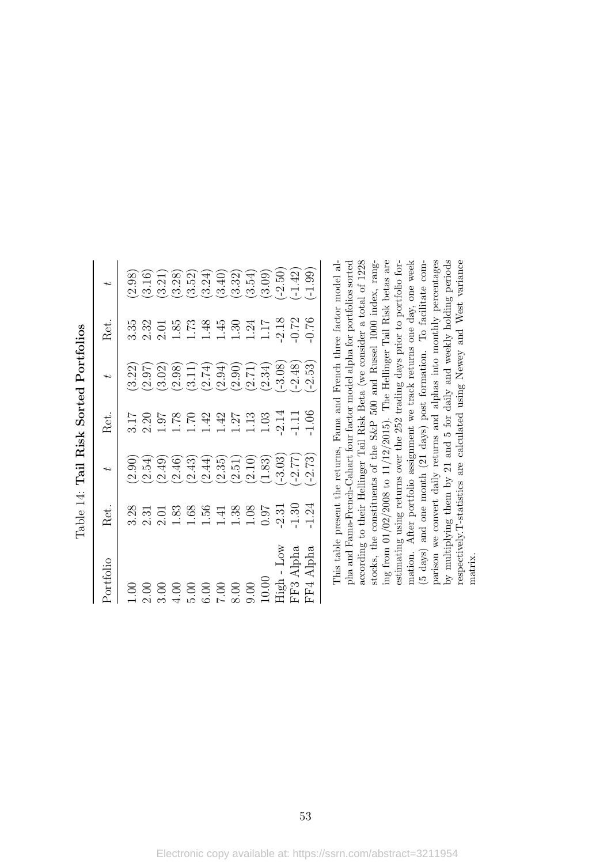|            |                                                                                                                                               | Table 14: Tail Risk Sorted Portfolios |         |                          |         |           |
|------------|-----------------------------------------------------------------------------------------------------------------------------------------------|---------------------------------------|---------|--------------------------|---------|-----------|
| Portfolio  | Ret.                                                                                                                                          | t                                     | Ret.    | $\overline{\phantom{a}}$ | Ret.    | t         |
| $1.00$     | 3.28                                                                                                                                          | (2.90)                                |         | (3.22)                   | 3.35    | (2.98)    |
| 2.00       | 2.31                                                                                                                                          | (2.54)                                | 2.20    | 2.97                     | 2.32    | (3.16)    |
| 3.00       | 2.01                                                                                                                                          | (2.49)                                | 1.97    | 3.02                     | 2.01    | 3.21      |
| 4.00       | 1.83                                                                                                                                          | (2.46)                                | 1.78    | $2.98^{\circ}$           | 1.85    | 3.28      |
| 5.00       | 1.68                                                                                                                                          | (2.43)                                | 1.70    | 3.11                     | 1.73    | (3.52)    |
| 6.00       | 1.56                                                                                                                                          | (2.44)                                | 1.42    | 2.74                     | 1.48    | (3.24)    |
| 00.7       | 1.41                                                                                                                                          | (2.35)                                | 1.42    | 2.94                     | 1.45    | 3.40      |
| 8.00       | 1.38                                                                                                                                          | 2.51                                  | 1.27    | (2.90)                   | 1.30    | (3.32)    |
| 0.00       | 1.08                                                                                                                                          | (2.10)                                | 1.13    | (17.2)                   | 1.24    | (3.54)    |
| 10.00      | 0.07                                                                                                                                          | (1.83)                                | 1.03    | (2.34)                   | 1.17    | (3.09)    |
| High - Low | $-2.31$                                                                                                                                       | $(-3.03)$                             | $-2.14$ | $-3.08$                  | $-2.18$ | $(-2.50)$ |
| FF3 Alpha  | $-1.30$                                                                                                                                       | $(-2.77)$                             | $-1.11$ | $-2.48$                  | $-0.72$ | $(-1.42)$ |
| FF4 Alpha  | $-1.24$                                                                                                                                       | $(-2.73)$                             | $-1.06$ | $(-2.53)$                | $-0.76$ | $(-1.99)$ |
|            | This table present the returns, Fama and French three factor model al-                                                                        |                                       |         |                          |         |           |
|            | pha and Fama-French-Cahart four factor model alpha for portfolios sorted                                                                      |                                       |         |                          |         |           |
|            | according to their Hellinger Tail Risk Beta (we consider a total of 1228                                                                      |                                       |         |                          |         |           |
|            | ing from 01/02/2008 to 11/12/2015). The Hellinger Tail Risk betas are<br>stocks, the constituents of the S&P 500 and Russel 1000 index, rang- |                                       |         |                          |         |           |
|            | estimating using returns over the 252 trading days prior to portfolio for-                                                                    |                                       |         |                          |         |           |
|            | mation. After portfolio assignment we track returns one day, one week                                                                         |                                       |         |                          |         |           |
|            | (5 days) and one month (21 days) post formation. To facilitate com-                                                                           |                                       |         |                          |         |           |
|            | parison we convert daily returns and alphas into monthly percentages                                                                          |                                       |         |                          |         |           |
|            | by multiplying them by 21 and 5 for daily and weekly holding periods                                                                          |                                       |         |                          |         |           |
|            | respectively. T-statistics are calculated using Newey and West variance                                                                       |                                       |         |                          |         |           |
| matrix.    |                                                                                                                                               |                                       |         |                          |         |           |

| :<br>ג<br>ſ                            |
|----------------------------------------|
| Sorted<br>נטכ                          |
| <b>Risk</b>                            |
| Tail<br>ĺ                              |
| $\ddot{ }$<br>$\overline{\phantom{a}}$ |
| È                                      |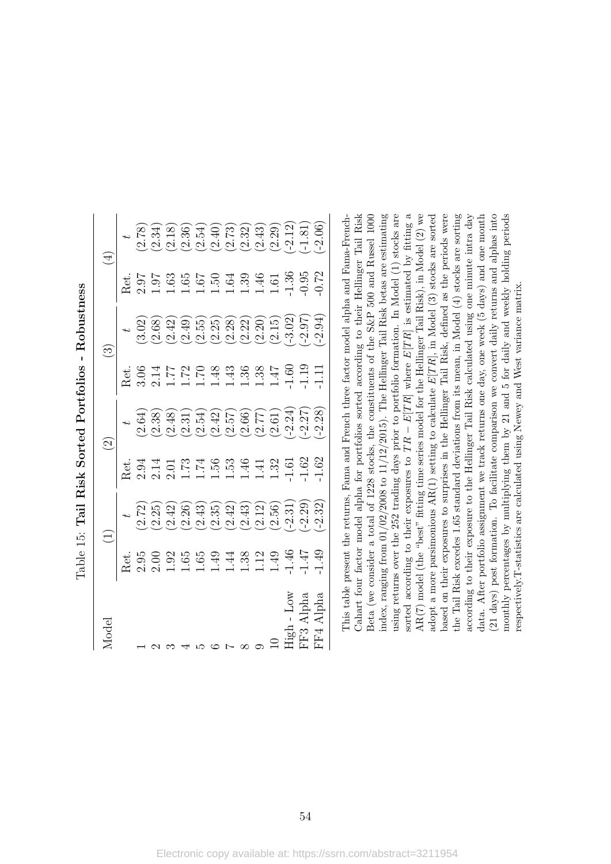|         | $\widehat{\Xi}$ |         | $\widehat{\Omega}$ |                 | $\qquad \qquad \textcircled{\scriptsize{1}}$ |
|---------|-----------------|---------|--------------------|-----------------|----------------------------------------------|
| Ret.    |                 | Ret.    |                    | Ret.            |                                              |
| 2.95    | $2.72^{\circ}$  | 2.94    | (2.64)             | 3.06            | 3.02                                         |
| 2.00    | $2.25^{\circ}$  | 2.14    | (2.38)             | 2.14            | 2.68                                         |
| 1.92    | 2.42            | 2.01    | (2.48)             | 1.77            | 2.42                                         |
| 1.65    | $2.26^{\circ}$  | 1.73    | 2.31               | 1.72            | 2.49                                         |
| 1.65    | 2.43            | 1.74    | (2.54)             | 1.70            | $2.55^{\circ}$                               |
| 1.49    | 2.35            | 1.56    | (2.42)             | 1.48            | 2.25                                         |
| 1.44    | 2.42            | 1.53    | (2.57)             | 1.43            | (2.28)                                       |
| 1.38    | 2.43            | 1.46    | (2.66)             | 1.36            | (2.22)                                       |
| 1.12    | $2.12^{\circ}$  | 1.41    | (2.77)             | 1.38            | 2.20                                         |
| 1.49    | (2.56)          | 1.32    | (2.61)             | 147             | (2.15)                                       |
| $-1.46$ | $-2.31$         | $-1.61$ | $(-2.24)$          | $-1.60$         | $-3.02$                                      |
| $-1.47$ | $-2.29$         | $-1.62$ | $(-2.27)$          | $-1.19$         | $-2.97$                                      |
| $-1.49$ | $(-2.32)$       | $-1.62$ | $(-2.28)$          | $\frac{11}{11}$ | $(-2.94)$                                    |

sorted according to their exposures to  $TR - E[TR]$  where  $E[TR]$  is estimated by fitting a  $E[T R]$  is estimated by fitting a  $AR(7)$  model (the "best" fitting time series model for the Hellinger Tail Risk), in Model (2) we according to their exposure to the Hellinger Tail Risk calculated using one minute intra day data. After portfolio assignment we track returns one day, one week (5 days) and one month (21 days) post formation. To facilitate comparison we convert daily returns and alphas into monthly percentages by multiplying them by 21 and 5 for daily and weekly holding periods Cahart four factor model alpha for portfolios sorted according to their Hellinger Tail Risk Beta (we consider a total of 1228 stocks, the constituents of the S&P 500 and Russel 1000 index, ranging from 01/02/2008 to 11/12/2015). The Hellinger Tail Risk betas are estimating using returns over the 252 trading days prior to portfolio formation. In Model (1) stocks are AR(7) model (the "best" fitting time series model for the Hellinger Tail Risk), in Model (2) we  $E[TR]$ , in Model (3) stocks are sorted based on their exposures to surprises in the Hellinger Tail Risk, defined as the periods were the Tail Risk excedes 1.65 standard deviations from its mean, in Model (4) stocks are sorting according to their exposure to the Hellinger Tail Risk calculated using one minute intra day data. After portfolio assignment we track returns one day, one week (5 days) and one month (21 days) post formation. To facilitate comparison we convert daily returns and alphas into monthly percentages by multiplying them by 21 and 5 for daily and weekly holding periods respectively.T-statistics are calculated using Newey and West variance matrix. respectively.T-statistics are calculated using Newey and West variance matrix. adopt a more parsimonious AR(1) setting to calculate sorted according to their exposures to  $TR$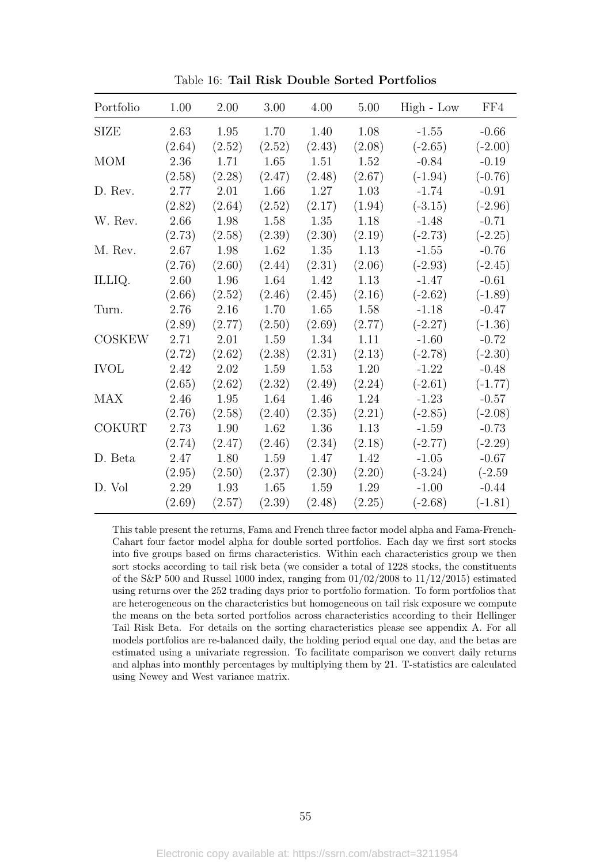| Portfolio     | 1.00     | 2.00     | 3.00     | 4.00   | 5.00   | $High$ - Low | FF4       |
|---------------|----------|----------|----------|--------|--------|--------------|-----------|
| <b>SIZE</b>   | 2.63     | 1.95     | 1.70     | 1.40   | 1.08   | $-1.55$      | $-0.66$   |
|               | (2.64)   | (2.52)   | (2.52)   | (2.43) | (2.08) | $(-2.65)$    | $(-2.00)$ |
| <b>MOM</b>    | 2.36     | 1.71     | 1.65     | 1.51   | 1.52   | $-0.84$      | $-0.19$   |
|               | (2.58)   | (2.28)   | (2.47)   | (2.48) | (2.67) | $(-1.94)$    | $(-0.76)$ |
| D. Rev.       | $2.77\,$ | 2.01     | 1.66     | 1.27   | 1.03   | $-1.74$      | $-0.91$   |
|               | (2.82)   | (2.64)   | (2.52)   | (2.17) | (1.94) | $(-3.15)$    | $(-2.96)$ |
| W. Rev.       | 2.66     | 1.98     | 1.58     | 1.35   | 1.18   | $-1.48$      | $-0.71$   |
|               | (2.73)   | (2.58)   | (2.39)   | (2.30) | (2.19) | $(-2.73)$    | $(-2.25)$ |
| M. Rev.       | 2.67     | 1.98     | 1.62     | 1.35   | 1.13   | $-1.55$      | $-0.76$   |
|               | (2.76)   | (2.60)   | (2.44)   | (2.31) | (2.06) | $(-2.93)$    | $(-2.45)$ |
| ILLIQ.        | $2.60\,$ | 1.96     | 1.64     | 1.42   | 1.13   | $-1.47$      | $-0.61$   |
|               | (2.66)   | (2.52)   | (2.46)   | (2.45) | (2.16) | $(-2.62)$    | $(-1.89)$ |
| Turn.         | 2.76     | 2.16     | 1.70     | 1.65   | 1.58   | $-1.18$      | $-0.47$   |
|               | (2.89)   | (2.77)   | (2.50)   | (2.69) | (2.77) | $(-2.27)$    | $(-1.36)$ |
| <b>COSKEW</b> | 2.71     | 2.01     | $1.59\,$ | 1.34   | 1.11   | $-1.60$      | $-0.72$   |
|               | (2.72)   | (2.62)   | (2.38)   | (2.31) | (2.13) | $(-2.78)$    | $(-2.30)$ |
| <b>IVOL</b>   | 2.42     | 2.02     | 1.59     | 1.53   | 1.20   | $-1.22$      | $-0.48$   |
|               | (2.65)   | (2.62)   | (2.32)   | (2.49) | (2.24) | $(-2.61)$    | $(-1.77)$ |
| <b>MAX</b>    | 2.46     | 1.95     | 1.64     | 1.46   | 1.24   | $-1.23$      | $-0.57$   |
|               | (2.76)   | (2.58)   | (2.40)   | (2.35) | (2.21) | $(-2.85)$    | $(-2.08)$ |
| <b>COKURT</b> | 2.73     | $1.90\,$ | 1.62     | 1.36   | 1.13   | $-1.59$      | $-0.73$   |
|               | (2.74)   | (2.47)   | (2.46)   | (2.34) | (2.18) | $(-2.77)$    | $(-2.29)$ |
| D. Beta       | 2.47     | 1.80     | 1.59     | 1.47   | 1.42   | $-1.05$      | $-0.67$   |
|               | (2.95)   | (2.50)   | (2.37)   | (2.30) | (2.20) | $(-3.24)$    | $(-2.59)$ |
| D. Vol        | 2.29     | 1.93     | 1.65     | 1.59   | 1.29   | $-1.00$      | $-0.44$   |
|               | (2.69)   | (2.57)   | (2.39)   | (2.48) | (2.25) | $(-2.68)$    | $(-1.81)$ |

Table 16: Tail Risk Double Sorted Portfolios

This table present the returns, Fama and French three factor model alpha and Fama-French-Cahart four factor model alpha for double sorted portfolios. Each day we first sort stocks into five groups based on firms characteristics. Within each characteristics group we then sort stocks according to tail risk beta (we consider a total of 1228 stocks, the constituents of the S&P 500 and Russel 1000 index, ranging from  $01/02/2008$  to  $11/12/2015$ ) estimated using returns over the 252 trading days prior to portfolio formation. To form portfolios that are heterogeneous on the characteristics but homogeneous on tail risk exposure we compute the means on the beta sorted portfolios across characteristics according to their Hellinger Tail Risk Beta. For details on the sorting characteristics please see appendix A. For all models portfolios are re-balanced daily, the holding period equal one day, and the betas are estimated using a univariate regression. To facilitate comparison we convert daily returns and alphas into monthly percentages by multiplying them by 21. T-statistics are calculated using Newey and West variance matrix.